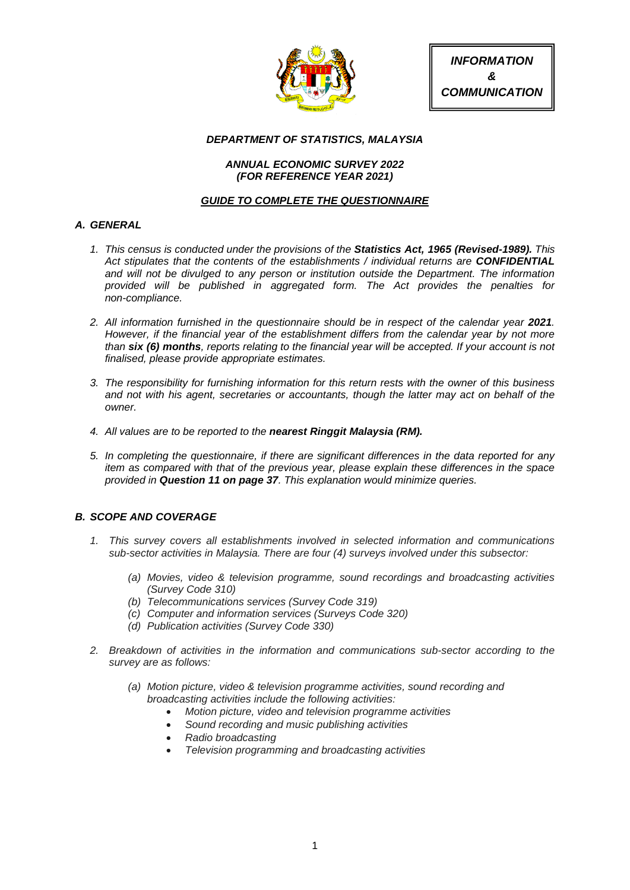

*INFORMATION & COMMUNICATION*

### *DEPARTMENT OF STATISTICS, MALAYSIA*

### *ANNUAL ECONOMIC SURVEY 2022 (FOR REFERENCE YEAR 2021)*

### *GUIDE TO COMPLETE THE QUESTIONNAIRE*

## *A. GENERAL*

- *1. This census is conducted under the provisions of the Statistics Act, 1965 (Revised-1989). This Act stipulates that the contents of the establishments / individual returns are CONFIDENTIAL and will not be divulged to any person or institution outside the Department. The information provided will be published in aggregated form. The Act provides the penalties for non-compliance.*
- 2. All information furnished in the questionnaire should be in respect of the calendar year 2021. *However, if the financial year of the establishment differs from the calendar year by not more than six (6) months, reports relating to the financial year will be accepted. If your account is not finalised, please provide appropriate estimates.*
- *3. The responsibility for furnishing information for this return rests with the owner of this business and not with his agent, secretaries or accountants, though the latter may act on behalf of the owner.*
- *4. All values are to be reported to the nearest Ringgit Malaysia (RM).*
- *5. In completing the questionnaire, if there are significant differences in the data reported for any item as compared with that of the previous year, please explain these differences in the space provided in Question 11 on page 37. This explanation would minimize queries.*

## *B. SCOPE AND COVERAGE*

- *1. This survey covers all establishments involved in selected information and communications sub-sector activities in Malaysia. There are four (4) surveys involved under this subsector:*
	- *(a) Movies, video & television programme, sound recordings and broadcasting activities (Survey Code 310)*
	- *(b) Telecommunications services (Survey Code 319)*
	- *(c) Computer and information services (Surveys Code 320)*
	- *(d) Publication activities (Survey Code 330)*
- *2. Breakdown of activities in the information and communications sub-sector according to the survey are as follows:*
	- *(a) Motion picture, video & television programme activities, sound recording and broadcasting activities include the following activities:*
		- *Motion picture, video and television programme activities*
		- *Sound recording and music publishing activities*
		- *Radio broadcasting*
		- *Television programming and broadcasting activities*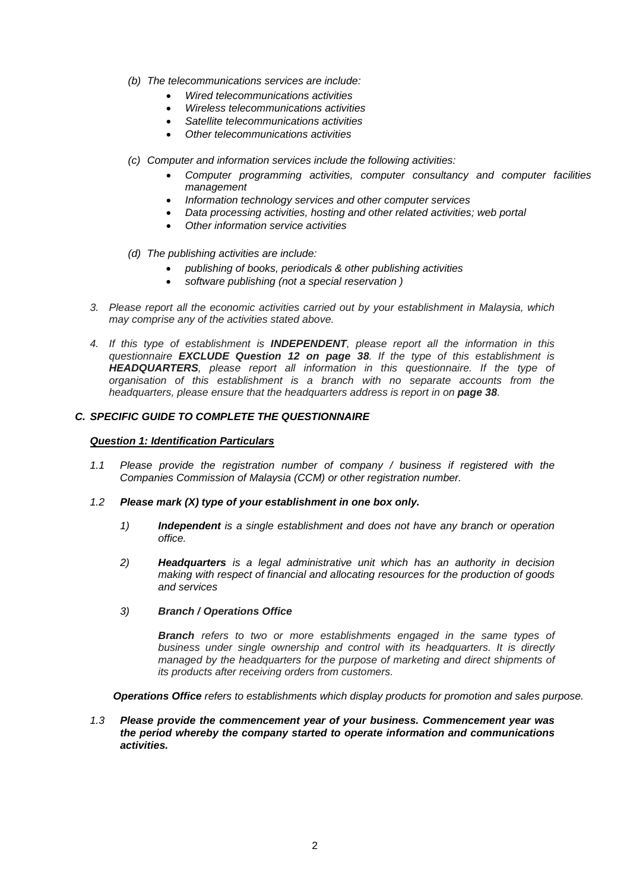- *(b) The telecommunications services are include:*
	- *Wired telecommunications activities*
	- *Wireless telecommunications activities*
	- *Satellite telecommunications activities*
	- *Other telecommunications activities*
- *(c) Computer and information services include the following activities:* 
	- *Computer programming activities, computer consultancy and computer facilities management*
	- *Information technology services and other computer services*
	- *Data processing activities, hosting and other related activities; web portal*
	- *Other information service activities*
- *(d) The publishing activities are include:*
	- *publishing of books, periodicals & other publishing activities*
	- *software publishing (not a special reservation )*
- *3. Please report all the economic activities carried out by your establishment in Malaysia, which may comprise any of the activities stated above.*
- *4. If this type of establishment is INDEPENDENT, please report all the information in this questionnaire EXCLUDE Question 12 on page 38. If the type of this establishment is HEADQUARTERS, please report all information in this questionnaire. If the type of organisation of this establishment is a branch with no separate accounts from the headquarters, please ensure that the headquarters address is report in on page 38.*

#### *C. SPECIFIC GUIDE TO COMPLETE THE QUESTIONNAIRE*

### *Question 1: Identification Particulars*

- *1.1 Please provide the registration number of company / business if registered with the Companies Commission of Malaysia (CCM) or other registration number.*
- *1.2 Please mark (X) type of your establishment in one box only.*
	- *1) Independent is a single establishment and does not have any branch or operation office.*
	- *2) Headquarters is a legal administrative unit which has an authority in decision making with respect of financial and allocating resources for the production of goods and services*
	- *3) Branch / Operations Office*

*Branch refers to two or more establishments engaged in the same types of business under single ownership and control with its headquarters. It is directly managed by the headquarters for the purpose of marketing and direct shipments of its products after receiving orders from customers.*

*Operations Office refers to establishments which display products for promotion and sales purpose.*

*1.3 Please provide the commencement year of your business. Commencement year was the period whereby the company started to operate information and communications activities.*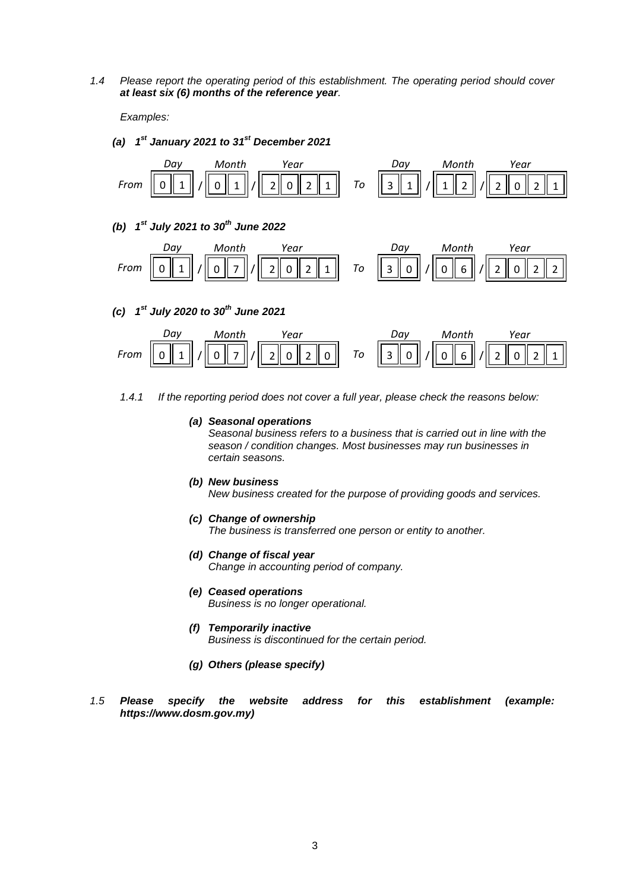*1.4 Please report the operating period of this establishment. The operating period should cover at least six (6) months of the reference year.*

*Examples:*

*(a) 1st January 2021 to 31st December 2021*





- *1.4.1 If the reporting period does not cover a full year, please check the reasons below:* 
	- *(a) Seasonal operations Seasonal business refers to a business that is carried out in line with the season / condition changes. Most businesses may run businesses in certain seasons.*
	- *(b) New business New business created for the purpose of providing goods and services.*
	- *(c) Change of ownership The business is transferred one person or entity to another.*
	- *(d) Change of fiscal year Change in accounting period of company.*
	- *(e) Ceased operations Business is no longer operational.*
	- *(f) Temporarily inactive Business is discontinued for the certain period.*
	- *(g) Others (please specify)*
- *1.5 Please specify the website address for this establishment (example: https://www.dosm.gov.my)*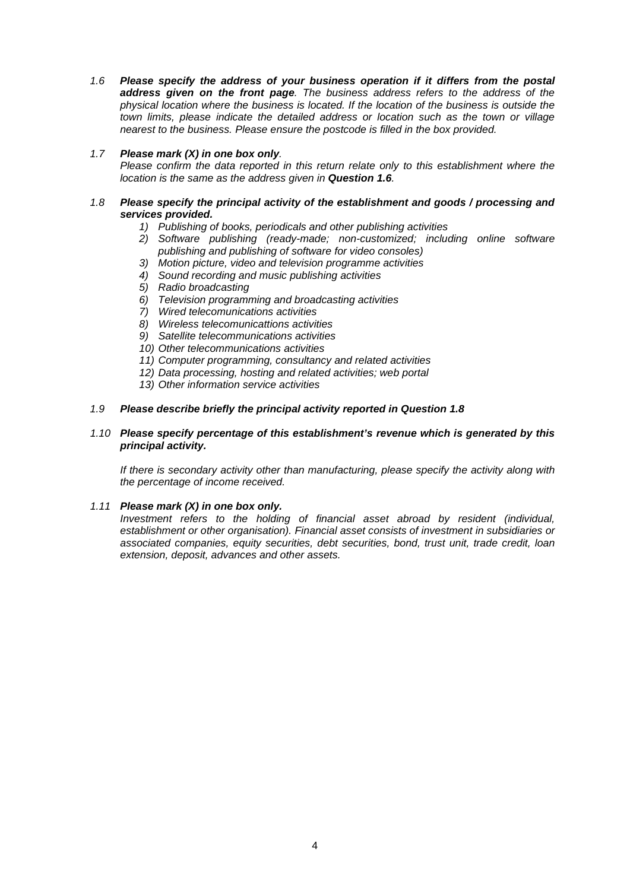*1.6 Please specify the address of your business operation if it differs from the postal address given on the front page. The business address refers to the address of the physical location where the business is located. If the location of the business is outside the town limits, please indicate the detailed address or location such as the town or village nearest to the business. Please ensure the postcode is filled in the box provided.*

### *1.7 Please mark (X) in one box only.*

*Please confirm the data reported in this return relate only to this establishment where the location is the same as the address given in Question 1.6.*

#### *1.8 Please specify the principal activity of the establishment and goods / processing and services provided.*

- *1) Publishing of books, periodicals and other publishing activities*
- *2) Software publishing (ready-made; non-customized; including online software publishing and publishing of software for video consoles)*
- *3) Motion picture, video and television programme activities*
- *4) Sound recording and music publishing activities*
- *5) Radio broadcasting*
- *6) Television programming and broadcasting activities*
- *7) Wired telecomunications activities*
- *8) Wireless telecomunicattions activities*
- *9) Satellite telecommunications activities*
- *10) Other telecommunications activities*
- *11) Computer programming, consultancy and related activities*
- *12) Data processing, hosting and related activities; web portal*
- *13) Other information service activities*

#### *1.9 Please describe briefly the principal activity reported in Question 1.8*

#### *1.10 Please specify percentage of this establishment's revenue which is generated by this principal activity.*

*If there is secondary activity other than manufacturing, please specify the activity along with the percentage of income received.*

#### *1.11 Please mark (X) in one box only.*

*Investment refers to the holding of financial asset abroad by resident (individual, establishment or other organisation). Financial asset consists of investment in subsidiaries or associated companies, equity securities, debt securities, bond, trust unit, trade credit, loan extension, deposit, advances and other assets.*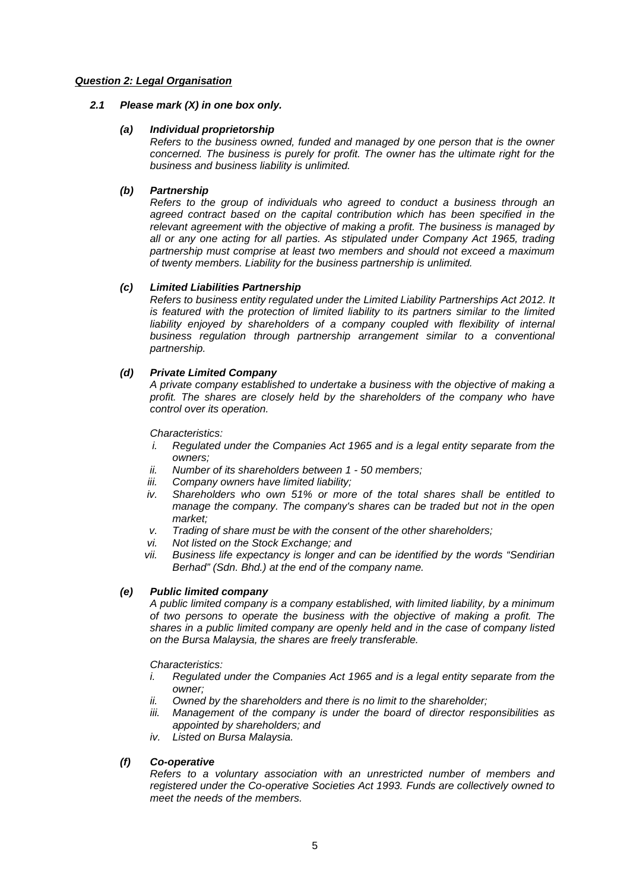### *Question 2: Legal Organisation*

### *2.1 Please mark (X) in one box only.*

### *(a) Individual proprietorship*

*Refers to the business owned, funded and managed by one person that is the owner concerned. The business is purely for profit. The owner has the ultimate right for the business and business liability is unlimited.*

### *(b) Partnership*

*Refers to the group of individuals who agreed to conduct a business through an agreed contract based on the capital contribution which has been specified in the relevant agreement with the objective of making a profit. The business is managed by all or any one acting for all parties. As stipulated under Company Act 1965, trading partnership must comprise at least two members and should not exceed a maximum of twenty members. Liability for the business partnership is unlimited.*

### *(c) Limited Liabilities Partnership*

*Refers to business entity regulated under the Limited Liability Partnerships Act 2012. It is featured with the protection of limited liability to its partners similar to the limited*  liability enjoyed by shareholders of a company coupled with flexibility of internal *business regulation through partnership arrangement similar to a conventional partnership.*

### *(d) Private Limited Company*

*A private company established to undertake a business with the objective of making a profit. The shares are closely held by the shareholders of the company who have control over its operation.*

*Characteristics:*

- *i. Regulated under the Companies Act 1965 and is a legal entity separate from the owners;*
- *ii. Number of its shareholders between 1 - 50 members;*
- Company owners have limited liability;
- *iv. Shareholders who own 51% or more of the total shares shall be entitled to manage the company. The company's shares can be traded but not in the open market;*
- *v. Trading of share must be with the consent of the other shareholders;*
- *vi. Not listed on the Stock Exchange; and*
- *vii. Business life expectancy is longer and can be identified by the words "Sendirian Berhad" (Sdn. Bhd.) at the end of the company name.*

### *(e) Public limited company*

*A public limited company is a company established, with limited liability, by a minimum of two persons to operate the business with the objective of making a profit. The shares in a public limited company are openly held and in the case of company listed on the Bursa Malaysia, the shares are freely transferable.* 

*Characteristics:*

- *i. Regulated under the Companies Act 1965 and is a legal entity separate from the owner;*
- *ii. Owned by the shareholders and there is no limit to the shareholder;*
- *iii. Management of the company is under the board of director responsibilities as appointed by shareholders; and*
- *iv. Listed on Bursa Malaysia.*

### *(f) Co-operative*

*Refers to a voluntary association with an unrestricted number of members and registered under the Co-operative Societies Act 1993. Funds are collectively owned to meet the needs of the members.*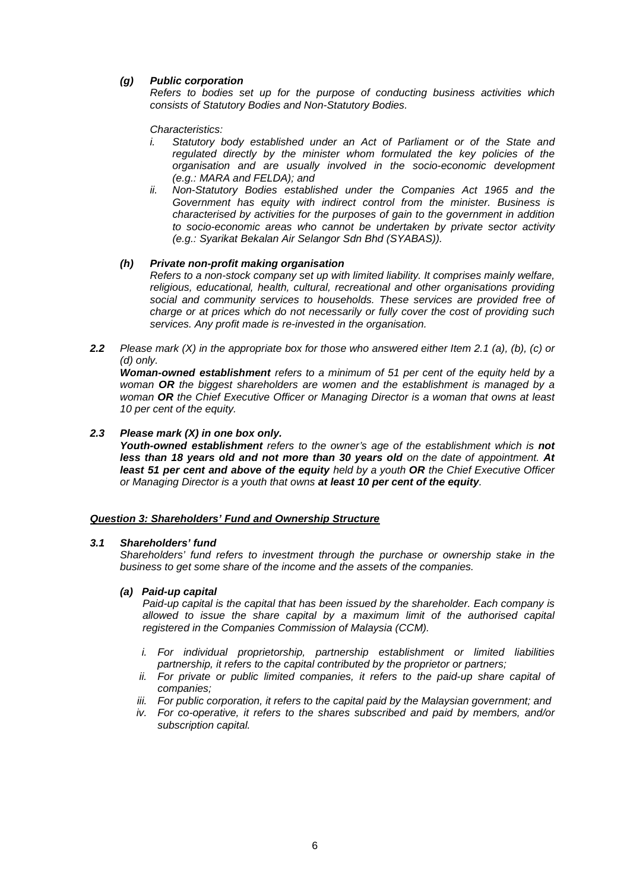### *(g) Public corporation*

*Refers to bodies set up for the purpose of conducting business activities which consists of Statutory Bodies and Non-Statutory Bodies.*

*Characteristics:*

- *i.* Statutory body established under an Act of Parliament or of the State and *regulated directly by the minister whom formulated the key policies of the organisation and are usually involved in the socio-economic development (e.g.: MARA and FELDA); and*
- *ii. Non-Statutory Bodies established under the Companies Act 1965 and the Government has equity with indirect control from the minister. Business is characterised by activities for the purposes of gain to the government in addition to socio-economic areas who cannot be undertaken by private sector activity (e.g.: Syarikat Bekalan Air Selangor Sdn Bhd (SYABAS)).*

#### *(h) Private non-profit making organisation*

*Refers to a non-stock company set up with limited liability. It comprises mainly welfare, religious, educational, health, cultural, recreational and other organisations providing social and community services to households. These services are provided free of charge or at prices which do not necessarily or fully cover the cost of providing such services. Any profit made is re-invested in the organisation.*

*2.2 Please mark (X) in the appropriate box for those who answered either Item 2.1 (a), (b), (c) or (d) only.*

*Woman-owned establishment refers to a minimum of 51 per cent of the equity held by a woman OR the biggest shareholders are women and the establishment is managed by a woman OR the Chief Executive Officer or Managing Director is a woman that owns at least 10 per cent of the equity.*

### *2.3 Please mark (X) in one box only.*

*Youth-owned establishment refers to the owner's age of the establishment which is not less than 18 years old and not more than 30 years old on the date of appointment. At least 51 per cent and above of the equity held by a youth OR the Chief Executive Officer or Managing Director is a youth that owns at least 10 per cent of the equity.*

#### *Question 3: Shareholders' Fund and Ownership Structure*

#### *3.1 Shareholders' fund*

*Shareholders' fund refers to investment through the purchase or ownership stake in the business to get some share of the income and the assets of the companies.*

#### *(a) Paid-up capital*

*Paid-up capital is the capital that has been issued by the shareholder. Each company is allowed to issue the share capital by a maximum limit of the authorised capital registered in the Companies Commission of Malaysia (CCM).*

- *i. For individual proprietorship, partnership establishment or limited liabilities partnership, it refers to the capital contributed by the proprietor or partners;*
- *ii. For private or public limited companies, it refers to the paid-up share capital of companies;*
- *iii. For public corporation, it refers to the capital paid by the Malaysian government; and*
- *iv. For co-operative, it refers to the shares subscribed and paid by members, and/or subscription capital.*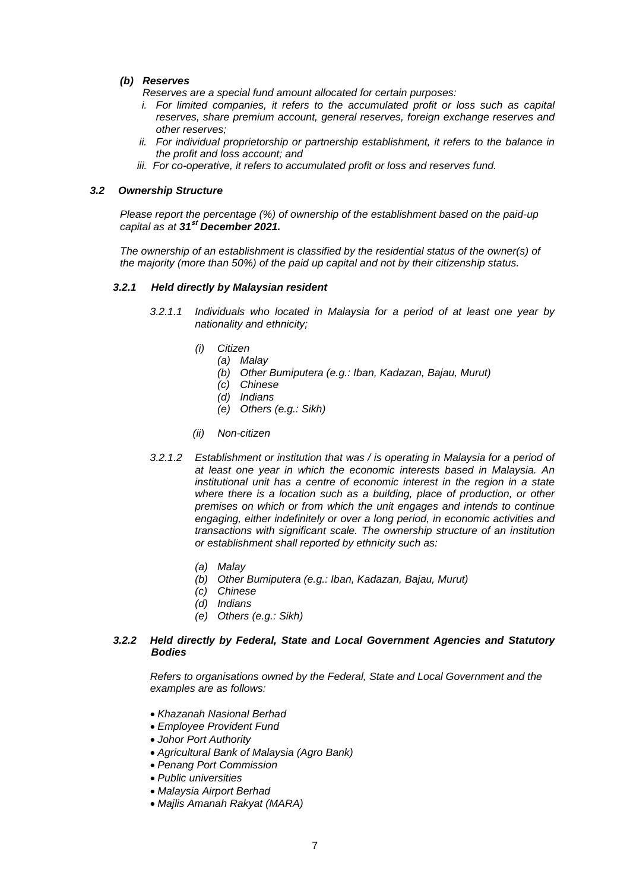### *(b) Reserves*

*Reserves are a special fund amount allocated for certain purposes:*

- *i. For limited companies, it refers to the accumulated profit or loss such as capital reserves, share premium account, general reserves, foreign exchange reserves and other reserves;*
- *ii. For individual proprietorship or partnership establishment, it refers to the balance in the profit and loss account; and*
- *iii. For co-operative, it refers to accumulated profit or loss and reserves fund.*

### *3.2 Ownership Structure*

*Please report the percentage (%) of ownership of the establishment based on the paid-up capital as at 31***st** *December 2021.*

*The ownership of an establishment is classified by the residential status of the owner(s) of the majority (more than 50%) of the paid up capital and not by their citizenship status.*

#### *3.2.1 Held directly by Malaysian resident*

- *3.2.1.1 Individuals who located in Malaysia for a period of at least one year by nationality and ethnicity;*
	- *(i) Citizen*
		- *(a) Malay*
		- *(b) Other Bumiputera (e.g.: Iban, Kadazan, Bajau, Murut)*
		- *(c) Chinese*
		- *(d) Indians*
		- *(e) Others (e.g.: Sikh)*
	- *(ii) Non-citizen*
- *3.2.1.2 Establishment or institution that was / is operating in Malaysia for a period of at least one year in which the economic interests based in Malaysia. An institutional unit has a centre of economic interest in the region in a state where there is a location such as a building, place of production, or other premises on which or from which the unit engages and intends to continue engaging, either indefinitely or over a long period, in economic activities and transactions with significant scale. The ownership structure of an institution or establishment shall reported by ethnicity such as:*
	- *(a) Malay*
	- *(b) Other Bumiputera (e.g.: Iban, Kadazan, Bajau, Murut)*
	- *(c) Chinese*
	- *(d) Indians*
	- *(e) Others (e.g.: Sikh)*

#### *3.2.2 Held directly by Federal, State and Local Government Agencies and Statutory Bodies*

 *Refers to organisations owned by the Federal, State and Local Government and the examples are as follows:*

- *Khazanah Nasional Berhad*
- *Employee Provident Fund*
- *Johor Port Authority*
- *Agricultural Bank of Malaysia (Agro Bank)*
- *Penang Port Commission*
- *Public universities*
- *Malaysia Airport Berhad*
- *Majlis Amanah Rakyat (MARA)*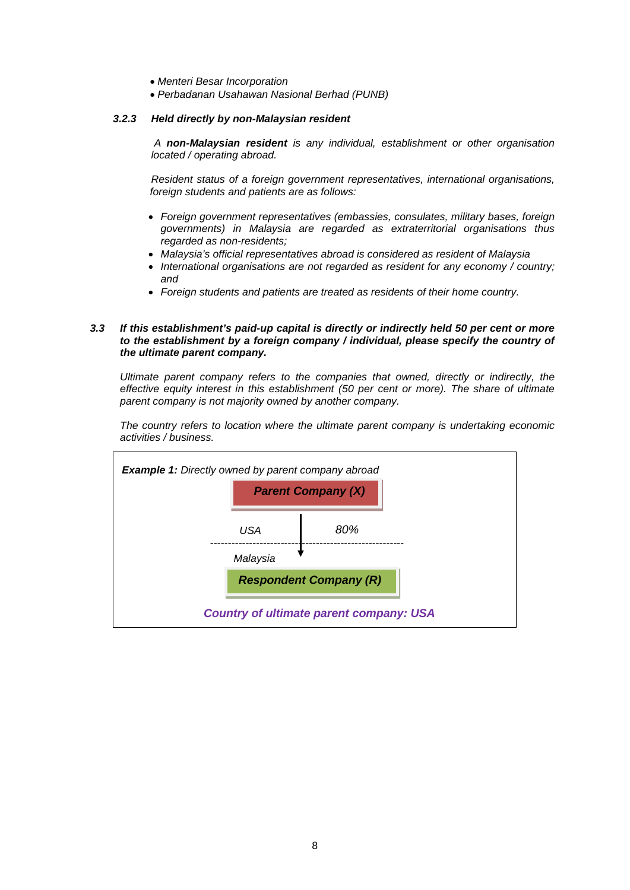- *Menteri Besar Incorporation*
- *Perbadanan Usahawan Nasional Berhad (PUNB)*

#### *3.2.3 Held directly by non-Malaysian resident*

*A non-Malaysian resident is any individual, establishment or other organisation located / operating abroad.* 

*Resident status of a foreign government representatives, international organisations, foreign students and patients are as follows:*

- *Foreign government representatives (embassies, consulates, military bases, foreign governments) in Malaysia are regarded as extraterritorial organisations thus regarded as non-residents;*
- *Malaysia's official representatives abroad is considered as resident of Malaysia*
- *International organisations are not regarded as resident for any economy / country; and*
- *Foreign students and patients are treated as residents of their home country.*

#### *3.3 If this establishment's paid-up capital is directly or indirectly held 50 per cent or more to the establishment by a foreign company / individual, please specify the country of the ultimate parent company.*

*Ultimate parent company refers to the companies that owned, directly or indirectly, the effective equity interest in this establishment (50 per cent or more). The share of ultimate parent company is not majority owned by another company.*

*The country refers to location where the ultimate parent company is undertaking economic activities / business.*

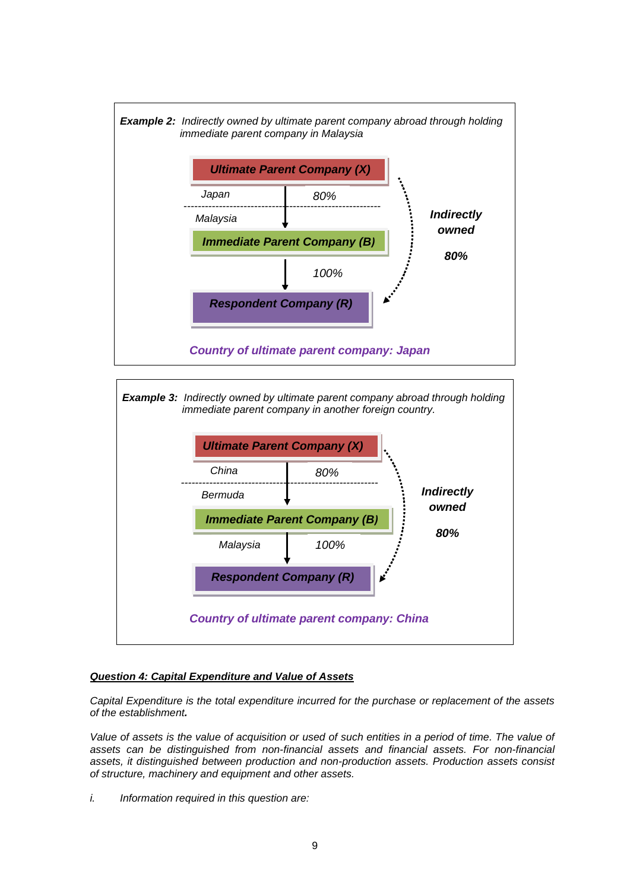





### *Question 4: Capital Expenditure and Value of Assets*

*Capital Expenditure is the total expenditure incurred for the purchase or replacement of the assets of the establishment.* 

Value of assets is the value of acquisition or used of such entities in a period of time. The value of *assets can be distinguished from non-financial assets and financial assets. For non-financial assets, it distinguished between production and non-production assets. Production assets consist of structure, machinery and equipment and other assets.*

*i. Information required in this question are:*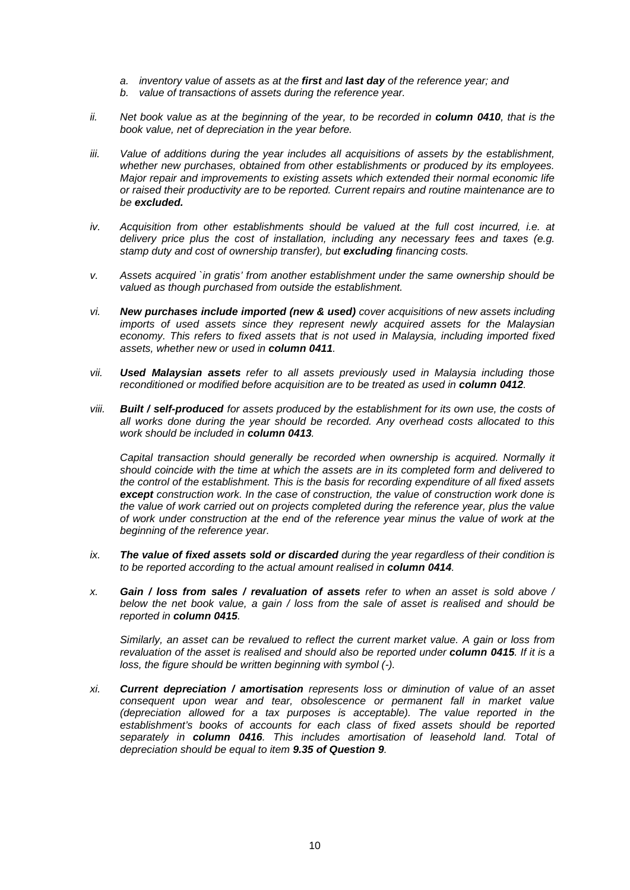- *a. inventory value of assets as at the first and last day of the reference year; and*
- *b. value of transactions of assets during the reference year.*
- *ii.* Net book value as at the beginning of the year, to be recorded in **column 0410**, that is the *book value, net of depreciation in the year before.*
- *iii. Value of additions during the year includes all acquisitions of assets by the establishment, whether new purchases, obtained from other establishments or produced by its employees. Major repair and improvements to existing assets which extended their normal economic life or raised their productivity are to be reported. Current repairs and routine maintenance are to be excluded.*
- *iv. Acquisition from other establishments should be valued at the full cost incurred, i.e. at delivery price plus the cost of installation, including any necessary fees and taxes (e.g. stamp duty and cost of ownership transfer), but excluding financing costs.*
- *v. Assets acquired `in gratis' from another establishment under the same ownership should be valued as though purchased from outside the establishment.*
- *vi. New purchases include imported (new & used) cover acquisitions of new assets including imports of used assets since they represent newly acquired assets for the Malaysian economy. This refers to fixed assets that is not used in Malaysia, including imported fixed assets, whether new or used in column 0411.*
- *vii. Used Malaysian assets refer to all assets previously used in Malaysia including those reconditioned or modified before acquisition are to be treated as used in column 0412.*
- *viii. Built / self-produced for assets produced by the establishment for its own use, the costs of all works done during the year should be recorded. Any overhead costs allocated to this work should be included in column 0413.*

*Capital transaction should generally be recorded when ownership is acquired. Normally it should coincide with the time at which the assets are in its completed form and delivered to the control of the establishment. This is the basis for recording expenditure of all fixed assets except construction work. In the case of construction, the value of construction work done is the value of work carried out on projects completed during the reference year, plus the value of work under construction at the end of the reference year minus the value of work at the beginning of the reference year.*

- *ix. The value of fixed assets sold or discarded during the year regardless of their condition is to be reported according to the actual amount realised in column 0414.*
- *x. Gain / loss from sales / revaluation of assets refer to when an asset is sold above / below the net book value, a gain / loss from the sale of asset is realised and should be reported in column 0415.*

*Similarly, an asset can be revalued to reflect the current market value. A gain or loss from revaluation of the asset is realised and should also be reported under column 0415. If it is a loss, the figure should be written beginning with symbol (-).*

*xi. Current depreciation / amortisation represents loss or diminution of value of an asset consequent upon wear and tear, obsolescence or permanent fall in market value (depreciation allowed for a tax purposes is acceptable). The value reported in the establishment's books of accounts for each class of fixed assets should be reported separately in column 0416. This includes amortisation of leasehold land. Total of depreciation should be equal to item 9.35 of Question 9.*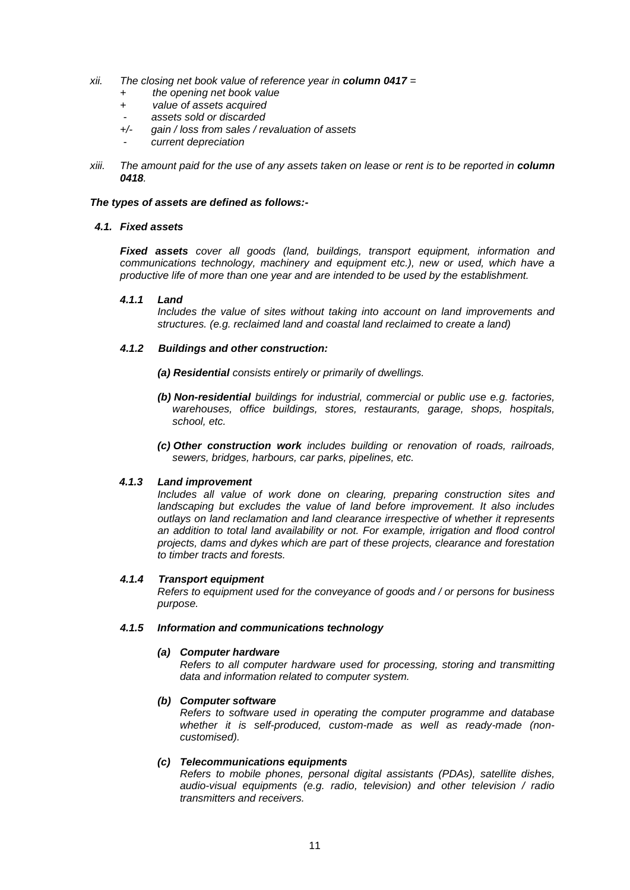- *xii. The closing net book value of reference year in column 0417 =* 
	- *+ the opening net book value*
	- *+ value of assets acquired*
	-
	- - *assets sold or discarded +/- gain / loss from sales / revaluation of assets*
	- - *current depreciation*
- *xiii. The amount paid for the use of any assets taken on lease or rent is to be reported in column 0418.*

### *The types of assets are defined as follows:-*

### *4.1. Fixed assets*

*Fixed assets cover all goods (land, buildings, transport equipment, information and communications technology, machinery and equipment etc.), new or used, which have a productive life of more than one year and are intended to be used by the establishment.*

### *4.1.1 Land*

*Includes the value of sites without taking into account on land improvements and structures. (e.g. reclaimed land and coastal land reclaimed to create a land)*

### *4.1.2 Buildings and other construction:*

- *(a) Residential consists entirely or primarily of dwellings.*
- *(b) Non-residential buildings for industrial, commercial or public use e.g. factories, warehouses, office buildings, stores, restaurants, garage, shops, hospitals, school, etc.*
- *(c) Other construction work includes building or renovation of roads, railroads, sewers, bridges, harbours, car parks, pipelines, etc.*

### *4.1.3 Land improvement*

*Includes all value of work done on clearing, preparing construction sites and landscaping but excludes the value of land before improvement. It also includes outlays on land reclamation and land clearance irrespective of whether it represents an addition to total land availability or not. For example, irrigation and flood control projects, dams and dykes which are part of these projects, clearance and forestation to timber tracts and forests.*

#### *4.1.4 Transport equipment*

*Refers to equipment used for the conveyance of goods and / or persons for business purpose.*

#### *4.1.5 Information and communications technology*

#### *(a) Computer hardware*

*Refers to all computer hardware used for processing, storing and transmitting data and information related to computer system.*

### *(b) Computer software*

*Refers to software used in operating the computer programme and database whether it is self-produced, custom-made as well as ready-made (noncustomised).*

### *(c) Telecommunications equipments*

*Refers to mobile phones, personal digital assistants (PDAs), satellite dishes, audio-visual equipments (e.g. radio, television) and other television / radio transmitters and receivers.*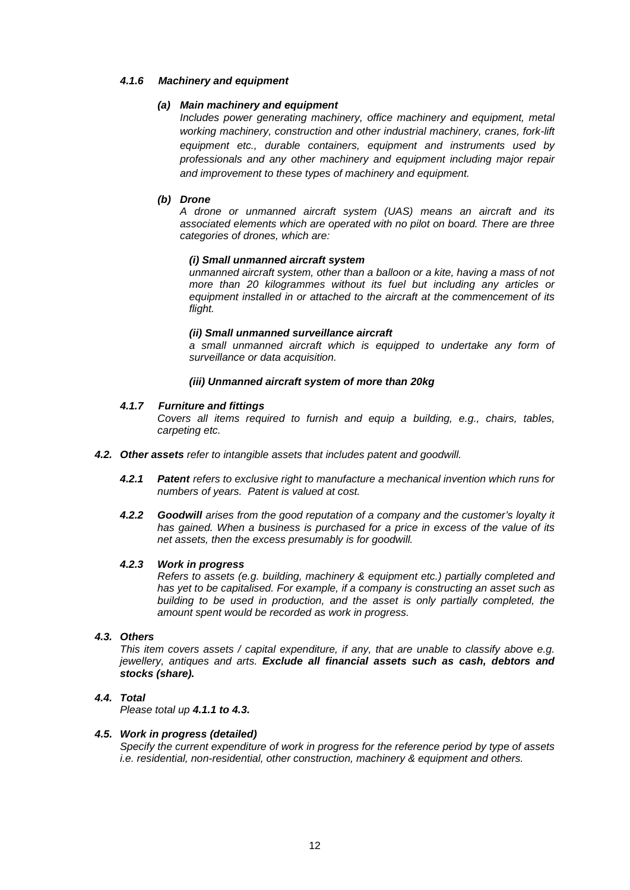### *4.1.6 Machinery and equipment*

### *(a) Main machinery and equipment*

*Includes power generating machinery, office machinery and equipment, metal working machinery, construction and other industrial machinery, cranes, fork-lift equipment etc., durable containers, equipment and instruments used by professionals and any other machinery and equipment including major repair and improvement to these types of machinery and equipment.*

### *(b) Drone*

*A drone or unmanned aircraft system (UAS) means an aircraft and its associated elements which are operated with no pilot on board. There are three categories of drones, which are:*

#### *(i) Small unmanned aircraft system*

*unmanned aircraft system, other than a balloon or a kite, having a mass of not more than 20 kilogrammes without its fuel but including any articles or equipment installed in or attached to the aircraft at the commencement of its flight.*

#### *(ii) Small unmanned surveillance aircraft*

*a small unmanned aircraft which is equipped to undertake any form of surveillance or data acquisition.*

#### *(iii) Unmanned aircraft system of more than 20kg*

#### *4.1.7 Furniture and fittings*

*Covers all items required to furnish and equip a building, e.g., chairs, tables, carpeting etc.*

- *4.2. Other assets refer to intangible assets that includes patent and goodwill.*
	- *4.2.1 Patent refers to exclusive right to manufacture a mechanical invention which runs for numbers of years. Patent is valued at cost.*
	- *4.2.2 Goodwill arises from the good reputation of a company and the customer's loyalty it has gained. When a business is purchased for a price in excess of the value of its net assets, then the excess presumably is for goodwill.*

#### *4.2.3 Work in progress*

*Refers to assets (e.g. building, machinery & equipment etc.) partially completed and has yet to be capitalised. For example, if a company is constructing an asset such as building to be used in production, and the asset is only partially completed, the amount spent would be recorded as work in progress.*

#### *4.3. Others*

*This item covers assets / capital expenditure, if any, that are unable to classify above e.g. jewellery, antiques and arts. Exclude all financial assets such as cash, debtors and stocks (share).*

#### *4.4. Total*

*Please total up 4.1.1 to 4.3.*

### *4.5. Work in progress (detailed)*

*Specify the current expenditure of work in progress for the reference period by type of assets i.e. residential, non-residential, other construction, machinery & equipment and others.*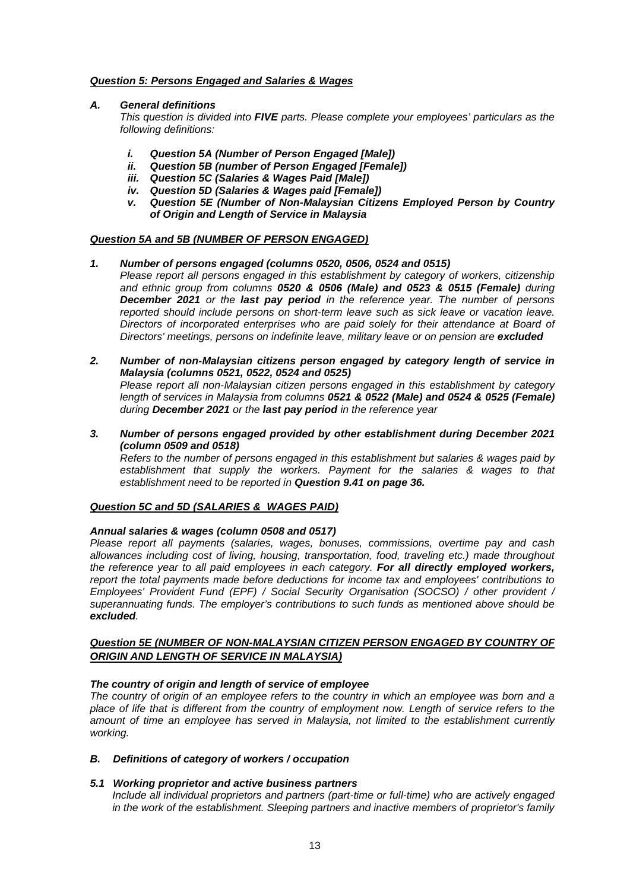### *Question 5: Persons Engaged and Salaries & Wages*

### *A. General definitions*

*This question is divided into FIVE parts. Please complete your employees' particulars as the following definitions:*

- *i. Question 5A (Number of Person Engaged [Male])*
- *ii. Question 5B (number of Person Engaged [Female])*
- *iii. Question 5C (Salaries & Wages Paid [Male])*
- *iv. Question 5D (Salaries & Wages paid [Female])*
- *v. Question 5E (Number of Non-Malaysian Citizens Employed Person by Country of Origin and Length of Service in Malaysia*

### *Question 5A and 5B (NUMBER OF PERSON ENGAGED)*

#### *1. Number of persons engaged (columns 0520, 0506, 0524 and 0515)*

- *Please report all persons engaged in this establishment by category of workers, citizenship and ethnic group from columns 0520 & 0506 (Male) and 0523 & 0515 (Female) during December 2021 or the last pay period in the reference year. The number of persons reported should include persons on short-term leave such as sick leave or vacation leave. Directors of incorporated enterprises who are paid solely for their attendance at Board of Directors' meetings, persons on indefinite leave, military leave or on pension are excluded*
- *2. Number of non-Malaysian citizens person engaged by category length of service in Malaysia (columns 0521, 0522, 0524 and 0525) Please report all non-Malaysian citizen persons engaged in this establishment by category length of services in Malaysia from columns 0521 & 0522 (Male) and 0524 & 0525 (Female) during December 2021 or the last pay period in the reference year*
- *3. Number of persons engaged provided by other establishment during December 2021 (column 0509 and 0518)*

*Refers to the number of persons engaged in this establishment but salaries & wages paid by establishment that supply the workers. Payment for the salaries & wages to that establishment need to be reported in Question 9.41 on page 36.*

#### *Question 5C and 5D (SALARIES & WAGES PAID)*

#### *Annual salaries & wages (column 0508 and 0517)*

*Please report all payments (salaries, wages, bonuses, commissions, overtime pay and cash allowances including cost of living, housing, transportation, food, traveling etc.) made throughout the reference year to all paid employees in each category. For all directly employed workers, report the total payments made before deductions for income tax and employees' contributions to Employees' Provident Fund (EPF) / Social Security Organisation (SOCSO) / other provident / superannuating funds. The employer's contributions to such funds as mentioned above should be excluded.*

### *Question 5E (NUMBER OF NON-MALAYSIAN CITIZEN PERSON ENGAGED BY COUNTRY OF ORIGIN AND LENGTH OF SERVICE IN MALAYSIA)*

#### *The country of origin and length of service of employee*

*The country of origin of an employee refers to the country in which an employee was born and a place of life that is different from the country of employment now. Length of service refers to the amount of time an employee has served in Malaysia, not limited to the establishment currently working.*

### *B. Definitions of category of workers / occupation*

#### *5.1 Working proprietor and active business partners*

*Include all individual proprietors and partners (part-time or full-time) who are actively engaged in the work of the establishment. Sleeping partners and inactive members of proprietor's family*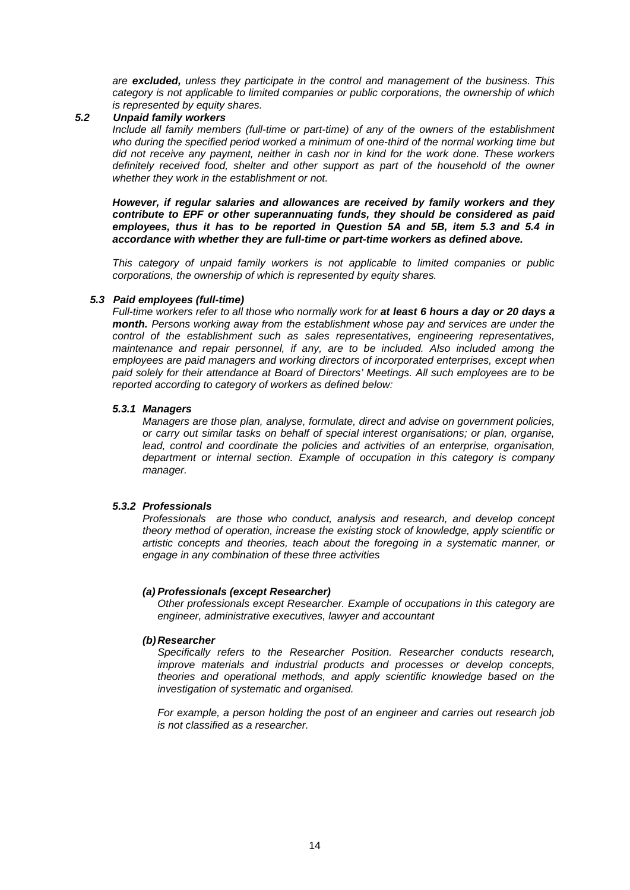*are excluded, unless they participate in the control and management of the business. This category is not applicable to limited companies or public corporations, the ownership of which is represented by equity shares.*

### *5.2 Unpaid family workers*

*Include all family members (full-time or part-time) of any of the owners of the establishment*  who during the specified period worked a minimum of one-third of the normal working time but *did not receive any payment, neither in cash nor in kind for the work done. These workers definitely received food, shelter and other support as part of the household of the owner whether they work in the establishment or not.*

*However, if regular salaries and allowances are received by family workers and they contribute to EPF or other superannuating funds, they should be considered as paid employees, thus it has to be reported in Question 5A and 5B, item 5.3 and 5.4 in accordance with whether they are full-time or part-time workers as defined above.*

*This category of unpaid family workers is not applicable to limited companies or public corporations, the ownership of which is represented by equity shares.*

### *5.3 Paid employees (full-time)*

*Full-time workers refer to all those who normally work for at least 6 hours a day or 20 days a month. Persons working away from the establishment whose pay and services are under the control of the establishment such as sales representatives, engineering representatives, maintenance and repair personnel, if any, are to be included. Also included among the employees are paid managers and working directors of incorporated enterprises, except when paid solely for their attendance at Board of Directors' Meetings. All such employees are to be reported according to category of workers as defined below:*

#### *5.3.1 Managers*

*Managers are those plan, analyse, formulate, direct and advise on government policies, or carry out similar tasks on behalf of special interest organisations; or plan, organise, lead, control and coordinate the policies and activities of an enterprise, organisation, department or internal section. Example of occupation in this category is company manager.*

### *5.3.2 Professionals*

*Professionals are those who conduct, analysis and research, and develop concept theory method of operation, increase the existing stock of knowledge, apply scientific or artistic concepts and theories, teach about the foregoing in a systematic manner, or engage in any combination of these three activities*

### *(a) Professionals (except Researcher)*

*Other professionals except Researcher. Example of occupations in this category are engineer, administrative executives, lawyer and accountant*

#### *(b)Researcher*

*Specifically refers to the Researcher Position. Researcher conducts research, improve materials and industrial products and processes or develop concepts, theories and operational methods, and apply scientific knowledge based on the investigation of systematic and organised.*

*For example, a person holding the post of an engineer and carries out research job is not classified as a researcher.*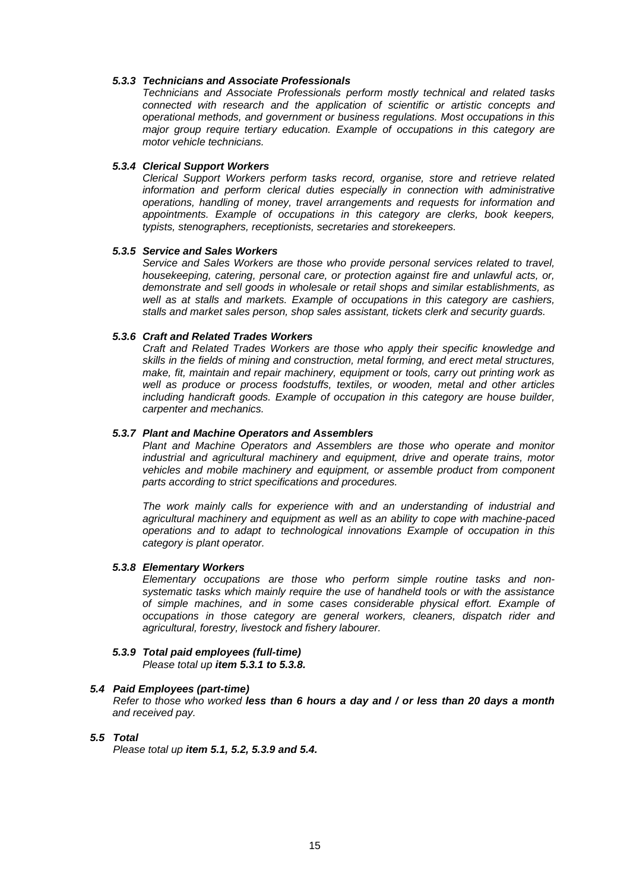#### *5.3.3 Technicians and Associate Professionals*

*Technicians and Associate Professionals perform mostly technical and related tasks connected with research and the application of scientific or artistic concepts and operational methods, and government or business regulations. Most occupations in this major group require tertiary education. Example of occupations in this category are motor vehicle technicians.*

#### *5.3.4 Clerical Support Workers*

*Clerical Support Workers perform tasks record, organise, store and retrieve related*  information and perform clerical duties especially in connection with administrative *operations, handling of money, travel arrangements and requests for information and appointments. Example of occupations in this category are clerks, book keepers, typists, stenographers, receptionists, secretaries and storekeepers.*

#### *5.3.5 Service and Sales Workers*

*Service and Sales Workers are those who provide personal services related to travel, housekeeping, catering, personal care, or protection against fire and unlawful acts, or, demonstrate and sell goods in wholesale or retail shops and similar establishments, as well as at stalls and markets. Example of occupations in this category are cashiers, stalls and market sales person, shop sales assistant, tickets clerk and security guards.*

#### *5.3.6 Craft and Related Trades Workers*

*Craft and Related Trades Workers are those who apply their specific knowledge and skills in the fields of mining and construction, metal forming, and erect metal structures, make, fit, maintain and repair machinery, equipment or tools, carry out printing work as well as produce or process foodstuffs, textiles, or wooden, metal and other articles including handicraft goods. Example of occupation in this category are house builder, carpenter and mechanics.*

### *5.3.7 Plant and Machine Operators and Assemblers*

*Plant and Machine Operators and Assemblers are those who operate and monitor industrial and agricultural machinery and equipment, drive and operate trains, motor vehicles and mobile machinery and equipment, or assemble product from component parts according to strict specifications and procedures.* 

*The work mainly calls for experience with and an understanding of industrial and agricultural machinery and equipment as well as an ability to cope with machine-paced operations and to adapt to technological innovations Example of occupation in this category is plant operator.*

#### *5.3.8 Elementary Workers*

*Elementary occupations are those who perform simple routine tasks and nonsystematic tasks which mainly require the use of handheld tools or with the assistance of simple machines, and in some cases considerable physical effort. Example of occupations in those category are general workers, cleaners, dispatch rider and agricultural, forestry, livestock and fishery labourer.*

#### *5.3.9 Total paid employees (full-time) Please total up item 5.3.1 to 5.3.8.*

### *5.4 Paid Employees (part-time)*

*Refer to those who worked less than 6 hours a day and / or less than 20 days a month and received pay.*

### *5.5 Total*

*Please total up item 5.1, 5.2, 5.3.9 and 5.4.*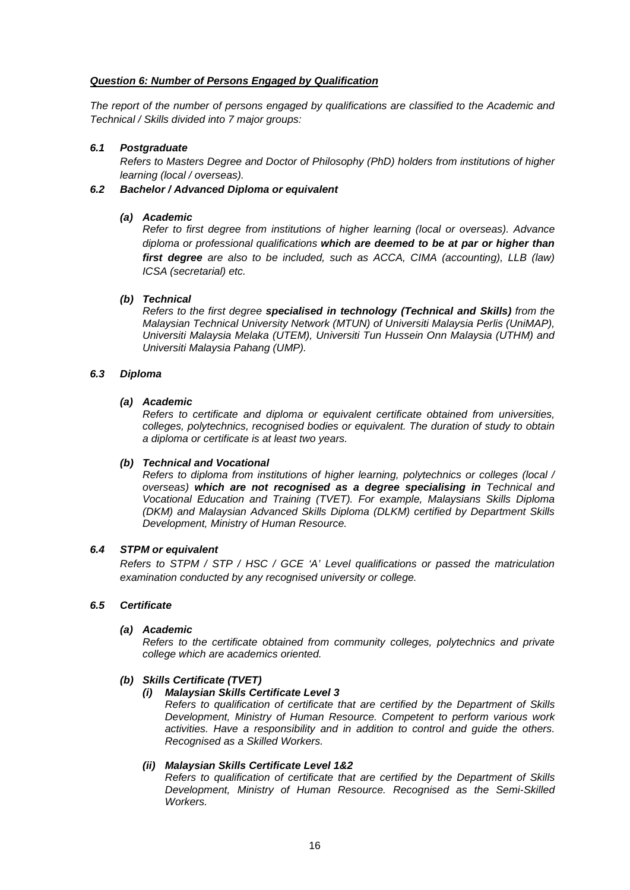### *Question 6: Number of Persons Engaged by Qualification*

*The report of the number of persons engaged by qualifications are classified to the Academic and Technical / Skills divided into 7 major groups:*

### *6.1 Postgraduate*

*Refers to Masters Degree and Doctor of Philosophy (PhD) holders from institutions of higher learning (local / overseas).*

### *6.2 Bachelor / Advanced Diploma or equivalent*

### *(a) Academic*

*Refer to first degree from institutions of higher learning (local or overseas). Advance diploma or professional qualifications which are deemed to be at par or higher than first degree are also to be included, such as ACCA, CIMA (accounting), LLB (law) ICSA (secretarial) etc.*

### *(b) Technical*

*Refers to the first degree specialised in technology (Technical and Skills) from the Malaysian Technical University Network (MTUN) of Universiti Malaysia Perlis (UniMAP), Universiti Malaysia Melaka (UTEM), Universiti Tun Hussein Onn Malaysia (UTHM) and Universiti Malaysia Pahang (UMP).*

### *6.3 Diploma*

### *(a) Academic*

*Refers to certificate and diploma or equivalent certificate obtained from universities, colleges, polytechnics, recognised bodies or equivalent. The duration of study to obtain a diploma or certificate is at least two years.*

### *(b) Technical and Vocational*

*Refers to diploma from institutions of higher learning, polytechnics or colleges (local / overseas) which are not recognised as a degree specialising in Technical and Vocational Education and Training (TVET). For example, Malaysians Skills Diploma (DKM) and Malaysian Advanced Skills Diploma (DLKM) certified by Department Skills Development, Ministry of Human Resource.*

### *6.4 STPM or equivalent*

*Refers to STPM / STP / HSC / GCE 'A' Level qualifications or passed the matriculation examination conducted by any recognised university or college.*

#### *6.5 Certificate*

### *(a) Academic*

*Refers to the certificate obtained from community colleges, polytechnics and private college which are academics oriented.*

### *(b) Skills Certificate (TVET)*

#### *(i) Malaysian Skills Certificate Level 3*

*Refers to qualification of certificate that are certified by the Department of Skills Development, Ministry of Human Resource. Competent to perform various work activities. Have a responsibility and in addition to control and guide the others. Recognised as a Skilled Workers.*

### *(ii) Malaysian Skills Certificate Level 1&2*

*Refers to qualification of certificate that are certified by the Department of Skills Development, Ministry of Human Resource. Recognised as the Semi-Skilled Workers.*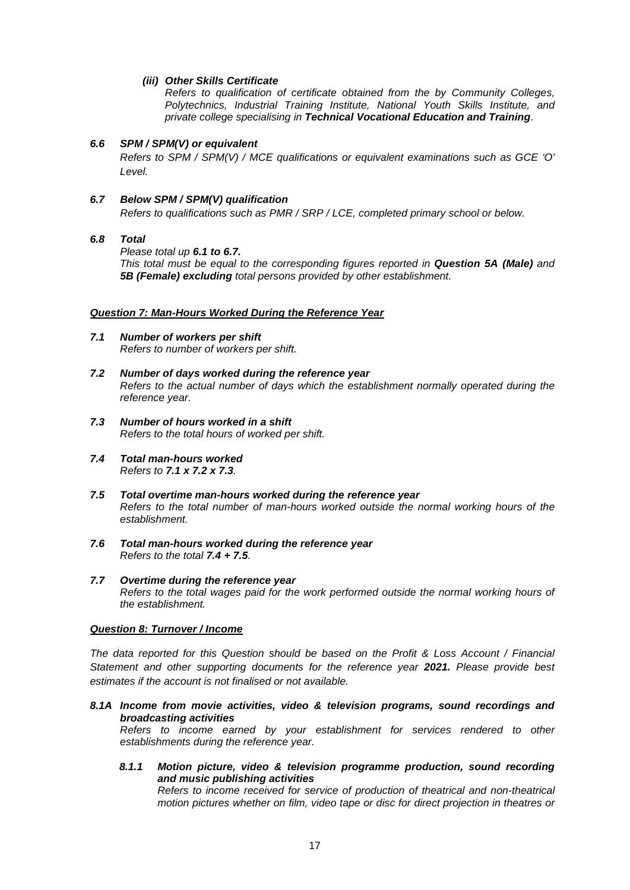### *(iii) Other Skills Certificate*

*Refers to qualification of certificate obtained from the by Community Colleges, Polytechnics, Industrial Training Institute, National Youth Skills Institute, and private college specialising in Technical Vocational Education and Training.*

### *6.6 SPM / SPM(V) or equivalent*

*Refers to SPM / SPM(V) / MCE qualifications or equivalent examinations such as GCE 'O' Level.*

### *6.7 Below SPM / SPM(V) qualification*

*Refers to qualifications such as PMR / SRP / LCE, completed primary school or below.* 

### *6.8 Total*

*Please total up 6.1 to 6.7.* 

*This total must be equal to the corresponding figures reported in Question 5A (Male) and 5B (Female) excluding total persons provided by other establishment.*

#### *Question 7: Man-Hours Worked During the Reference Year*

- *7.1 Number of workers per shift Refers to number of workers per shift.*
- *7.2 Number of days worked during the reference year Refers to the actual number of days which the establishment normally operated during the reference year.*
- *7.3 Number of hours worked in a shift Refers to the total hours of worked per shift.*
- *7.4 Total man-hours worked Refers to 7.1 x 7.2 x 7.3.*
- *7.5 Total overtime man-hours worked during the reference year Refers to the total number of man-hours worked outside the normal working hours of the establishment.*
- *7.6 Total man-hours worked during the reference year Refers to the total 7.4 + 7.5.*
- *7.7 Overtime during the reference year Refers to the total wages paid for the work performed outside the normal working hours of the establishment.*

#### *Question 8: Turnover / Income*

*The data reported for this Question should be based on the Profit & Loss Account / Financial Statement and other supporting documents for the reference year 2021. Please provide best estimates if the account is not finalised or not available.*

*8.1A Income from movie activities, video & television programs, sound recordings and broadcasting activities*

*Refers to income earned by your establishment for services rendered to other establishments during the reference year.* 

*8.1.1 Motion picture, video & television programme production, sound recording and music publishing activities*

*Refers to income received for service of production of theatrical and non-theatrical motion pictures whether on film, video tape or disc for direct projection in theatres or*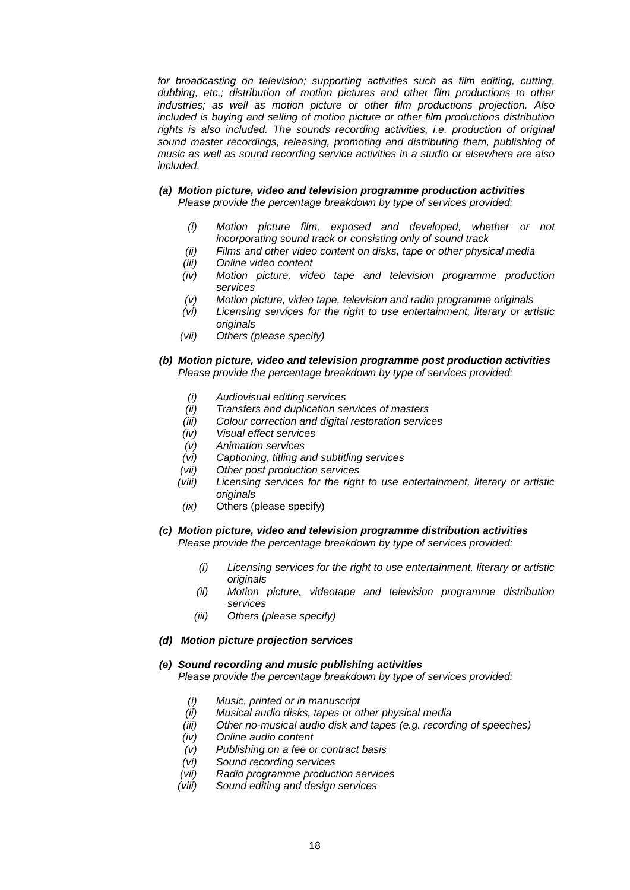*for broadcasting on television; supporting activities such as film editing, cutting, dubbing, etc.; distribution of motion pictures and other film productions to other industries; as well as motion picture or other film productions projection. Also included is buying and selling of motion picture or other film productions distribution*  rights is also included. The sounds recording activities, i.e. production of original *sound master recordings, releasing, promoting and distributing them, publishing of music as well as sound recording service activities in a studio or elsewhere are also included.*

- *(a) Motion picture, video and television programme production activities Please provide the percentage breakdown by type of services provided:*
	- *(i) Motion picture film, exposed and developed, whether or not incorporating sound track or consisting only of sound track*
	- *(ii) Films and other video content on disks, tape or other physical media*
	- *(iii) Online video content*
	- *(iv) Motion picture, video tape and television programme production services*
	- *(v) Motion picture, video tape, television and radio programme originals*
	- *(vi) Licensing services for the right to use entertainment, literary or artistic originals*
	- *(vii) Others (please specify)*
- *(b) Motion picture, video and television programme post production activities Please provide the percentage breakdown by type of services provided:*
	- *(i) Audiovisual editing services*
	- *(ii) Transfers and duplication services of masters*
	- *(iii) Colour correction and digital restoration services*
	- *(iv) Visual effect services*
	-
	- *(v) Animation services (vi) Captioning, titling and subtitling services*
	- *(vii) Other post production services*
	- *(viii) Licensing services for the right to use entertainment, literary or artistic originals*
	- *(ix)* Others (please specify)
- *(c) Motion picture, video and television programme distribution activities Please provide the percentage breakdown by type of services provided:*
	- *(i) Licensing services for the right to use entertainment, literary or artistic originals*
	- *(ii) Motion picture, videotape and television programme distribution services*
	- *(iii) Others (please specify)*

#### *(d) Motion picture projection services*

- *(e) Sound recording and music publishing activities Please provide the percentage breakdown by type of services provided:*
	- *(i) Music, printed or in manuscript*
	- *(ii) Musical audio disks, tapes or other physical media*
	- *(iii) Other no-musical audio disk and tapes (e.g. recording of speeches)*
	- *(iv) Online audio content*
	- *(v) Publishing on a fee or contract basis*
	- *(vi) Sound recording services*
	- *(vii) Radio programme production services*
	- *(viii) Sound editing and design services*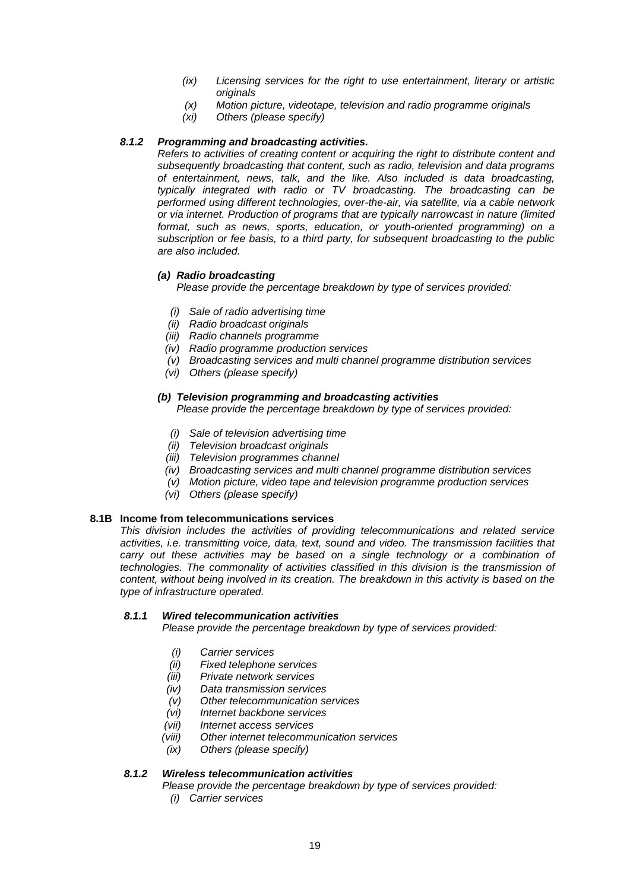- *(ix) Licensing services for the right to use entertainment, literary or artistic originals*
- *(x) Motion picture, videotape, television and radio programme originals*
- *(xi) Others (please specify)*

### *8.1.2 Programming and broadcasting activities.*

*Refers to activities of creating content or acquiring the right to distribute content and subsequently broadcasting that content, such as radio, television and data programs of entertainment, news, talk, and the like. Also included is data broadcasting, typically integrated with radio or TV broadcasting. The broadcasting can be performed using different technologies, over-the-air, via satellite, via a cable network or via internet. Production of programs that are typically narrowcast in nature (limited format, such as news, sports, education, or youth-oriented programming) on a subscription or fee basis, to a third party, for subsequent broadcasting to the public are also included.*

### *(a) Radio broadcasting*

*Please provide the percentage breakdown by type of services provided:*

- *(i) Sale of radio advertising time*
- *(ii) Radio broadcast originals*
- *(iii) Radio channels programme*
- *(iv) Radio programme production services*
- *(v) Broadcasting services and multi channel programme distribution services*
- *(vi) Others (please specify)*

#### *(b) Television programming and broadcasting activities*

*Please provide the percentage breakdown by type of services provided:*

- *(i) Sale of television advertising time*
- *(ii) Television broadcast originals*
- *(iii) Television programmes channel*
- *(iv) Broadcasting services and multi channel programme distribution services*
- *(v) Motion picture, video tape and television programme production services*
- *(vi) Others (please specify)*

#### **8.1B Income from telecommunications services**

*This division includes the activities of providing telecommunications and related service activities, i.e. transmitting voice, data, text, sound and video. The transmission facilities that carry out these activities may be based on a single technology or a combination of technologies. The commonality of activities classified in this division is the transmission of content, without being involved in its creation. The breakdown in this activity is based on the type of infrastructure operated.*

#### *8.1.1 Wired telecommunication activities*

*Please provide the percentage breakdown by type of services provided:*

- *(i) Carrier services*
- *(ii) Fixed telephone services*
- *(iii) Private network services*
- 
- *(iv) Data transmission services*
- *(v) Other telecommunication services (vi) Internet backbone services*
- *(vii) Internet access services*
- *(viii) Other internet telecommunication services*
- *(ix) Others (please specify)*

#### *8.1.2 Wireless telecommunication activities*

*Please provide the percentage breakdown by type of services provided:*

*(i) Carrier services*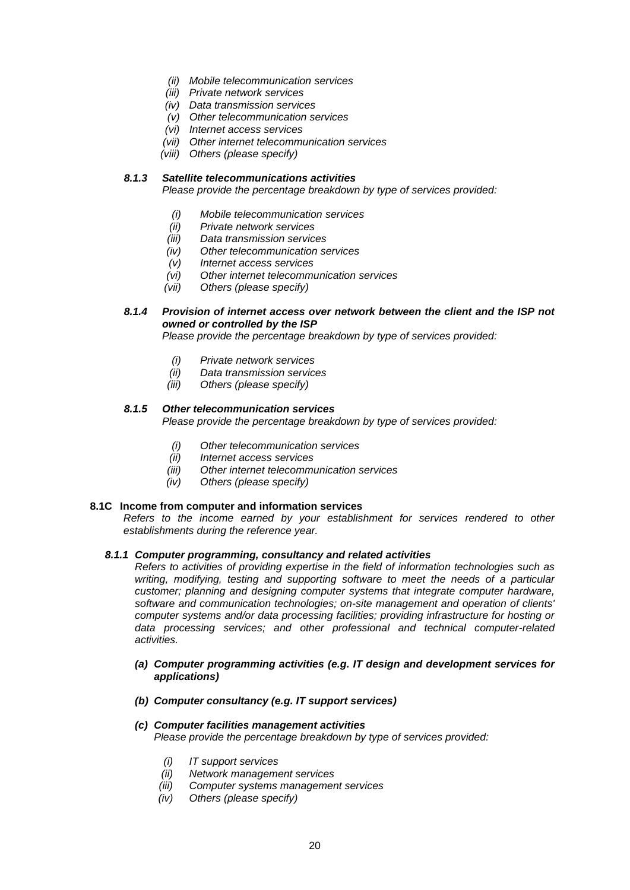- *(ii) Mobile telecommunication services*
- *(iii) Private network services*
- *(iv) Data transmission services*
- *(v) Other telecommunication services*
- *(vi) Internet access services*
- *(vii) Other internet telecommunication services*
- *(viii) Others (please specify)*

### *8.1.3 Satellite telecommunications activities*

*Please provide the percentage breakdown by type of services provided:*

- *(i) Mobile telecommunication services*
- *(ii) Private network services*
- *(iii) Data transmission services*
- *(iv) Other telecommunication services*
- *(v) Internet access services*
- *(vi) Other internet telecommunication services*
- *(vii) Others (please specify)*

### *8.1.4 Provision of internet access over network between the client and the ISP not owned or controlled by the ISP*

*Please provide the percentage breakdown by type of services provided:*

- *(i) Private network services*
- *(ii) Data transmission services*
- *(iii) Others (please specify)*

### *8.1.5 Other telecommunication services*

*Please provide the percentage breakdown by type of services provided:*

- *(i) Other telecommunication services*
- *(ii) Internet access services*
- **Other internet telecommunication services**
- *(iv) Others (please specify)*

#### **8.1C Income from computer and information services**

*Refers to the income earned by your establishment for services rendered to other establishments during the reference year.*

#### *8.1.1 Computer programming, consultancy and related activities*

*Refers to activities of providing expertise in the field of information technologies such as writing, modifying, testing and supporting software to meet the needs of a particular customer; planning and designing computer systems that integrate computer hardware, software and communication technologies; on-site management and operation of clients' computer systems and/or data processing facilities; providing infrastructure for hosting or data processing services; and other professional and technical computer-related activities.*

#### *(a) Computer programming activities (e.g. IT design and development services for applications)*

*(b) Computer consultancy (e.g. IT support services)*

#### *(c) Computer facilities management activities Please provide the percentage breakdown by type of services provided:*

- *(i) IT support services*
- *(ii) Network management services*
- *(iii) Computer systems management services*
- *(iv) Others (please specify)*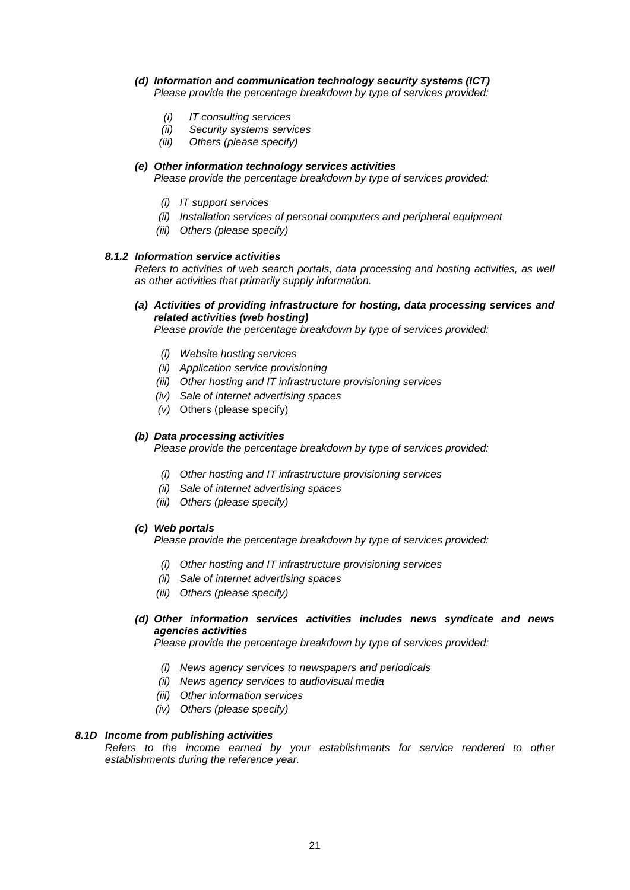### *(d) Information and communication technology security systems (ICT)*

*Please provide the percentage breakdown by type of services provided:*

- *(i) IT consulting services*
- *(ii) Security systems services*
- *(iii) Others (please specify)*

*(e) Other information technology services activities Please provide the percentage breakdown by type of services provided:*

- *(i) IT support services*
- *(ii) Installation services of personal computers and peripheral equipment*
- *(iii) Others (please specify)*

### *8.1.2 Information service activities*

*Refers to activities of web search portals, data processing and hosting activities, as well as other activities that primarily supply information.*

### *(a) Activities of providing infrastructure for hosting, data processing services and related activities (web hosting)*

*Please provide the percentage breakdown by type of services provided:*

- *(i) Website hosting services*
- *(ii) Application service provisioning*
- *(iii) Other hosting and IT infrastructure provisioning services*
- *(iv) Sale of internet advertising spaces*
- *(v)* Others (please specify)

### *(b) Data processing activities*

*Please provide the percentage breakdown by type of services provided:*

- *(i) Other hosting and IT infrastructure provisioning services*
- *(ii) Sale of internet advertising spaces*
- *(iii) Others (please specify)*

### *(c) Web portals*

*Please provide the percentage breakdown by type of services provided:*

- *(i) Other hosting and IT infrastructure provisioning services*
- *(ii) Sale of internet advertising spaces*
- *(iii) Others (please specify)*

## *(d) Other information services activities includes news syndicate and news agencies activities*

*Please provide the percentage breakdown by type of services provided:*

- *(i) News agency services to newspapers and periodicals*
- *(ii) News agency services to audiovisual media*
- *(iii) Other information services*
- *(iv) Others (please specify)*

### *8.1D Income from publishing activities*

*Refers to the income earned by your establishments for service rendered to other establishments during the reference year.*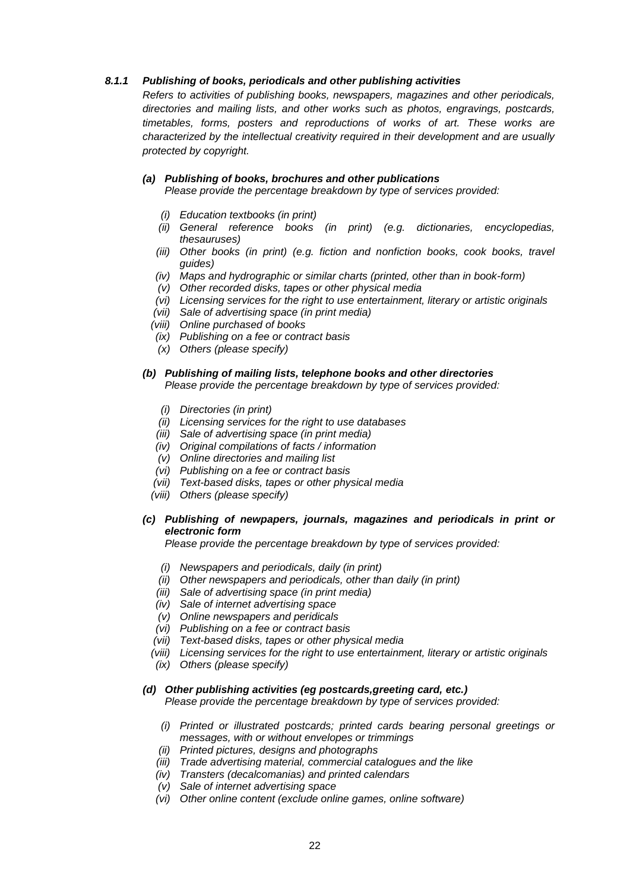### *8.1.1 Publishing of books, periodicals and other publishing activities*

*Refers to activities of publishing books, newspapers, magazines and other periodicals, directories and mailing lists, and other works such as photos, engravings, postcards, timetables, forms, posters and reproductions of works of art. These works are characterized by the intellectual creativity required in their development and are usually protected by copyright.*

### *(a) Publishing of books, brochures and other publications*

*Please provide the percentage breakdown by type of services provided:*

- *(i) Education textbooks (in print)*
- *(ii) General reference books (in print) (e.g. dictionaries, encyclopedias, thesauruses)*
- *(iii)* Other books *(in print)* (e.g. fiction and nonfiction books, cook books, travel *guides)*
- *(iv) Maps and hydrographic or similar charts (printed, other than in book-form)*
- *(v) Other recorded disks, tapes or other physical media*
- *(vi) Licensing services for the right to use entertainment, literary or artistic originals*
- *(vii) Sale of advertising space (in print media)*
- *(viii) Online purchased of books*
- *(ix) Publishing on a fee or contract basis*
- *(x) Others (please specify)*

#### *(b) Publishing of mailing lists, telephone books and other directories Please provide the percentage breakdown by type of services provided:*

- *(i) Directories (in print)*
- *(ii) Licensing services for the right to use databases*
- *(iii) Sale of advertising space (in print media)*
- *(iv) Original compilations of facts / information*
- *(v) Online directories and mailing list*
- *(vi) Publishing on a fee or contract basis*
- *(vii) Text-based disks, tapes or other physical media*
- *(viii) Others (please specify)*

### *(c) Publishing of newpapers, journals, magazines and periodicals in print or electronic form*

*Please provide the percentage breakdown by type of services provided:*

- *(i) Newspapers and periodicals, daily (in print)*
- *(ii) Other newspapers and periodicals, other than daily (in print)*
- *(iii) Sale of advertising space (in print media)*
- *(iv) Sale of internet advertising space*
- *(v) Online newspapers and peridicals*
- *(vi) Publishing on a fee or contract basis*
- *(vii) Text-based disks, tapes or other physical media*
- *(viii) Licensing services for the right to use entertainment, literary or artistic originals*
- *(ix) Others (please specify)*

#### *(d) Other publishing activities (eg postcards,greeting card, etc.)*

*Please provide the percentage breakdown by type of services provided:*

- *(i) Printed or illustrated postcards; printed cards bearing personal greetings or messages, with or without envelopes or trimmings*
- *(ii) Printed pictures, designs and photographs*
- *(iii) Trade advertising material, commercial catalogues and the like*
- *(iv) Transters (decalcomanias) and printed calendars*
- *(v) Sale of internet advertising space*
- *(vi) Other online content (exclude online games, online software)*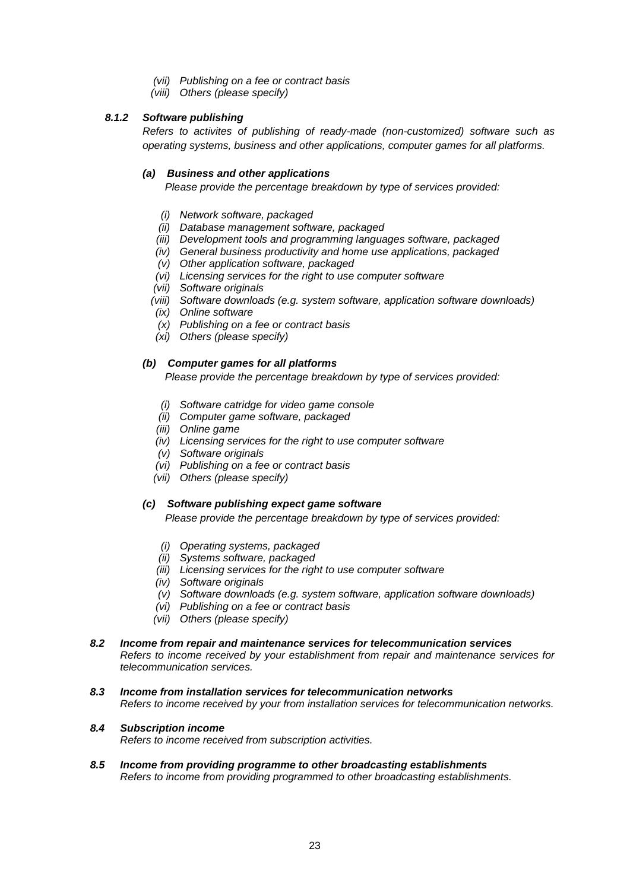- *(vii) Publishing on a fee or contract basis*
- *(viii) Others (please specify)*

## *8.1.2 Software publishing*

*Refers to activites of publishing of ready-made (non-customized) software such as operating systems, business and other applications, computer games for all platforms.*

### *(a) Business and other applications*

*Please provide the percentage breakdown by type of services provided:*

- *(i) Network software, packaged*
- *(ii) Database management software, packaged*
- *(iii) Development tools and programming languages software, packaged*
- *(iv) General business productivity and home use applications, packaged*
- *(v) Other application software, packaged*
- *(vi) Licensing services for the right to use computer software*
- *(vii) Software originals*
- *(viii) Software downloads (e.g. system software, application software downloads)*
- *(ix) Online software*
- *(x) Publishing on a fee or contract basis*
- *(xi) Others (please specify)*

### *(b) Computer games for all platforms*

*Please provide the percentage breakdown by type of services provided:*

- *(i) Software catridge for video game console*
- *(ii) Computer game software, packaged*
- *(iii) Online game*
- *(iv) Licensing services for the right to use computer software*
- *(v) Software originals*
- *(vi) Publishing on a fee or contract basis*
- *(vii) Others (please specify)*

### *(c) Software publishing expect game software*

*Please provide the percentage breakdown by type of services provided:*

- *(i) Operating systems, packaged*
- *(ii) Systems software, packaged*
- *(iii) Licensing services for the right to use computer software*
- *(iv) Software originals*
- *(v) Software downloads (e.g. system software, application software downloads)*
- *(vi) Publishing on a fee or contract basis*
- *(vii) Others (please specify)*

#### *8.2 Income from repair and maintenance services for telecommunication services*

*Refers to income received by your establishment from repair and maintenance services for telecommunication services.*

*8.3 Income from installation services for telecommunication networks Refers to income received by your from installation services for telecommunication networks.*

#### *8.4 Subscription income*

*Refers to income received from subscription activities.*

*8.5 Income from providing programme to other broadcasting establishments Refers to income from providing programmed to other broadcasting establishments.*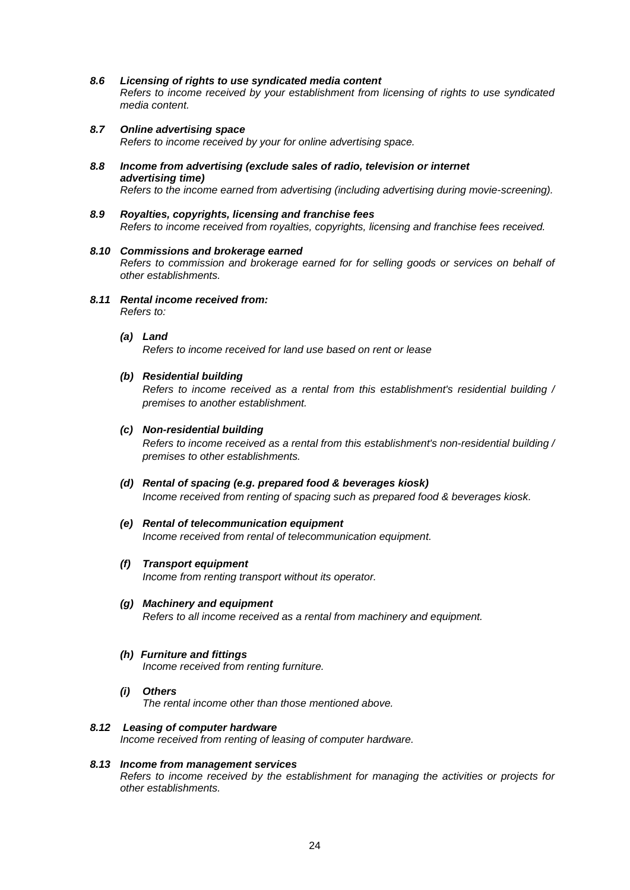#### *8.6 Licensing of rights to use syndicated media content*

*Refers to income received by your establishment from licensing of rights to use syndicated media content.*

- *8.7 Online advertising space Refers to income received by your for online advertising space.*
- *8.8 Income from advertising (exclude sales of radio, television or internet advertising time) Refers to the income earned from advertising (including advertising during movie-screening).*
- *8.9 Royalties, copyrights, licensing and franchise fees Refers to income received from royalties, copyrights, licensing and franchise fees received.*

# *8.10 Commissions and brokerage earned*

*Refers to commission and brokerage earned for for selling goods or services on behalf of other establishments.*

- *8.11 Rental income received from: Refers to:*
	- *(a) Land*

*Refers to income received for land use based on rent or lease*

#### *(b) Residential building*

*Refers to income received as a rental from this establishment's residential building / premises to another establishment.*

#### *(c) Non-residential building*

*Refers to income received as a rental from this establishment's non-residential building / premises to other establishments.*

#### *(d) Rental of spacing (e.g. prepared food & beverages kiosk)*

*Income received from renting of spacing such as prepared food & beverages kiosk.*

### *(e) Rental of telecommunication equipment*

*Income received from rental of telecommunication equipment.*

*(f) Transport equipment*

*Income from renting transport without its operator.*

#### *(g) Machinery and equipment*

*Refers to all income received as a rental from machinery and equipment.*

#### *(h) Furniture and fittings*

*Income received from renting furniture.*

#### *(i) Others*

*The rental income other than those mentioned above.*

#### *8.12 Leasing of computer hardware*

*Income received from renting of leasing of computer hardware.*

#### *8.13 Income from management services*

*Refers to income received by the establishment for managing the activities or projects for other establishments.*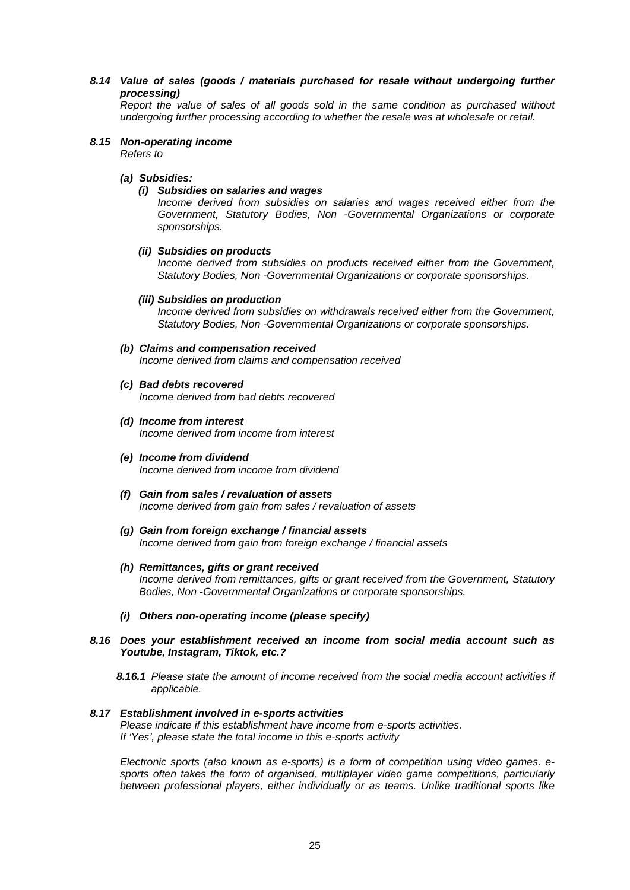*8.14 Value of sales (goods / materials purchased for resale without undergoing further processing)*

*Report the value of sales of all goods sold in the same condition as purchased without undergoing further processing according to whether the resale was at wholesale or retail.*

#### *8.15 Non-operating income*

*Refers to*

*(a) Subsidies:*

### *(i) Subsidies on salaries and wages*

*Income derived from subsidies on salaries and wages received either from the Government, Statutory Bodies, Non -Governmental Organizations or corporate sponsorships.*

#### *(ii) Subsidies on products*

*Income derived from subsidies on products received either from the Government, Statutory Bodies, Non -Governmental Organizations or corporate sponsorships.*

#### *(iii) Subsidies on production*

*Income derived from subsidies on withdrawals received either from the Government, Statutory Bodies, Non -Governmental Organizations or corporate sponsorships.*

## *(b) Claims and compensation received*

*Income derived from claims and compensation received*

- *(c) Bad debts recovered Income derived from bad debts recovered*
- *(d) Income from interest Income derived from income from interest*
- *(e) Income from dividend Income derived from income from dividend*
- *(f) Gain from sales / revaluation of assets Income derived from gain from sales / revaluation of assets*
- *(g) Gain from foreign exchange / financial assets Income derived from gain from foreign exchange / financial assets*
- *(h) Remittances, gifts or grant received Income derived from remittances, gifts or grant received from the Government, Statutory Bodies, Non -Governmental Organizations or corporate sponsorships.*
- *(i) Others non-operating income (please specify)*
- *8.16 Does your establishment received an income from social media account such as Youtube, Instagram, Tiktok, etc.?*
	- *8.16.1 Please state the amount of income received from the social media account activities if applicable.*

#### *8.17 Establishment involved in e-sports activities*

*Please indicate if this establishment have income from e-sports activities. If 'Yes', please state the total income in this e-sports activity*

*Electronic sports (also known as e-sports) is a form of competition using video games. esports often takes the form of organised, multiplayer video game competitions, particularly between professional players, either individually or as teams. Unlike traditional sports like*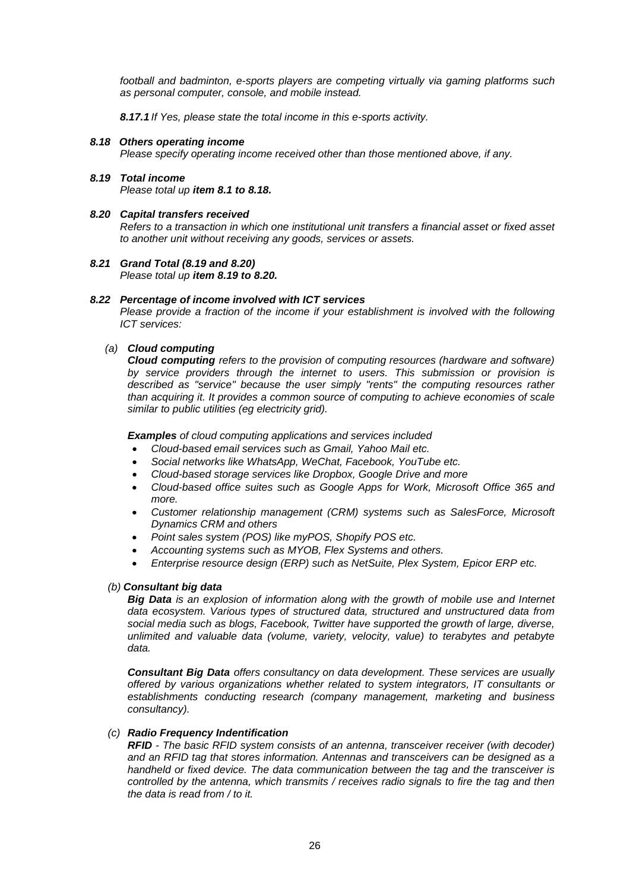*football and badminton, e-sports players are competing virtually via gaming platforms such as personal computer, console, and mobile instead.*

*8.17.1 If Yes, please state the total income in this e-sports activity.*

#### *8.18 Others operating income*

*Please specify operating income received other than those mentioned above, if any.*

*8.19 Total income*

*Please total up item 8.1 to 8.18.*

#### *8.20 Capital transfers received*

*Refers to a transaction in which one institutional unit transfers a financial asset or fixed asset to another unit without receiving any goods, services or assets.*

## *8.21 Grand Total (8.19 and 8.20)*

*Please total up item 8.19 to 8.20.*

#### *8.22 Percentage of income involved with ICT services*

*Please provide a fraction of the income if your establishment is involved with the following ICT services:*

### *(a) Cloud computing*

*Cloud computing refers to the provision of computing resources (hardware and software) by service providers through the internet to users. This submission or provision is described as "service" because the user simply "rents" the computing resources rather than acquiring it. It provides a common source of computing to achieve economies of scale similar to public utilities (eg electricity grid).*

*Examples of cloud computing applications and services included*

- *Cloud-based email services such as Gmail, Yahoo Mail etc.*
- *Social networks like WhatsApp, WeChat, Facebook, YouTube etc.*
- *Cloud-based storage services like Dropbox, Google Drive and more*
- *Cloud-based office suites such as Google Apps for Work, Microsoft Office 365 and more.*
- *Customer relationship management (CRM) systems such as SalesForce, Microsoft Dynamics CRM and others*
- *Point sales system (POS) like myPOS, Shopify POS etc.*
- *Accounting systems such as MYOB, Flex Systems and others.*
- *Enterprise resource design (ERP) such as NetSuite, Plex System, Epicor ERP etc.*

### *(b) Consultant big data*

*Big Data is an explosion of information along with the growth of mobile use and Internet data ecosystem. Various types of structured data, structured and unstructured data from social media such as blogs, Facebook, Twitter have supported the growth of large, diverse, unlimited and valuable data (volume, variety, velocity, value) to terabytes and petabyte data.* 

*Consultant Big Data offers consultancy on data development. These services are usually offered by various organizations whether related to system integrators, IT consultants or establishments conducting research (company management, marketing and business consultancy).*

### *(c) Radio Frequency Indentification*

*RFID - The basic RFID system consists of an antenna, transceiver receiver (with decoder) and an RFID tag that stores information. Antennas and transceivers can be designed as a handheld or fixed device. The data communication between the tag and the transceiver is controlled by the antenna, which transmits / receives radio signals to fire the tag and then the data is read from / to it.*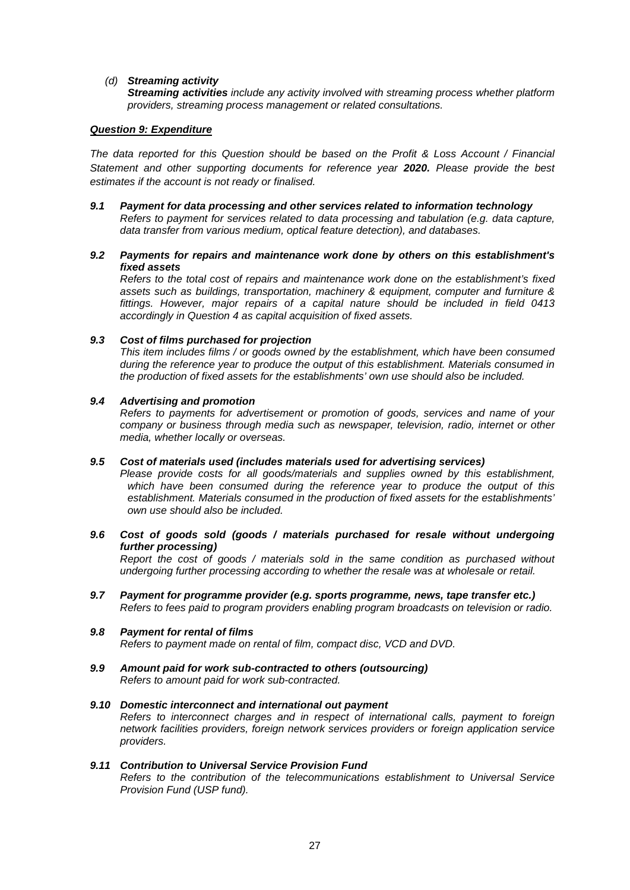### *(d) Streaming activity*

*Streaming activities include any activity involved with streaming process whether platform providers, streaming process management or related consultations.*

### *Question 9: Expenditure*

*The data reported for this Question should be based on the Profit & Loss Account / Financial Statement and other supporting documents for reference year 2020. Please provide the best estimates if the account is not ready or finalised.*

*9.1 Payment for data processing and other services related to information technology Refers to payment for services related to data processing and tabulation (e.g. data capture, data transfer from various medium, optical feature detection), and databases.*

### *9.2 Payments for repairs and maintenance work done by others on this establishment's fixed assets*

*Refers to the total cost of repairs and maintenance work done on the establishment's fixed assets such as buildings, transportation, machinery & equipment, computer and furniture & fittings. However, major repairs of a capital nature should be included in field 0413 accordingly in Question 4 as capital acquisition of fixed assets.*

### *9.3 Cost of films purchased for projection*

*This item includes films / or goods owned by the establishment, which have been consumed during the reference year to produce the output of this establishment. Materials consumed in the production of fixed assets for the establishments' own use should also be included.* 

### *9.4 Advertising and promotion*

*Refers to payments for advertisement or promotion of goods, services and name of your company or business through media such as newspaper, television, radio, internet or other media, whether locally or overseas.*

### *9.5 Cost of materials used (includes materials used for advertising services)*

*Please provide costs for all goods/materials and supplies owned by this establishment, which have been consumed during the reference year to produce the output of this establishment. Materials consumed in the production of fixed assets for the establishments' own use should also be included.*

*9.6 Cost of goods sold (goods / materials purchased for resale without undergoing further processing)*

*Report the cost of goods / materials sold in the same condition as purchased without undergoing further processing according to whether the resale was at wholesale or retail.*

*9.7 Payment for programme provider (e.g. sports programme, news, tape transfer etc.) Refers to fees paid to program providers enabling program broadcasts on television or radio.*

#### *9.8 Payment for rental of films Refers to payment made on rental of film, compact disc, VCD and DVD.*

*9.9 Amount paid for work sub-contracted to others (outsourcing) Refers to amount paid for work sub-contracted.*

#### *9.10 Domestic interconnect and international out payment Refers to interconnect charges and in respect of international calls, payment to foreign network facilities providers, foreign network services providers or foreign application service providers.*

#### *9.11 Contribution to Universal Service Provision Fund*

*Refers to the contribution of the telecommunications establishment to Universal Service Provision Fund (USP fund).*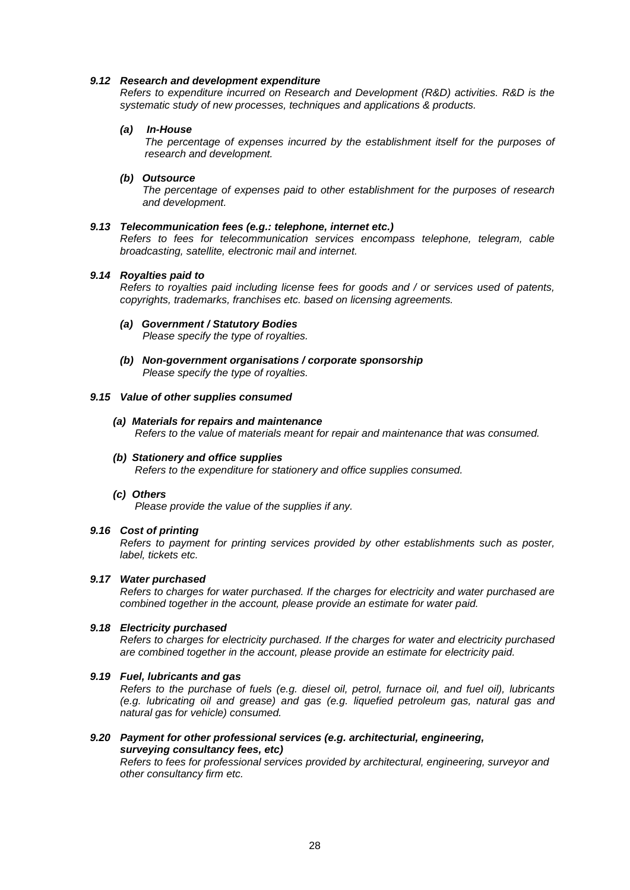#### *9.12 Research and development expenditure*

*Refers to expenditure incurred on Research and Development (R&D) activities. R&D is the systematic study of new processes, techniques and applications & products.*

#### *(a) In-House*

*The percentage of expenses incurred by the establishment itself for the purposes of research and development.*

#### *(b) Outsource*

*The percentage of expenses paid to other establishment for the purposes of research and development.*

#### *9.13 Telecommunication fees (e.g.: telephone, internet etc.)*

*Refers to fees for telecommunication services encompass telephone, telegram, cable broadcasting, satellite, electronic mail and internet.* 

#### *9.14 Royalties paid to*

*Refers to royalties paid including license fees for goods and / or services used of patents, copyrights, trademarks, franchises etc. based on licensing agreements.*

- *(a) Government / Statutory Bodies Please specify the type of royalties.*
- *(b) Non-government organisations / corporate sponsorship Please specify the type of royalties.*

#### *9.15 Value of other supplies consumed*

- *(a) Materials for repairs and maintenance Refers to the value of materials meant for repair and maintenance that was consumed.*
- *(b) Stationery and office supplies Refers to the expenditure for stationery and office supplies consumed.*
- *(c) Others*

*Please provide the value of the supplies if any.*

#### *9.16 Cost of printing*

*Refers to payment for printing services provided by other establishments such as poster, label, tickets etc.*

#### *9.17 Water purchased*

*Refers to charges for water purchased. If the charges for electricity and water purchased are combined together in the account, please provide an estimate for water paid.*

#### *9.18 Electricity purchased*

*Refers to charges for electricity purchased. If the charges for water and electricity purchased are combined together in the account, please provide an estimate for electricity paid.*

#### *9.19 Fuel, lubricants and gas*

*Refers to the purchase of fuels (e.g. diesel oil, petrol, furnace oil, and fuel oil), lubricants (e.g. lubricating oil and grease) and gas (e.g. liquefied petroleum gas, natural gas and natural gas for vehicle) consumed.*

### *9.20 Payment for other professional services (e.g. architecturial, engineering, surveying consultancy fees, etc)*

*Refers to fees for professional services provided by architectural, engineering, surveyor and other consultancy firm etc.*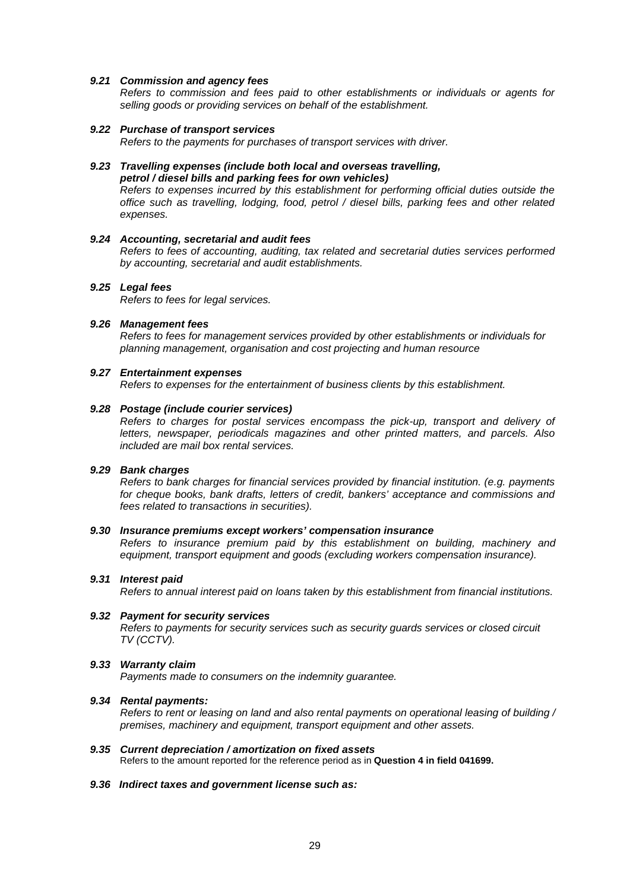#### *9.21 Commission and agency fees*

*Refers to commission and fees paid to other establishments or individuals or agents for selling goods or providing services on behalf of the establishment.*

#### *9.22 Purchase of transport services*

*Refers to the payments for purchases of transport services with driver.*

#### *9.23 Travelling expenses (include both local and overseas travelling, petrol / diesel bills and parking fees for own vehicles)*

*Refers to expenses incurred by this establishment for performing official duties outside the office such as travelling, lodging, food, petrol / diesel bills, parking fees and other related expenses.*

### *9.24 Accounting, secretarial and audit fees*

*Refers to fees of accounting, auditing, tax related and secretarial duties services performed by accounting, secretarial and audit establishments.*

#### *9.25 Legal fees*

*Refers to fees for legal services.*

#### *9.26 Management fees*

*Refers to fees for management services provided by other establishments or individuals for planning management, organisation and cost projecting and human resource*

#### *9.27 Entertainment expenses*

*Refers to expenses for the entertainment of business clients by this establishment.*

#### *9.28 Postage (include courier services)*

*Refers to charges for postal services encompass the pick-up, transport and delivery of letters, newspaper, periodicals magazines and other printed matters, and parcels. Also included are mail box rental services.*

### *9.29 Bank charges*

*Refers to bank charges for financial services provided by financial institution. (e.g. payments for cheque books, bank drafts, letters of credit, bankers' acceptance and commissions and fees related to transactions in securities).*

#### *9.30 Insurance premiums except workers' compensation insurance*

*Refers to insurance premium paid by this establishment on building, machinery and equipment, transport equipment and goods (excluding workers compensation insurance).*

#### *9.31 Interest paid*

*Refers to annual interest paid on loans taken by this establishment from financial institutions.*

#### *9.32 Payment for security services*

*Refers to payments for security services such as security guards services or closed circuit TV (CCTV).*

#### *9.33 Warranty claim*

*Payments made to consumers on the indemnity guarantee.*

#### *9.34 Rental payments:*

*Refers to rent or leasing on land and also rental payments on operational leasing of building / premises, machinery and equipment, transport equipment and other assets.*

#### *9.35 Current depreciation / amortization on fixed assets*

Refers to the amount reported for the reference period as in **Question 4 in field 041699.**

#### *9.36 Indirect taxes and government license such as:*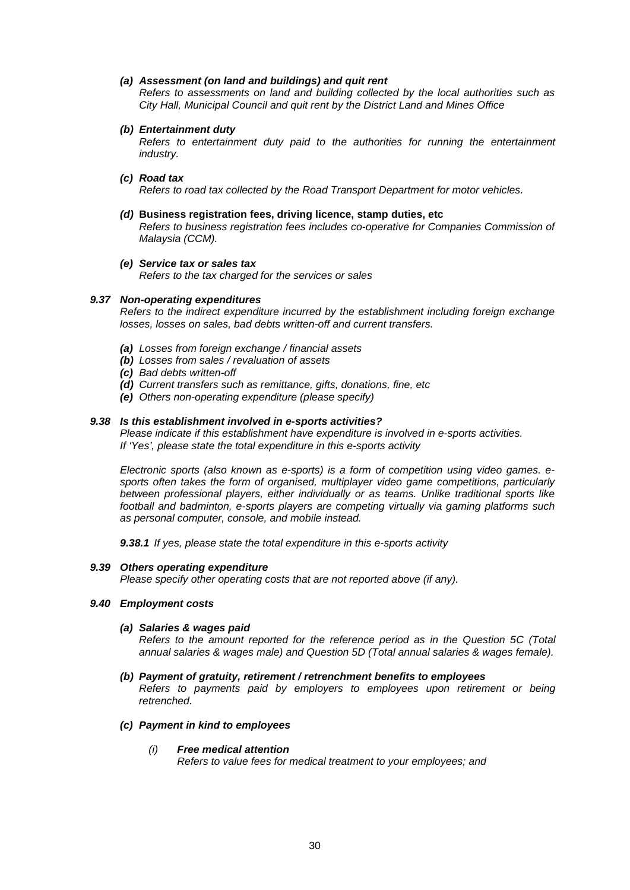#### *(a) Assessment (on land and buildings) and quit rent*

*Refers to assessments on land and building collected by the local authorities such as City Hall, Municipal Council and quit rent by the District Land and Mines Office*

#### *(b) Entertainment duty*

*Refers to entertainment duty paid to the authorities for running the entertainment industry.*

#### *(c) Road tax*

*Refers to road tax collected by the Road Transport Department for motor vehicles.*

#### *(d)* **Business registration fees, driving licence, stamp duties, etc**

*Refers to business registration fees includes co-operative for Companies Commission of Malaysia (CCM).*

*(e) Service tax or sales tax Refers to the tax charged for the services or sales*

#### *9.37 Non-operating expenditures*

*Refers to the indirect expenditure incurred by the establishment including foreign exchange losses, losses on sales, bad debts written-off and current transfers.*

- *(a) Losses from foreign exchange / financial assets*
- *(b) Losses from sales / revaluation of assets*
- *(c) Bad debts written-off*
- *(d) Current transfers such as remittance, gifts, donations, fine, etc*
- *(e) Others non-operating expenditure (please specify)*

#### *9.38 Is this establishment involved in e-sports activities?*

*Please indicate if this establishment have expenditure is involved in e-sports activities. If 'Yes', please state the total expenditure in this e-sports activity*

*Electronic sports (also known as e-sports) is a form of competition using video games. esports often takes the form of organised, multiplayer video game competitions, particularly between professional players, either individually or as teams. Unlike traditional sports like football and badminton, e-sports players are competing virtually via gaming platforms such as personal computer, console, and mobile instead.*

*9.38.1 If yes, please state the total expenditure in this e-sports activity*

#### *9.39 Others operating expenditure*

*Please specify other operating costs that are not reported above (if any).*

#### *9.40 Employment costs*

*retrenched.*

*(a) Salaries & wages paid*

*Refers to the amount reported for the reference period as in the Question 5C (Total annual salaries & wages male) and Question 5D (Total annual salaries & wages female).*

- *(b) Payment of gratuity, retirement / retrenchment benefits to employees Refers to payments paid by employers to employees upon retirement or being*
- *(c) Payment in kind to employees*

#### *(i) Free medical attention*

*Refers to value fees for medical treatment to your employees; and*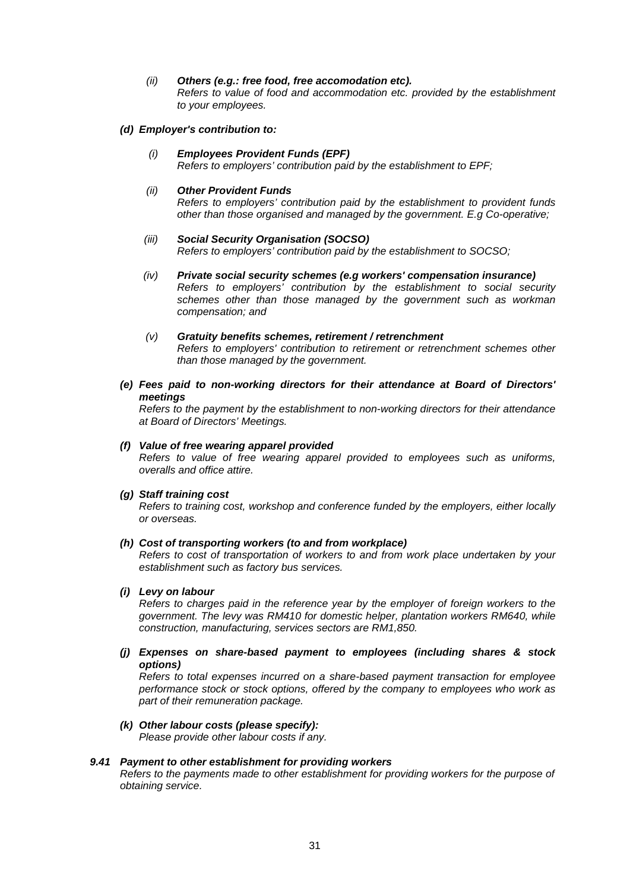*(ii) Others (e.g.: free food, free accomodation etc). Refers to value of food and accommodation etc. provided by the establishment to your employees.* 

#### *(d) Employer's contribution to:*

*(i) Employees Provident Funds (EPF) Refers to employers' contribution paid by the establishment to EPF;*

#### *(ii) Other Provident Funds*

*Refers to employers' contribution paid by the establishment to provident funds other than those organised and managed by the government. E.g Co-operative;*

#### *(iii) Social Security Organisation (SOCSO) Refers to employers' contribution paid by the establishment to SOCSO;*

- *(iv) Private social security schemes (e.g workers' compensation insurance) Refers to employers' contribution by the establishment to social security schemes other than those managed by the government such as workman compensation; and*
- *(v) Gratuity benefits schemes, retirement / retrenchment Refers to employers' contribution to retirement or retrenchment schemes other than those managed by the government.*
- *(e) Fees paid to non-working directors for their attendance at Board of Directors' meetings*

*Refers to the payment by the establishment to non-working directors for their attendance at Board of Directors' Meetings.*

### *(f) Value of free wearing apparel provided*

*Refers to value of free wearing apparel provided to employees such as uniforms, overalls and office attire.*

#### *(g) Staff training cost*

*Refers to training cost, workshop and conference funded by the employers, either locally or overseas.*

#### *(h) Cost of transporting workers (to and from workplace)*

*Refers to cost of transportation of workers to and from work place undertaken by your establishment such as factory bus services.*

### *(i) Levy on labour*

*Refers to charges paid in the reference year by the employer of foreign workers to the government. The levy was RM410 for domestic helper, plantation workers RM640, while construction, manufacturing, services sectors are RM1,850.*

*(j) Expenses on share-based payment to employees (including shares & stock options)*

*Refers to total expenses incurred on a share-based payment transaction for employee performance stock or stock options, offered by the company to employees who work as part of their remuneration package.*

*(k) Other labour costs (please specify): Please provide other labour costs if any.*

#### *9.41 Payment to other establishment for providing workers*

*Refers to the payments made to other establishment for providing workers for the purpose of obtaining service.*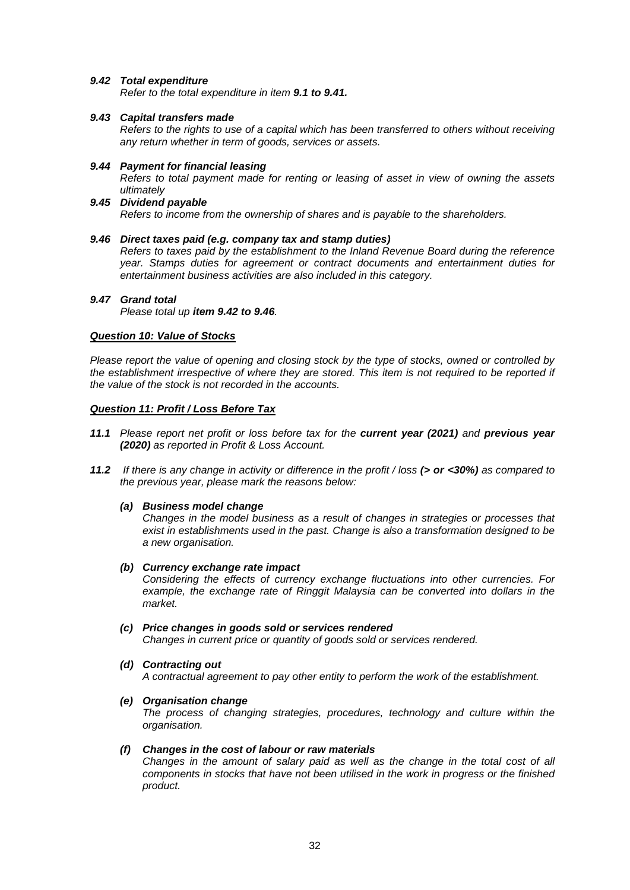### *9.42 Total expenditure*

*Refer to the total expenditure in item 9.1 to 9.41.*

### *9.43 Capital transfers made*

*Refers to the rights to use of a capital which has been transferred to others without receiving any return whether in term of goods, services or assets.*

#### *9.44 Payment for financial leasing*

*Refers to total payment made for renting or leasing of asset in view of owning the assets ultimately*

*9.45 Dividend payable Refers to income from the ownership of shares and is payable to the shareholders.*

#### *9.46 Direct taxes paid (e.g. company tax and stamp duties)*

*Refers to taxes paid by the establishment to the Inland Revenue Board during the reference year. Stamps duties for agreement or contract documents and entertainment duties for entertainment business activities are also included in this category.*

#### *9.47 Grand total*

*Please total up item 9.42 to 9.46.*

#### *Question 10: Value of Stocks*

*Please report the value of opening and closing stock by the type of stocks, owned or controlled by the establishment irrespective of where they are stored. This item is not required to be reported if the value of the stock is not recorded in the accounts.*

#### *Question 11: Profit / Loss Before Tax*

- *11.1 Please report net profit or loss before tax for the current year (2021) and previous year (2020) as reported in Profit & Loss Account.*
- *11.2 If there is any change in activity or difference in the profit / loss (> or <30%) as compared to the previous year, please mark the reasons below:*

#### *(a) Business model change*

*Changes in the model business as a result of changes in strategies or processes that exist in establishments used in the past. Change is also a transformation designed to be a new organisation.*

#### *(b) Currency exchange rate impact*

*Considering the effects of currency exchange fluctuations into other currencies. For example, the exchange rate of Ringgit Malaysia can be converted into dollars in the market.*

#### *(c) Price changes in goods sold or services rendered*

*Changes in current price or quantity of goods sold or services rendered.*

### *(d) Contracting out*

*A contractual agreement to pay other entity to perform the work of the establishment.*

*(e) Organisation change*

*The process of changing strategies, procedures, technology and culture within the organisation.*

#### *(f) Changes in the cost of labour or raw materials*

*Changes in the amount of salary paid as well as the change in the total cost of all components in stocks that have not been utilised in the work in progress or the finished product.*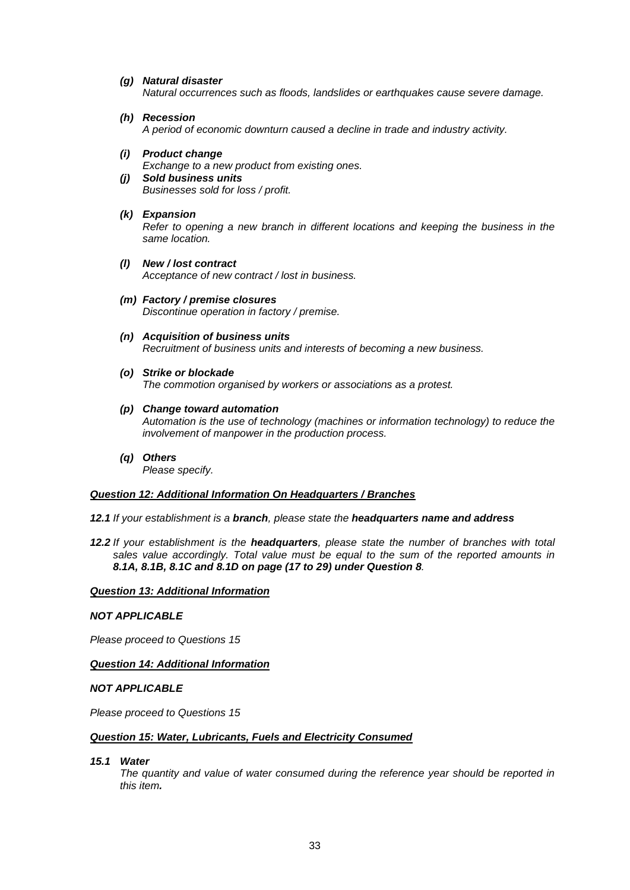### *(g) Natural disaster*

*Natural occurrences such as floods, landslides or earthquakes cause severe damage.*

*(h) Recession*

*A period of economic downturn caused a decline in trade and industry activity.*

*(i) Product change*

*Exchange to a new product from existing ones.*

*(j) Sold business units*

*Businesses sold for loss / profit.*

*(k) Expansion*

*Refer to opening a new branch in different locations and keeping the business in the same location.*

- *(l) New / lost contract Acceptance of new contract / lost in business.*
- *(m) Factory / premise closures Discontinue operation in factory / premise.*
- *(n) Acquisition of business units Recruitment of business units and interests of becoming a new business.*
- *(o) Strike or blockade The commotion organised by workers or associations as a protest.*
- *(p) Change toward automation*

*Automation is the use of technology (machines or information technology) to reduce the involvement of manpower in the production process.*

*(q) Others Please specify.*

#### *Question 12: Additional Information On Headquarters / Branches*

*12.1 If your establishment is a branch, please state the headquarters name and address*

*12.2 If your establishment is the headquarters, please state the number of branches with total sales value accordingly. Total value must be equal to the sum of the reported amounts in 8.1A, 8.1B, 8.1C and 8.1D on page (17 to 29) under Question 8.*

*Question 13: Additional Information*

#### *NOT APPLICABLE*

*Please proceed to Questions 15*

### *Question 14: Additional Information*

### *NOT APPLICABLE*

*Please proceed to Questions 15*

#### *Question 15: Water, Lubricants, Fuels and Electricity Consumed*

*15.1 Water*

*The quantity and value of water consumed during the reference year should be reported in this item.*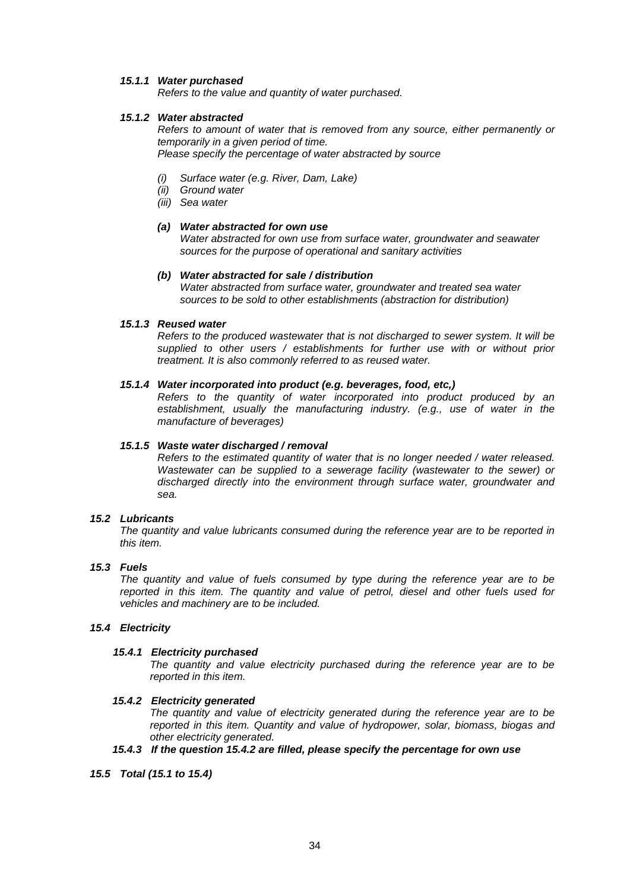### *15.1.1 Water purchased*

*Refers to the value and quantity of water purchased.*

### *15.1.2 Water abstracted*

*Refers to amount of water that is removed from any source, either permanently or temporarily in a given period of time. Please specify the percentage of water abstracted by source*

- *(i) Surface water (e.g. River, Dam, Lake)*
- *(ii) Ground water*
- *(iii) Sea water*

### *(a) Water abstracted for own use*

*Water abstracted for own use from surface water, groundwater and seawater sources for the purpose of operational and sanitary activities*

#### *(b) Water abstracted for sale / distribution*

*Water abstracted from surface water, groundwater and treated sea water sources to be sold to other establishments (abstraction for distribution)*

#### *15.1.3 Reused water*

*Refers to the produced wastewater that is not discharged to sewer system. It will be supplied to other users / establishments for further use with or without prior treatment. It is also commonly referred to as reused water.*

### *15.1.4 Water incorporated into product (e.g. beverages, food, etc,)*

*Refers to the quantity of water incorporated into product produced by an establishment, usually the manufacturing industry. (e.g., use of water in the manufacture of beverages)*

### *15.1.5 Waste water discharged / removal*

*Refers to the estimated quantity of water that is no longer needed / water released. Wastewater can be supplied to a sewerage facility (wastewater to the sewer) or discharged directly into the environment through surface water, groundwater and sea.*

#### *15.2 Lubricants*

*The quantity and value lubricants consumed during the reference year are to be reported in this item.*

#### *15.3 Fuels*

*The quantity and value of fuels consumed by type during the reference year are to be reported in this item. The quantity and value of petrol, diesel and other fuels used for vehicles and machinery are to be included.*

#### *15.4 Electricity*

#### *15.4.1 Electricity purchased*

*The quantity and value electricity purchased during the reference year are to be reported in this item.*

#### *15.4.2 Electricity generated*

*The quantity and value of electricity generated during the reference year are to be reported in this item. Quantity and value of hydropower, solar, biomass, biogas and other electricity generated.*

### *15.4.3 If the question 15.4.2 are filled, please specify the percentage for own use*

#### *15.5 Total (15.1 to 15.4)*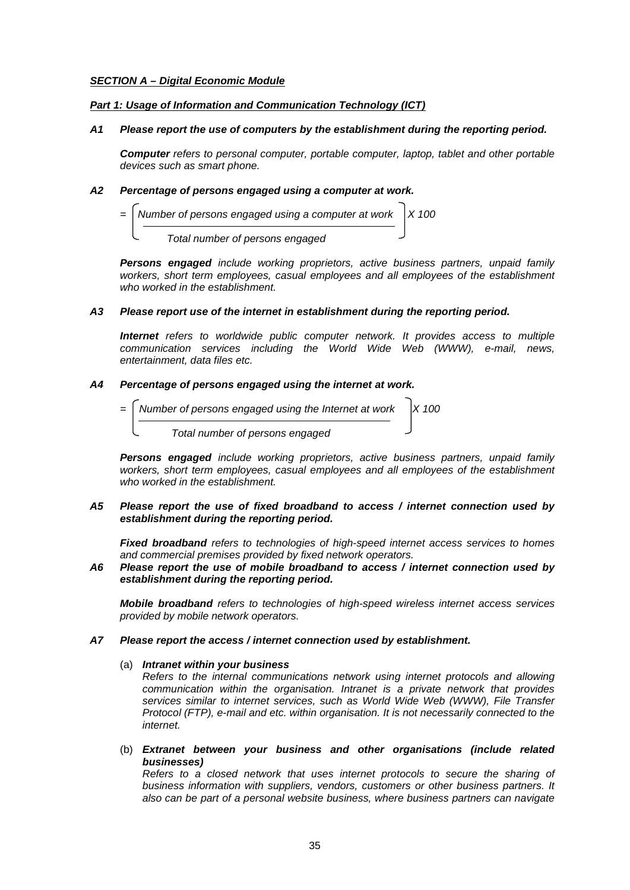### *SECTION A – Digital Economic Module*

### *Part 1: Usage of Information and Communication Technology (ICT)*

#### *A1 Please report the use of computers by the establishment during the reporting period.*

*Computer refers to personal computer, portable computer, laptop, tablet and other portable devices such as smart phone.*

### *A2 Percentage of persons engaged using a computer at work.*

*Number of persons engaged using a computer at work*  $X 100$ 

 *Total number of persons engaged* 

*Persons engaged include working proprietors, active business partners, unpaid family workers, short term employees, casual employees and all employees of the establishment who worked in the establishment.*

#### *A3 Please report use of the internet in establishment during the reporting period.*

*Internet refers to worldwide public computer network. It provides access to multiple communication services including the World Wide Web (WWW), e-mail, news, entertainment, data files etc.*

#### *A4 Percentage of persons engaged using the internet at work.*



*Persons engaged include working proprietors, active business partners, unpaid family workers, short term employees, casual employees and all employees of the establishment who worked in the establishment.*

#### *A5 Please report the use of fixed broadband to access / internet connection used by establishment during the reporting period.*

*Fixed broadband refers to technologies of high-speed internet access services to homes and commercial premises provided by fixed network operators.* 

### *A6 Please report the use of mobile broadband to access / internet connection used by establishment during the reporting period.*

*Mobile broadband refers to technologies of high-speed wireless internet access services provided by mobile network operators.*

#### *A7 Please report the access / internet connection used by establishment.*

### (a) *Intranet within your business*

*Refers to the internal communications network using internet protocols and allowing communication within the organisation. Intranet is a private network that provides services similar to internet services, such as World Wide Web (WWW), File Transfer Protocol (FTP), e-mail and etc. within organisation. It is not necessarily connected to the internet.*

(b) *Extranet between your business and other organisations (include related businesses)*

*Refers to a closed network that uses internet protocols to secure the sharing of business information with suppliers, vendors, customers or other business partners. It also can be part of a personal website business, where business partners can navigate*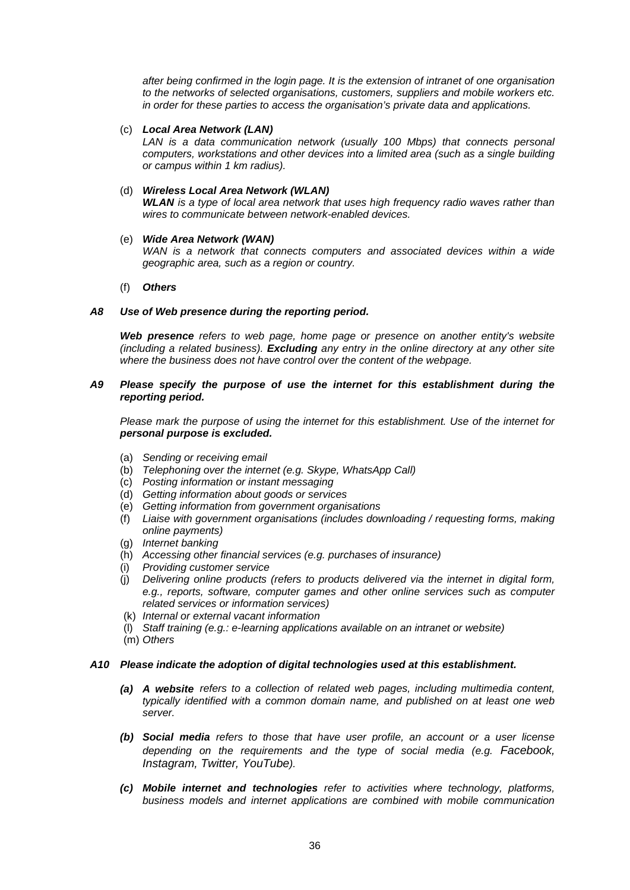*after being confirmed in the login page. It is the extension of intranet of one organisation to the networks of selected organisations, customers, suppliers and mobile workers etc. in order for these parties to access the organisation's private data and applications.*

### (c) *Local Area Network (LAN)*

*LAN is a data communication network (usually 100 Mbps) that connects personal computers, workstations and other devices into a limited area (such as a single building or campus within 1 km radius).*

### (d) *Wireless Local Area Network (WLAN)*

*WLAN is a type of local area network that uses high frequency radio waves rather than wires to communicate between network-enabled devices.*

### (e) *Wide Area Network (WAN)*

WAN is a network that connects computers and associated devices within a wide *geographic area, such as a region or country.*

### (f) *Others*

### *A8 Use of Web presence during the reporting period.*

*Web presence refers to web page, home page or presence on another entity's website (including a related business). Excluding any entry in the online directory at any other site where the business does not have control over the content of the webpage.*

### *A9 Please specify the purpose of use the internet for this establishment during the reporting period.*

*Please mark the purpose of using the internet for this establishment. Use of the internet for personal purpose is excluded.*

- (a) *Sending or receiving email*
- (b) *Telephoning over the internet (e.g. Skype, WhatsApp Call)*
- (c) *Posting information or instant messaging*
- (d) *Getting information about goods or services*
- (e) *Getting information from government organisations*
- (f) *Liaise with government organisations (includes downloading / requesting forms, making online payments)*
- (g) *Internet banking*
- (h) *Accessing other financial services (e.g. purchases of insurance)*
- (i) *Providing customer service*
- (j) *Delivering online products (refers to products delivered via the internet in digital form, e.g., reports, software, computer games and other online services such as computer related services or information services)*
- (k) *Internal or external vacant information*
- (l) *Staff training (e.g.: e-learning applications available on an intranet or website)*
- (m) *Others*

#### *A10 Please indicate the adoption of digital technologies used at this establishment.*

- *(a) A website refers to a collection of related web pages, including multimedia content, typically identified with a common domain name, and published on at least one web server.*
- *(b) Social media refers to those that have user profile, an account or a user license depending on the requirements and the type of social media (e.g. Facebook, Instagram, Twitter, YouTube).*
- *(c) Mobile internet and technologies refer to activities where technology, platforms, business models and internet applications are combined with mobile communication*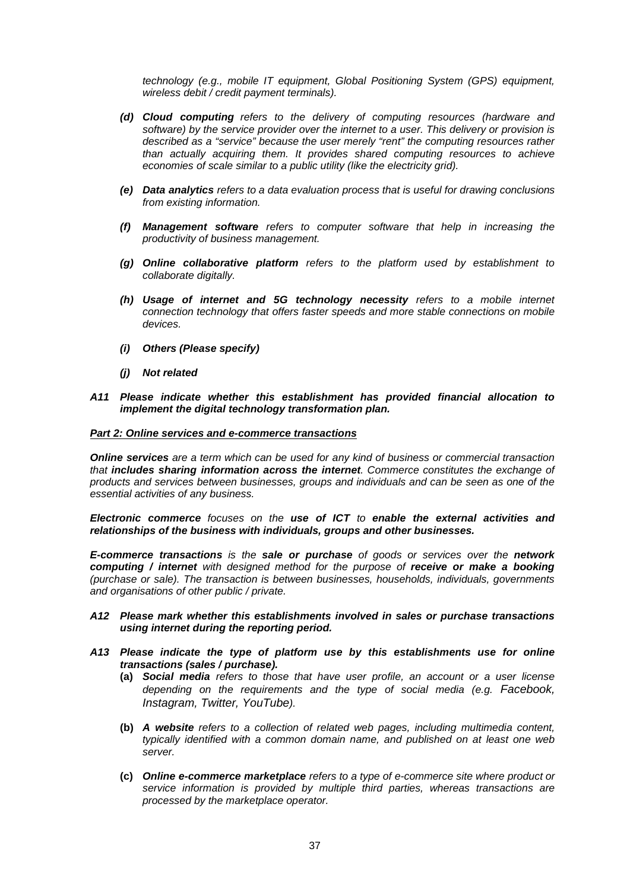*technology (e.g., mobile IT equipment, Global Positioning System (GPS) equipment, wireless debit / credit payment terminals).*

- *(d) Cloud computing refers to the delivery of computing resources (hardware and software) by the service provider over the internet to a user. This delivery or provision is described as a "service" because the user merely "rent" the computing resources rather than actually acquiring them. It provides shared computing resources to achieve economies of scale similar to a public utility (like the electricity grid).*
- *(e) Data analytics refers to a data evaluation process that is useful for drawing conclusions from existing information.*
- *(f) Management software refers to computer software that help in increasing the productivity of business management.*
- *(g) Online collaborative platform refers to the platform used by establishment to collaborate digitally.*
- *(h) Usage of internet and 5G technology necessity refers to a mobile internet connection technology that offers faster speeds and more stable connections on mobile devices.*
- *(i) Others (Please specify)*
- *(j) Not related*

#### *A11 Please indicate whether this establishment has provided financial allocation to implement the digital technology transformation plan.*

#### *Part 2: Online services and e-commerce transactions*

*Online services are a term which can be used for any kind of business or commercial transaction that includes sharing information across the internet. Commerce constitutes the exchange of products and services between businesses, groups and individuals and can be seen as one of the essential activities of any business.* 

*Electronic commerce focuses on the use of ICT to enable the external activities and relationships of the business with individuals, groups and other businesses.*

*E-commerce transactions is the sale or purchase of goods or services over the network computing / internet with designed method for the purpose of receive or make a booking (purchase or sale). The transaction is between businesses, households, individuals, governments and organisations of other public / private.* 

#### *A12 Please mark whether this establishments involved in sales or purchase transactions using internet during the reporting period.*

- *A13 Please indicate the type of platform use by this establishments use for online transactions (sales / purchase).*
	- **(a)** *Social media refers to those that have user profile, an account or a user license depending on the requirements and the type of social media (e.g. Facebook, Instagram, Twitter, YouTube).*
	- **(b)** *A website refers to a collection of related web pages, including multimedia content, typically identified with a common domain name, and published on at least one web server.*
	- **(c)** *Online e-commerce marketplace refers to a type of e-commerce site where product or service information is provided by multiple third parties, whereas transactions are processed by the marketplace operator.*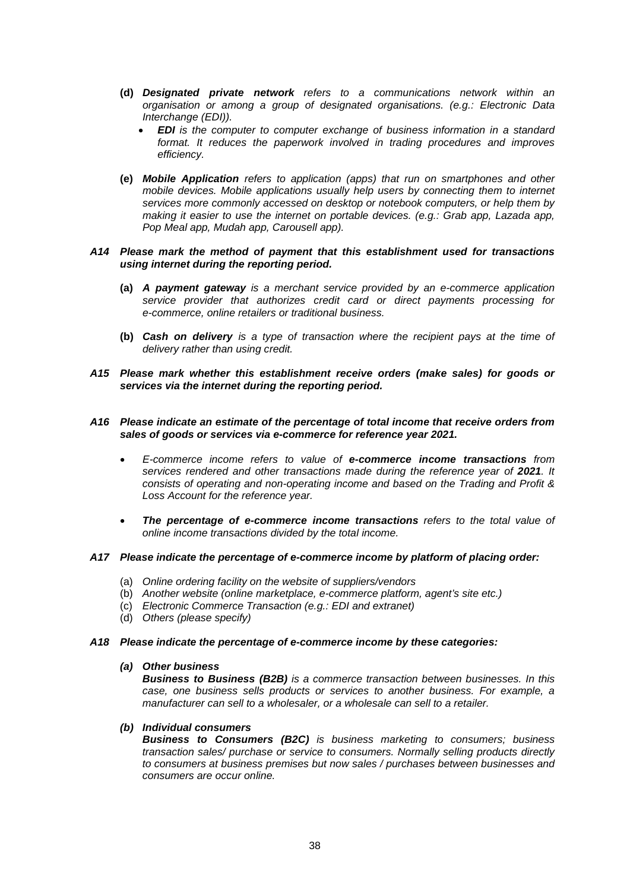- **(d)** *Designated private network refers to a communications network within an organisation or among a group of designated organisations. (e.g.: Electronic Data Interchange (EDI)).*
	- *EDI is the computer to computer exchange of business information in a standard format. It reduces the paperwork involved in trading procedures and improves efficiency.*
- **(e)** *Mobile Application refers to application (apps) that run on smartphones and other mobile devices. Mobile applications usually help users by connecting them to internet services more commonly accessed on desktop or notebook computers, or help them by making it easier to use the internet on portable devices. (e.g.: Grab app, Lazada app, Pop Meal app, Mudah app, Carousell app).*

#### *A14 Please mark the method of payment that this establishment used for transactions using internet during the reporting period.*

- **(a)** *A payment gateway is a merchant service provided by an e-commerce application service provider that authorizes credit card or direct payments processing for e-commerce, online retailers or traditional business.*
- **(b)** *Cash on delivery is a type of transaction where the recipient pays at the time of delivery rather than using credit.*
- *A15 Please mark whether this establishment receive orders (make sales) for goods or services via the internet during the reporting period.*

#### *A16 Please indicate an estimate of the percentage of total income that receive orders from sales of goods or services via e-commerce for reference year 2021.*

- *E-commerce income refers to value of e-commerce income transactions from*  services rendered and other transactions made during the reference year of 2021. It *consists of operating and non-operating income and based on the Trading and Profit & Loss Account for the reference year.*
- *The percentage of e-commerce income transactions refers to the total value of online income transactions divided by the total income.*

#### *A17 Please indicate the percentage of e-commerce income by platform of placing order:*

- (a) *Online ordering facility on the website of suppliers/vendors*
- (b) *Another website (online marketplace, e-commerce platform, agent's site etc.)*
- (c) *Electronic Commerce Transaction (e.g.: EDI and extranet)*
- (d) *Others (please specify)*

#### *A18 Please indicate the percentage of e-commerce income by these categories:*

#### *(a) Other business*

*Business to Business (B2B) is a commerce transaction between businesses. In this case, one business sells products or services to another business. For example, a manufacturer can sell to a wholesaler, or a wholesale can sell to a retailer.*

#### *(b) Individual consumers*

*Business to Consumers (B2C) is business marketing to consumers; business transaction sales/ purchase or service to consumers. Normally selling products directly to consumers at business premises but now sales / purchases between businesses and consumers are occur online.*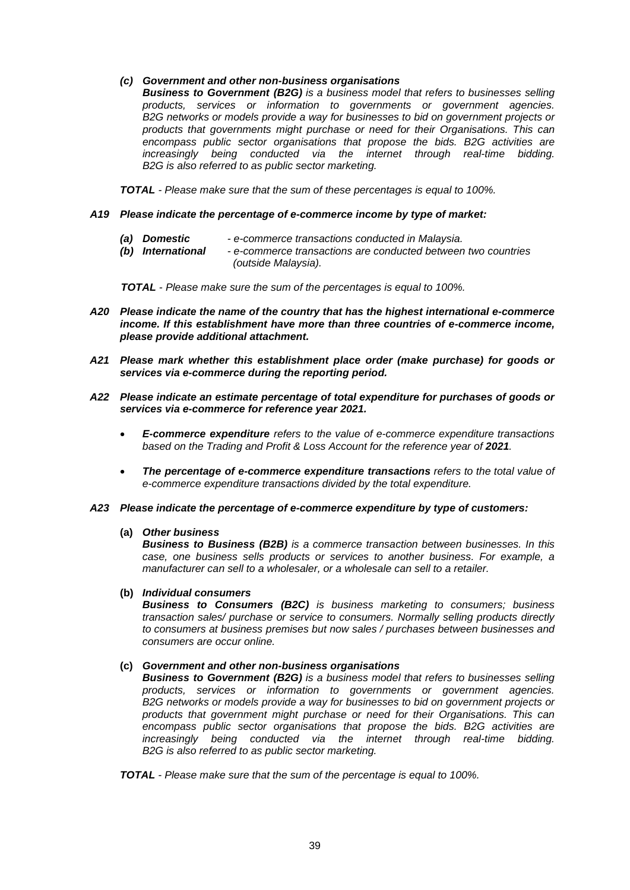### *(c) Government and other non-business organisations*

*Business to Government (B2G) is a business model that refers to businesses selling products, services or information to governments or government agencies. B2G networks or models provide a way for businesses to bid on government projects or products that governments might purchase or need for their Organisations. This can encompass public sector organisations that propose the bids. B2G activities are increasingly being conducted via the internet through real-time bidding. B2G is also referred to as public sector marketing.*

*TOTAL - Please make sure that the sum of these percentages is equal to 100%.*

### *A19 Please indicate the percentage of e-commerce income by type of market:*

- *(a) Domestic - e-commerce transactions conducted in Malaysia.*
	- *(b) International - e-commerce transactions are conducted between two countries (outside Malaysia).*

 *TOTAL - Please make sure the sum of the percentages is equal to 100%.*

- *A20 Please indicate the name of the country that has the highest international e-commerce income. If this establishment have more than three countries of e-commerce income, please provide additional attachment.*
- *A21 Please mark whether this establishment place order (make purchase) for goods or services via e-commerce during the reporting period.*
- *A22 Please indicate an estimate percentage of total expenditure for purchases of goods or services via e-commerce for reference year 2021.*
	- *E-commerce expenditure refers to the value of e-commerce expenditure transactions*  based on the Trading and Profit & Loss Account for the reference year of 2021.
	- *The percentage of e-commerce expenditure transactions refers to the total value of e-commerce expenditure transactions divided by the total expenditure.*

#### *A23 Please indicate the percentage of e-commerce expenditure by type of customers:*

## **(a)** *Other business*

*Business to Business (B2B) is a commerce transaction between businesses. In this case, one business sells products or services to another business. For example, a manufacturer can sell to a wholesaler, or a wholesale can sell to a retailer.*

### **(b)** *Individual consumers*

*Business to Consumers (B2C) is business marketing to consumers; business transaction sales/ purchase or service to consumers. Normally selling products directly to consumers at business premises but now sales / purchases between businesses and consumers are occur online.*

#### **(c)** *Government and other non-business organisations*

*Business to Government (B2G) is a business model that refers to businesses selling products, services or information to governments or government agencies. B2G networks or models provide a way for businesses to bid on government projects or products that government might purchase or need for their Organisations. This can encompass public sector organisations that propose the bids. B2G activities are increasingly being conducted via the internet through real-time bidding. B2G is also referred to as public sector marketing.*

*TOTAL - Please make sure that the sum of the percentage is equal to 100%.*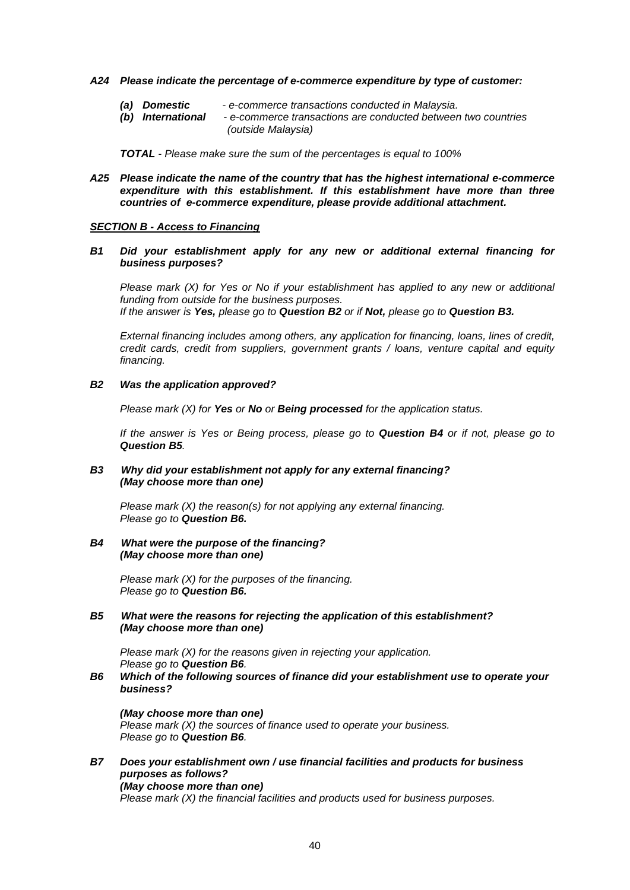- *A24 Please indicate the percentage of e-commerce expenditure by type of customer:*
	- *(a) Domestic - e-commerce transactions conducted in Malaysia.*
	- *(b) International - e-commerce transactions are conducted between two countries (outside Malaysia)*

*TOTAL - Please make sure the sum of the percentages is equal to 100%*

*A25 Please indicate the name of the country that has the highest international e-commerce expenditure with this establishment. If this establishment have more than three countries of e-commerce expenditure, please provide additional attachment.*

#### *SECTION B - Access to Financing*

#### *B1 Did your establishment apply for any new or additional external financing for business purposes?*

 *Please mark (X) for Yes or No if your establishment has applied to any new or additional funding from outside for the business purposes. If the answer is Yes, please go to Question B2 or if Not, please go to Question B3.*

*External financing includes among others, any application for financing, loans, lines of credit, credit cards, credit from suppliers, government grants / loans, venture capital and equity financing.*

#### *B2 Was the application approved?*

*Please mark (X) for Yes or No or Being processed for the application status.*

*If the answer is Yes or Being process, please go to Question B4 or if not, please go to Question B5.*

### *B3 Why did your establishment not apply for any external financing? (May choose more than one)*

*Please mark (X) the reason(s) for not applying any external financing. Please go to Question B6.*

#### *B4 What were the purpose of the financing? (May choose more than one)*

*Please mark (X) for the purposes of the financing. Please go to Question B6.*

#### *B5 What were the reasons for rejecting the application of this establishment? (May choose more than one)*

*Please mark (X) for the reasons given in rejecting your application. Please go to Question B6.*

*B6 Which of the following sources of finance did your establishment use to operate your business?*

#### *(May choose more than one) Please mark (X) the sources of finance used to operate your business. Please go to Question B6.*

#### *B7 Does your establishment own / use financial facilities and products for business purposes as follows? (May choose more than one)*

*Please mark (X) the financial facilities and products used for business purposes.*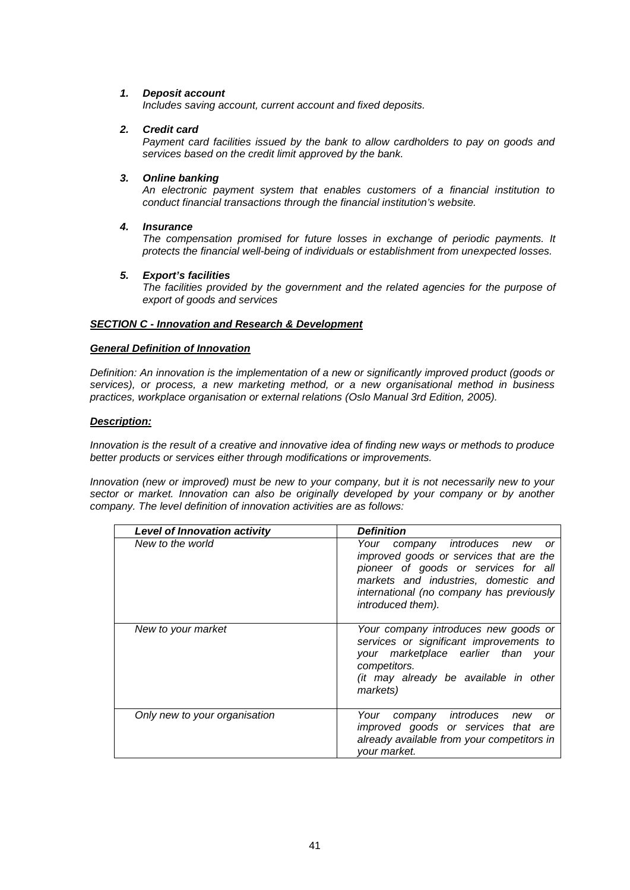### *1. Deposit account*

*Includes saving account, current account and fixed deposits.*

### *2. Credit card*

*Payment card facilities issued by the bank to allow cardholders to pay on goods and services based on the credit limit approved by the bank.*

### *3. Online banking*

*An electronic payment system that enables customers of a financial institution to conduct financial transactions through the financial institution's website.*

### *4. Insurance*

*The compensation promised for future losses in exchange of periodic payments. It protects the financial well-being of individuals or establishment from unexpected losses.*

### *5. Export's facilities*

*The facilities provided by the government and the related agencies for the purpose of export of goods and services*

## *SECTION C - Innovation and Research & Development*

#### *General Definition of Innovation*

*Definition: An innovation is the implementation of a new or significantly improved product (goods or services), or process, a new marketing method, or a new organisational method in business practices, workplace organisation or external relations (Oslo Manual 3rd Edition, 2005).*

### *Description:*

*Innovation is the result of a creative and innovative idea of finding new ways or methods to produce better products or services either through modifications or improvements.*

*Innovation (new or improved) must be new to your company, but it is not necessarily new to your sector or market. Innovation can also be originally developed by your company or by another company. The level definition of innovation activities are as follows:*

| <b>Level of Innovation activity</b> | <b>Definition</b>                                                                                                                                                                                                          |
|-------------------------------------|----------------------------------------------------------------------------------------------------------------------------------------------------------------------------------------------------------------------------|
| New to the world                    | Your company introduces new or<br>improved goods or services that are the<br>pioneer of goods or services for all<br>markets and industries, domestic and<br>international (no company has previously<br>introduced them). |
| New to your market                  | Your company introduces new goods or<br>services or significant improvements to<br>your marketplace earlier than your<br>competitors.<br>(it may already be available in other<br>markets)                                 |
| Only new to your organisation       | company introduces new<br>Your<br><b>or</b><br>improved goods or services that are<br>already available from your competitors in<br><i>vour market.</i>                                                                    |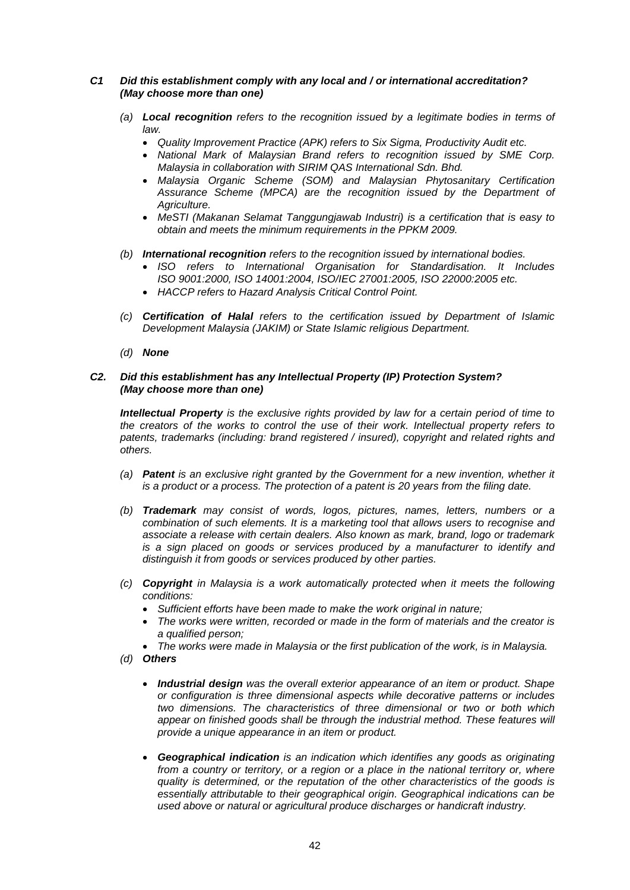### *C1 Did this establishment comply with any local and / or international accreditation? (May choose more than one)*

- *(a) Local recognition refers to the recognition issued by a legitimate bodies in terms of law.* 
	- *Quality Improvement Practice (APK) refers to Six Sigma, Productivity Audit etc.*
	- *National Mark of Malaysian Brand refers to recognition issued by SME Corp. Malaysia in collaboration with SIRIM QAS International Sdn. Bhd.*
	- *Malaysia Organic Scheme (SOM) and Malaysian Phytosanitary Certification Assurance Scheme (MPCA) are the recognition issued by the Department of Agriculture.*
	- *MeSTI (Makanan Selamat Tanggungjawab Industri) is a certification that is easy to obtain and meets the minimum requirements in the PPKM 2009.*
- *(b) International recognition refers to the recognition issued by international bodies.*
	- *ISO refers to International Organisation for Standardisation. It Includes ISO 9001:2000, ISO 14001:2004, ISO/IEC 27001:2005, ISO 22000:2005 etc.*
	- *HACCP refers to Hazard Analysis Critical Control Point.*
- *(c) Certification of Halal refers to the certification issued by Department of Islamic Development Malaysia (JAKIM) or State Islamic religious Department.*
- *(d) None*

### *C2. Did this establishment has any Intellectual Property (IP) Protection System? (May choose more than one)*

*Intellectual Property is the exclusive rights provided by law for a certain period of time to the creators of the works to control the use of their work. Intellectual property refers to patents, trademarks (including: brand registered / insured), copyright and related rights and others.*

- *(a) Patent is an exclusive right granted by the Government for a new invention, whether it is a product or a process. The protection of a patent is 20 years from the filing date.*
- *(b) Trademark may consist of words, logos, pictures, names, letters, numbers or a combination of such elements. It is a marketing tool that allows users to recognise and associate a release with certain dealers. Also known as mark, brand, logo or trademark is a sign placed on goods or services produced by a manufacturer to identify and distinguish it from goods or services produced by other parties.*
- *(c) Copyright in Malaysia is a work automatically protected when it meets the following conditions:*
	- *Sufficient efforts have been made to make the work original in nature;*
	- *The works were written, recorded or made in the form of materials and the creator is a qualified person;*
	- *The works were made in Malaysia or the first publication of the work, is in Malaysia.*
- *(d) Others*
	- *Industrial design was the overall exterior appearance of an item or product. Shape or configuration is three dimensional aspects while decorative patterns or includes two dimensions. The characteristics of three dimensional or two or both which*  appear on finished goods shall be through the industrial method. These features will *provide a unique appearance in an item or product.*
	- *Geographical indication is an indication which identifies any goods as originating from a country or territory, or a region or a place in the national territory or, where quality is determined, or the reputation of the other characteristics of the goods is essentially attributable to their geographical origin. Geographical indications can be used above or natural or agricultural produce discharges or handicraft industry.*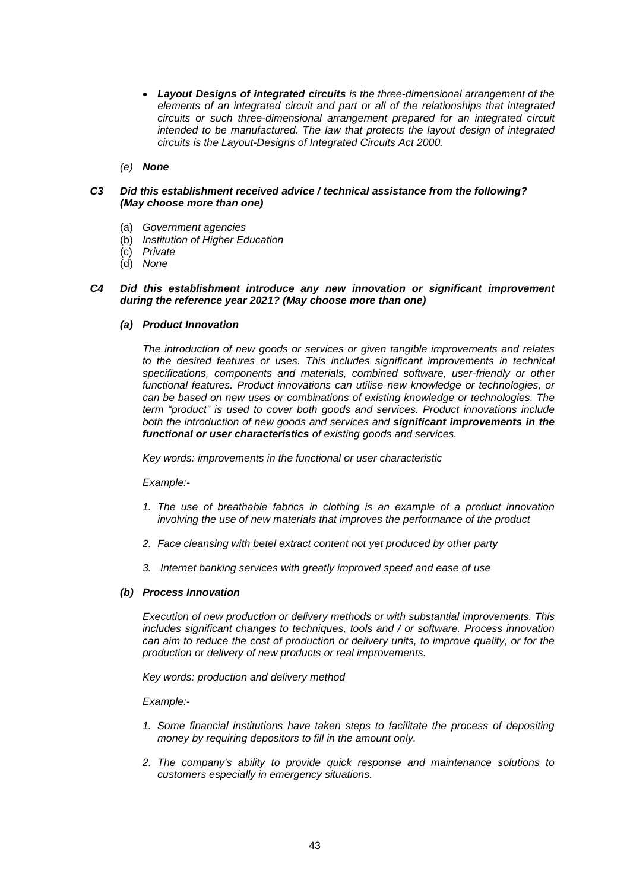- *Layout Designs of integrated circuits is the three-dimensional arrangement of the elements of an integrated circuit and part or all of the relationships that integrated circuits or such three-dimensional arrangement prepared for an integrated circuit intended to be manufactured. The law that protects the layout design of integrated circuits is the Layout-Designs of Integrated Circuits Act 2000.*
- *(e) None*

### *C3 Did this establishment received advice / technical assistance from the following? (May choose more than one)*

- (a) *Government agencies*
- (b) *Institution of Higher Education*
- (c) *Private*
- (d) *None*

### *C4 Did this establishment introduce any new innovation or significant improvement during the reference year 2021? (May choose more than one)*

#### *(a) Product Innovation*

*The introduction of new goods or services or given tangible improvements and relates to the desired features or uses. This includes significant improvements in technical specifications, components and materials, combined software, user-friendly or other functional features. Product innovations can utilise new knowledge or technologies, or can be based on new uses or combinations of existing knowledge or technologies. The term "product" is used to cover both goods and services. Product innovations include both the introduction of new goods and services and significant improvements in the functional or user characteristics of existing goods and services.*

*Key words: improvements in the functional or user characteristic*

#### *Example:-*

- *1. The use of breathable fabrics in clothing is an example of a product innovation involving the use of new materials that improves the performance of the product*
- *2. Face cleansing with betel extract content not yet produced by other party*
- *3. Internet banking services with greatly improved speed and ease of use*

#### *(b) Process Innovation*

*Execution of new production or delivery methods or with substantial improvements. This includes significant changes to techniques, tools and / or software. Process innovation can aim to reduce the cost of production or delivery units, to improve quality, or for the production or delivery of new products or real improvements.*

*Key words: production and delivery method*

#### *Example:-*

- *1. Some financial institutions have taken steps to facilitate the process of depositing money by requiring depositors to fill in the amount only.*
- *2. The company's ability to provide quick response and maintenance solutions to customers especially in emergency situations.*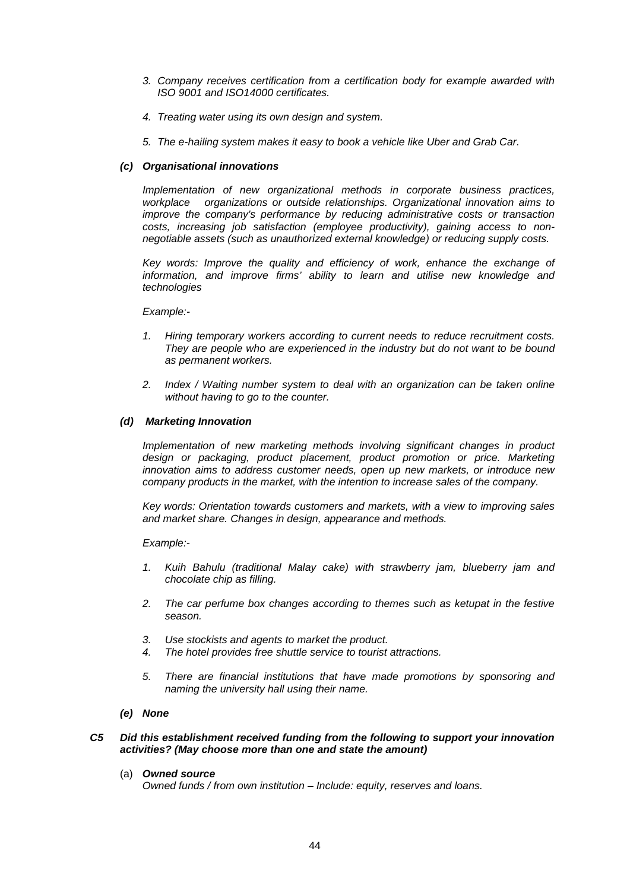- *3. Company receives certification from a certification body for example awarded with ISO 9001 and ISO14000 certificates.*
- *4. Treating water using its own design and system.*
- *5. The e-hailing system makes it easy to book a vehicle like Uber and Grab Car.*

### *(c) Organisational innovations*

*Implementation of new organizational methods in corporate business practices, workplace organizations or outside relationships. Organizational innovation aims to improve the company's performance by reducing administrative costs or transaction costs, increasing job satisfaction (employee productivity), gaining access to nonnegotiable assets (such as unauthorized external knowledge) or reducing supply costs.*

*Key words: Improve the quality and efficiency of work, enhance the exchange of*  information, and improve firms' ability to learn and utilise new knowledge and *technologies*

#### *Example:-*

- *1. Hiring temporary workers according to current needs to reduce recruitment costs. They are people who are experienced in the industry but do not want to be bound as permanent workers.*
- *2. Index / Waiting number system to deal with an organization can be taken online without having to go to the counter.*

#### *(d) Marketing Innovation*

*Implementation of new marketing methods involving significant changes in product*  design or packaging, product placement, product promotion or price. Marketing *innovation aims to address customer needs, open up new markets, or introduce new company products in the market, with the intention to increase sales of the company.*

*Key words: Orientation towards customers and markets, with a view to improving sales and market share. Changes in design, appearance and methods.*

*Example:-*

- *1. Kuih Bahulu (traditional Malay cake) with strawberry jam, blueberry jam and chocolate chip as filling.*
- *2. The car perfume box changes according to themes such as ketupat in the festive season.*
- *3. Use stockists and agents to market the product.*
- *4. The hotel provides free shuttle service to tourist attractions.*
- *5. There are financial institutions that have made promotions by sponsoring and naming the university hall using their name.*
- *(e) None*

### *C5 Did this establishment received funding from the following to support your innovation activities? (May choose more than one and state the amount)*

(a) *Owned source*

*Owned funds / from own institution – Include: equity, reserves and loans.*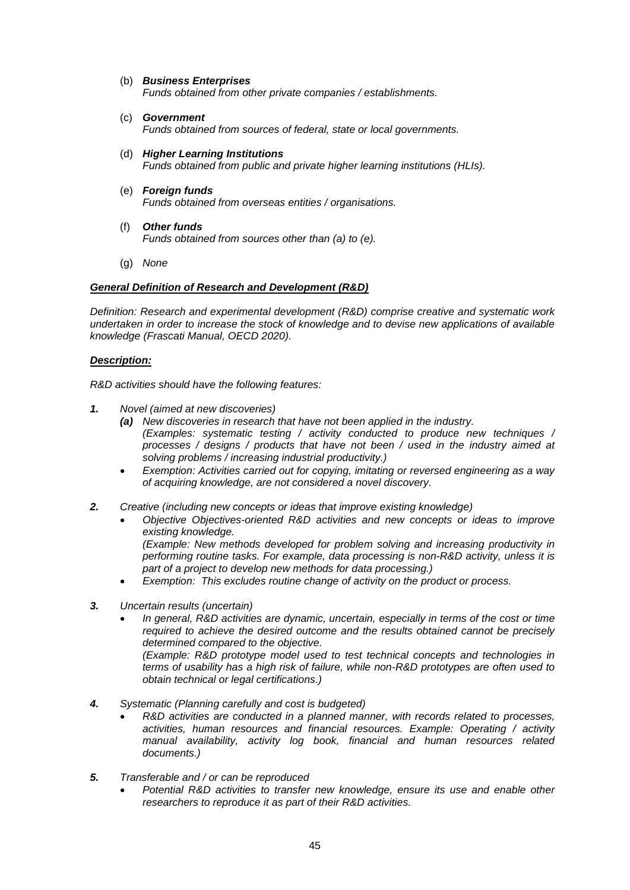### (b) *Business Enterprises*

*Funds obtained from other private companies / establishments.*

- (c) *Government Funds obtained from sources of federal, state or local governments.*
- (d) *Higher Learning Institutions Funds obtained from public and private higher learning institutions (HLIs).*
- (e) *Foreign funds Funds obtained from overseas entities / organisations.*
- (f) *Other funds Funds obtained from sources other than (a) to (e).*
- (g) *None*

### *General Definition of Research and Development (R&D)*

*Definition: Research and experimental development (R&D) comprise creative and systematic work undertaken in order to increase the stock of knowledge and to devise new applications of available knowledge (Frascati Manual, OECD 2020).*

### *Description:*

*R&D activities should have the following features:*

- *1. Novel (aimed at new discoveries)*
	- *(a) New discoveries in research that have not been applied in the industry. (Examples: systematic testing / activity conducted to produce new techniques / processes / designs / products that have not been / used in the industry aimed at solving problems / increasing industrial productivity.)*
	- *Exemption: Activities carried out for copying, imitating or reversed engineering as a way of acquiring knowledge, are not considered a novel discovery.*
- *2. Creative (including new concepts or ideas that improve existing knowledge)*
	- *Objective Objectives-oriented R&D activities and new concepts or ideas to improve existing knowledge.*

*(Example: New methods developed for problem solving and increasing productivity in performing routine tasks. For example, data processing is non-R&D activity, unless it is part of a project to develop new methods for data processing.)*

- *Exemption: This excludes routine change of activity on the product or process.*
- *3. Uncertain results (uncertain)*
	- *In general, R&D activities are dynamic, uncertain, especially in terms of the cost or time required to achieve the desired outcome and the results obtained cannot be precisely determined compared to the objective.*

*(Example: R&D prototype model used to test technical concepts and technologies in terms of usability has a high risk of failure, while non-R&D prototypes are often used to obtain technical or legal certifications.)*

- *4. Systematic (Planning carefully and cost is budgeted)*
	- *R&D activities are conducted in a planned manner, with records related to processes, activities, human resources and financial resources. Example: Operating / activity manual availability, activity log book, financial and human resources related documents.)*
- *5. Transferable and / or can be reproduced*
	- *Potential R&D activities to transfer new knowledge, ensure its use and enable other researchers to reproduce it as part of their R&D activities.*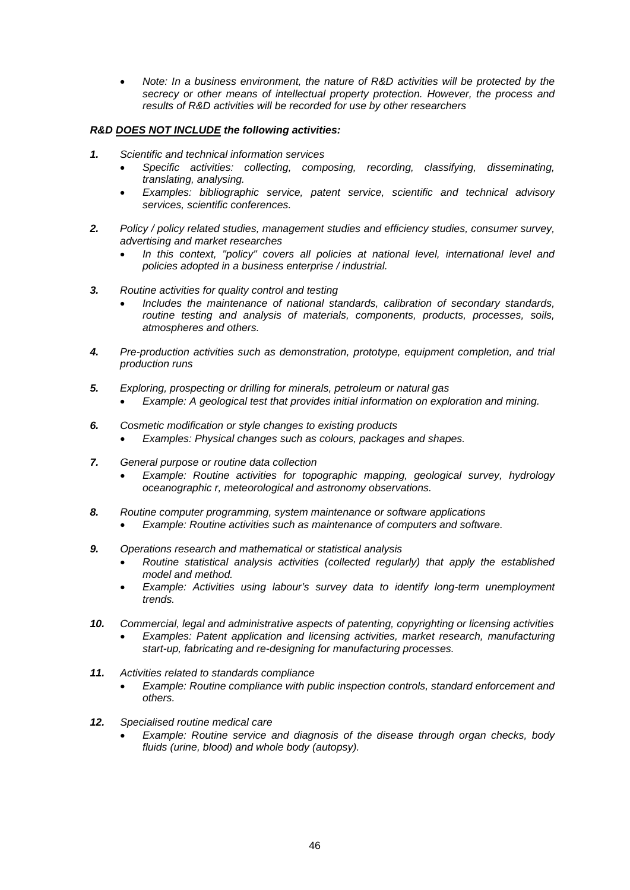• *Note: In a business environment, the nature of R&D activities will be protected by the secrecy or other means of intellectual property protection. However, the process and results of R&D activities will be recorded for use by other researchers*

### *R&D DOES NOT INCLUDE the following activities:*

- *1. Scientific and technical information services*
	- *Specific activities: collecting, composing, recording, classifying, disseminating, translating, analysing.*
	- *Examples: bibliographic service, patent service, scientific and technical advisory services, scientific conferences.*
- *2. Policy / policy related studies, management studies and efficiency studies, consumer survey, advertising and market researches*
	- *In this context, "policy" covers all policies at national level, international level and policies adopted in a business enterprise / industrial.*
- *3. Routine activities for quality control and testing*
	- *Includes the maintenance of national standards, calibration of secondary standards, routine testing and analysis of materials, components, products, processes, soils, atmospheres and others.*
- *4. Pre-production activities such as demonstration, prototype, equipment completion, and trial production runs*
- *5. Exploring, prospecting or drilling for minerals, petroleum or natural gas*
	- *Example: A geological test that provides initial information on exploration and mining.*
- *6. Cosmetic modification or style changes to existing products* • *Examples: Physical changes such as colours, packages and shapes.*
- *7. General purpose or routine data collection*
	- *Example: Routine activities for topographic mapping, geological survey, hydrology oceanographic r, meteorological and astronomy observations.*
- *8. Routine computer programming, system maintenance or software applications*
	- *Example: Routine activities such as maintenance of computers and software.*
- *9. Operations research and mathematical or statistical analysis*
	- *Routine statistical analysis activities (collected regularly) that apply the established model and method.*
	- *Example: Activities using labour's survey data to identify long-term unemployment trends.*
- *10. Commercial, legal and administrative aspects of patenting, copyrighting or licensing activities* • *Examples: Patent application and licensing activities, market research, manufacturing start-up, fabricating and re-designing for manufacturing processes.*
- *11. Activities related to standards compliance* 
	- *Example: Routine compliance with public inspection controls, standard enforcement and others.*
- *12. Specialised routine medical care*
	- *Example: Routine service and diagnosis of the disease through organ checks, body fluids (urine, blood) and whole body (autopsy).*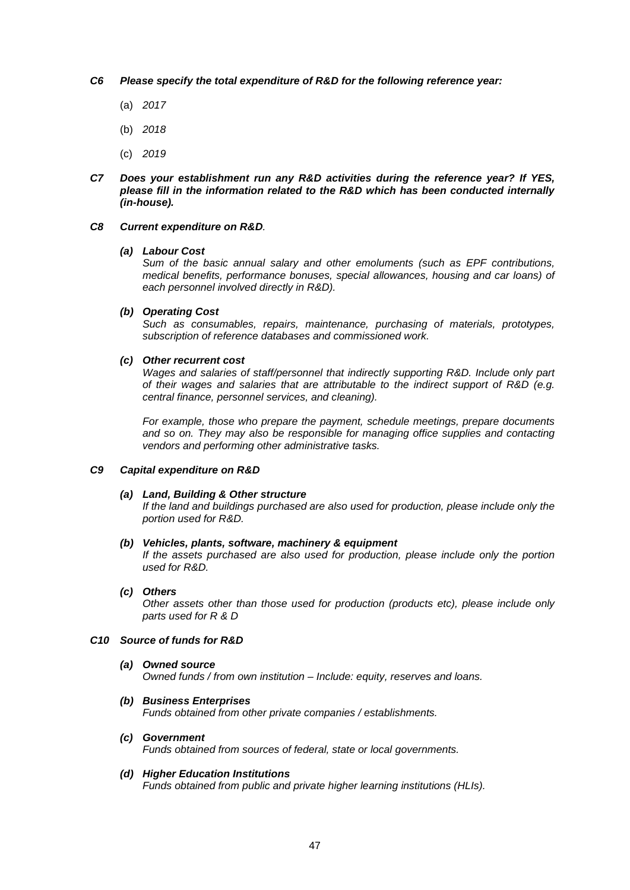#### *C6 Please specify the total expenditure of R&D for the following reference year:*

- (a) *2017*
- (b) *2018*
- (c) *2019*
- *C7 Does your establishment run any R&D activities during the reference year? If YES, please fill in the information related to the R&D which has been conducted internally (in-house).*

#### *C8 Current expenditure on R&D.*

#### *(a) Labour Cost*

*Sum of the basic annual salary and other emoluments (such as EPF contributions, medical benefits, performance bonuses, special allowances, housing and car loans) of each personnel involved directly in R&D).* 

### *(b) Operating Cost*

*Such as consumables, repairs, maintenance, purchasing of materials, prototypes, subscription of reference databases and commissioned work.*

#### *(c) Other recurrent cost*

*Wages and salaries of staff/personnel that indirectly supporting R&D. Include only part of their wages and salaries that are attributable to the indirect support of R&D (e.g. central finance, personnel services, and cleaning).*

*For example, those who prepare the payment, schedule meetings, prepare documents*  and so on. They may also be responsible for managing office supplies and contacting *vendors and performing other administrative tasks.*

### *C9 Capital expenditure on R&D*

#### *(a) Land, Building & Other structure*

*If the land and buildings purchased are also used for production, please include only the portion used for R&D.*

#### *(b) Vehicles, plants, software, machinery & equipment*

*If the assets purchased are also used for production, please include only the portion used for R&D.*

#### *(c) Others*

*Other assets other than those used for production (products etc), please include only parts used for R & D*

#### *C10 Source of funds for R&D*

*(a) Owned source Owned funds / from own institution – Include: equity, reserves and loans.*

### *(b) Business Enterprises*

*Funds obtained from other private companies / establishments.*

*(c) Government*

*Funds obtained from sources of federal, state or local governments.*

#### *(d) Higher Education Institutions*

*Funds obtained from public and private higher learning institutions (HLIs).*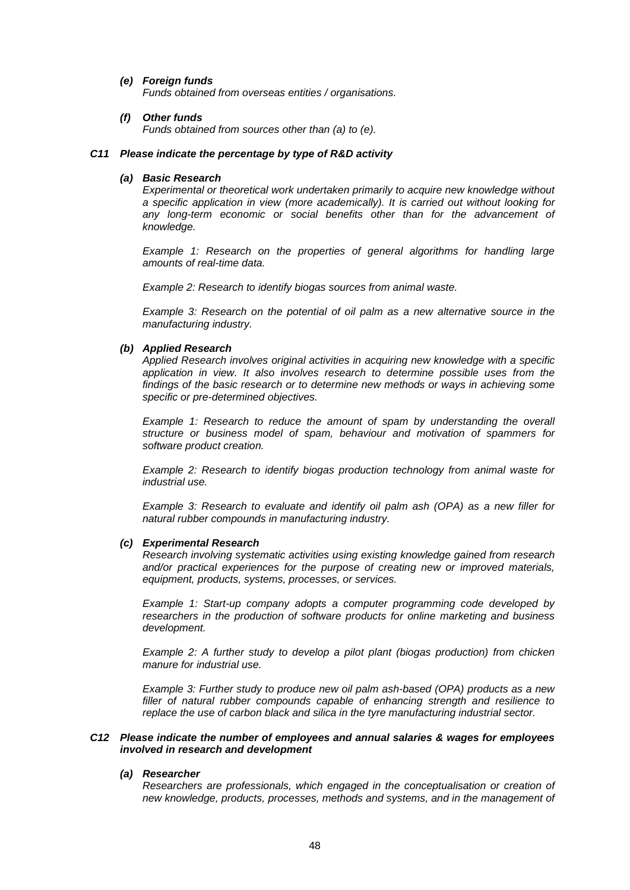#### *(e) Foreign funds*

*Funds obtained from overseas entities / organisations.*

#### *(f) Other funds*

*Funds obtained from sources other than (a) to (e).*

#### *C11 Please indicate the percentage by type of R&D activity*

### *(a) Basic Research*

*Experimental or theoretical work undertaken primarily to acquire new knowledge without a specific application in view (more academically). It is carried out without looking for any long-term economic or social benefits other than for the advancement of knowledge.*

*Example 1: Research on the properties of general algorithms for handling large amounts of real-time data.*

*Example 2: Research to identify biogas sources from animal waste.*

*Example 3: Research on the potential of oil palm as a new alternative source in the manufacturing industry.*

## *(b) Applied Research*

*Applied Research involves original activities in acquiring new knowledge with a specific application in view. It also involves research to determine possible uses from the findings of the basic research or to determine new methods or ways in achieving some specific or pre-determined objectives.*

*Example 1: Research to reduce the amount of spam by understanding the overall structure or business model of spam, behaviour and motivation of spammers for software product creation.*

*Example 2: Research to identify biogas production technology from animal waste for industrial use.*

*Example 3: Research to evaluate and identify oil palm ash (OPA) as a new filler for natural rubber compounds in manufacturing industry.*

#### *(c) Experimental Research*

*Research involving systematic activities using existing knowledge gained from research and/or practical experiences for the purpose of creating new or improved materials, equipment, products, systems, processes, or services.*

*Example 1: Start-up company adopts a computer programming code developed by researchers in the production of software products for online marketing and business development.*

*Example 2: A further study to develop a pilot plant (biogas production) from chicken manure for industrial use.*

*Example 3: Further study to produce new oil palm ash-based (OPA) products as a new filler of natural rubber compounds capable of enhancing strength and resilience to replace the use of carbon black and silica in the tyre manufacturing industrial sector.*

#### *C12 Please indicate the number of employees and annual salaries & wages for employees involved in research and development*

#### *(a) Researcher*

*Researchers are professionals, which engaged in the conceptualisation or creation of new knowledge, products, processes, methods and systems, and in the management of*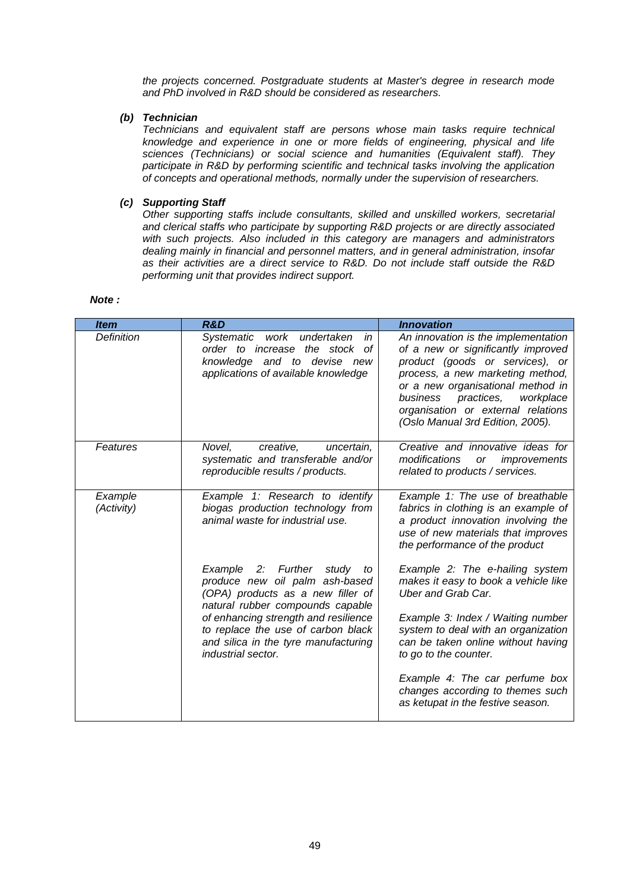*the projects concerned. Postgraduate students at Master's degree in research mode and PhD involved in R&D should be considered as researchers.*

### *(b) Technician*

*Technicians and equivalent staff are persons whose main tasks require technical knowledge and experience in one or more fields of engineering, physical and life sciences (Technicians) or social science and humanities (Equivalent staff). They participate in R&D by performing scientific and technical tasks involving the application of concepts and operational methods, normally under the supervision of researchers.*

## *(c) Supporting Staff*

*Other supporting staffs include consultants, skilled and unskilled workers, secretarial and clerical staffs who participate by supporting R&D projects or are directly associated with such projects. Also included in this category are managers and administrators dealing mainly in financial and personnel matters, and in general administration, insofar as their activities are a direct service to R&D. Do not include staff outside the R&D performing unit that provides indirect support.*

| <b>Item</b>           | <b>R&amp;D</b>                                                                                                                                                                                                                                                                           | <b>Innovation</b>                                                                                                                                                                                                                                                                                      |  |
|-----------------------|------------------------------------------------------------------------------------------------------------------------------------------------------------------------------------------------------------------------------------------------------------------------------------------|--------------------------------------------------------------------------------------------------------------------------------------------------------------------------------------------------------------------------------------------------------------------------------------------------------|--|
| Definition            | <b>Systematic</b><br>work undertaken<br>in<br>order to increase the stock of<br>knowledge and to devise new<br>applications of available knowledge                                                                                                                                       | An innovation is the implementation<br>of a new or significantly improved<br>product (goods or services), or<br>process, a new marketing method,<br>or a new organisational method in<br>business<br>practices,<br>workplace<br>organisation or external relations<br>(Oslo Manual 3rd Edition, 2005). |  |
| Features              | creative,<br>Novel,<br>uncertain,<br>systematic and transferable and/or<br>reproducible results / products.                                                                                                                                                                              | Creative and innovative ideas for<br>modifications<br>improvements<br>or<br>related to products / services.                                                                                                                                                                                            |  |
| Example<br>(Activity) | Example 1: Research to identify<br>biogas production technology from<br>animal waste for industrial use.                                                                                                                                                                                 | Example 1: The use of breathable<br>fabrics in clothing is an example of<br>a product innovation involving the<br>use of new materials that improves<br>the performance of the product                                                                                                                 |  |
|                       | Example 2: Further<br>study<br>to<br>produce new oil palm ash-based<br>(OPA) products as a new filler of<br>natural rubber compounds capable<br>of enhancing strength and resilience<br>to replace the use of carbon black<br>and silica in the tyre manufacturing<br>industrial sector. | Example 2: The e-hailing system<br>makes it easy to book a vehicle like<br><b>Uber and Grab Car.</b><br>Example 3: Index / Waiting number<br>system to deal with an organization<br>can be taken online without having<br>to go to the counter.                                                        |  |
|                       |                                                                                                                                                                                                                                                                                          | Example 4: The car perfume box<br>changes according to themes such<br>as ketupat in the festive season.                                                                                                                                                                                                |  |

*Note :*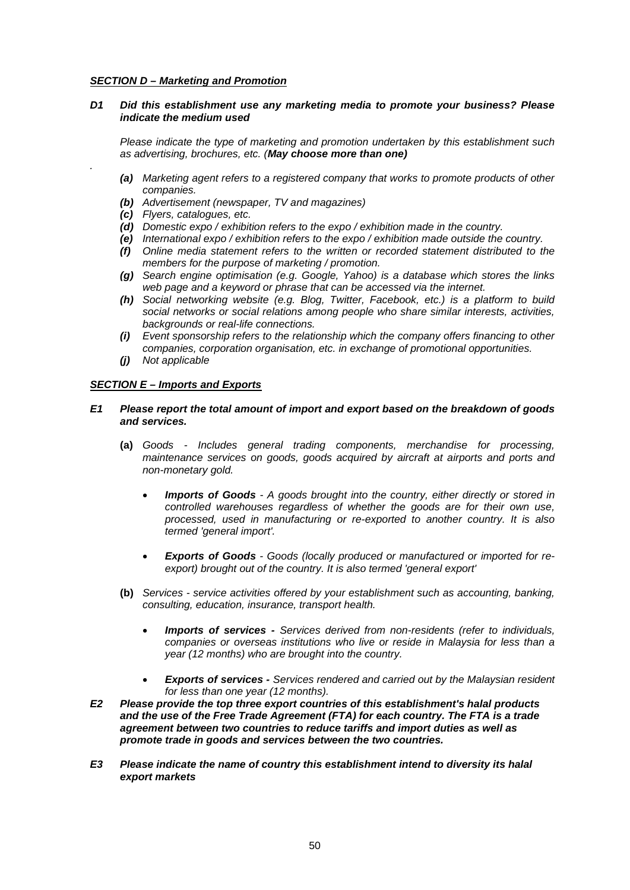### *SECTION D – Marketing and Promotion*

### *D1 Did this establishment use any marketing media to promote your business? Please indicate the medium used*

*Please indicate the type of marketing and promotion undertaken by this establishment such as advertising, brochures, etc. (May choose more than one)*

- *(a) Marketing agent refers to a registered company that works to promote products of other companies.*
- *(b) Advertisement (newspaper, TV and magazines)*
- *(c) Flyers, catalogues, etc.*

*.*

- *(d) Domestic expo / exhibition refers to the expo / exhibition made in the country.*
- *(e) International expo / exhibition refers to the expo / exhibition made outside the country.*
- *(f) Online media statement refers to the written or recorded statement distributed to the members for the purpose of marketing / promotion.*
- *(g) Search engine optimisation (e.g. Google, Yahoo) is a database which stores the links web page and a keyword or phrase that can be accessed via the internet.*
- *(h) Social networking website (e.g. Blog, Twitter, Facebook, etc.) is a platform to build social networks or social relations among people who share similar interests, activities, backgrounds or real-life connections.*
- *(i) Event sponsorship refers to the relationship which the company offers financing to other companies, corporation organisation, etc. in exchange of promotional opportunities.*
- *(j) Not applicable*

### *SECTION E – Imports and Exports*

- *E1 Please report the total amount of import and export based on the breakdown of goods and services.*
	- **(a)** *Goods - Includes general trading components, merchandise for processing, maintenance services on goods, goods acquired by aircraft at airports and ports and non-monetary gold.*
		- *Imports of Goods - A goods brought into the country, either directly or stored in controlled warehouses regardless of whether the goods are for their own use, processed, used in manufacturing or re-exported to another country. It is also termed 'general import'.*
		- *Exports of Goods - Goods (locally produced or manufactured or imported for reexport) brought out of the country. It is also termed 'general export'*
	- **(b)** *Services - service activities offered by your establishment such as accounting, banking, consulting, education, insurance, transport health.*
		- *Imports of services - Services derived from non-residents (refer to individuals, companies or overseas institutions who live or reside in Malaysia for less than a year (12 months) who are brought into the country.*
		- *Exports of services - Services rendered and carried out by the Malaysian resident for less than one year (12 months).*
- *E2 Please provide the top three export countries of this establishment's halal products and the use of the Free Trade Agreement (FTA) for each country. The FTA is a trade agreement between two countries to reduce tariffs and import duties as well as promote trade in goods and services between the two countries.*
- *E3 Please indicate the name of country this establishment intend to diversity its halal export markets*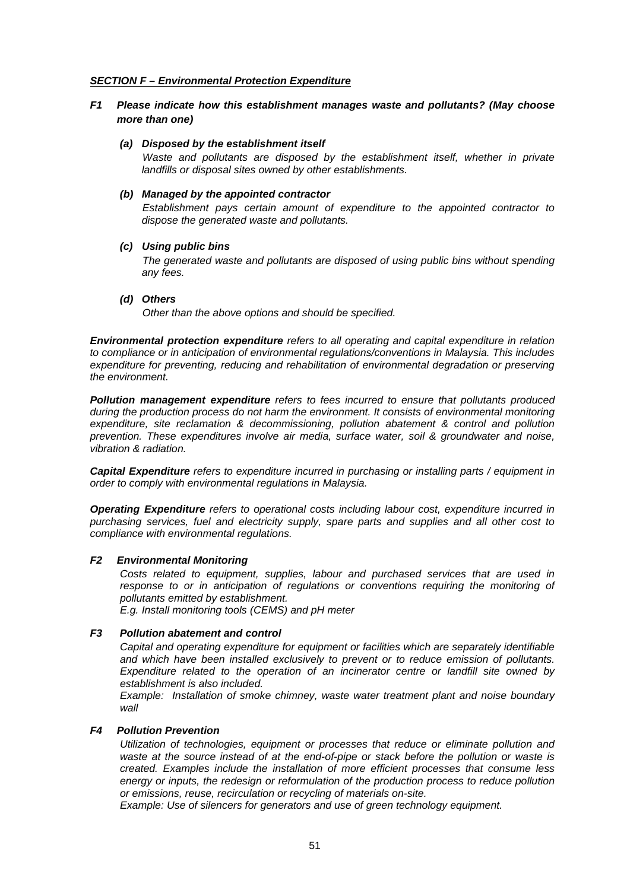### *SECTION F – Environmental Protection Expenditure*

### *F1 Please indicate how this establishment manages waste and pollutants? (May choose more than one)*

#### *(a) Disposed by the establishment itself*

*Waste and pollutants are disposed by the establishment itself, whether in private landfills or disposal sites owned by other establishments.*

#### *(b) Managed by the appointed contractor*

*Establishment pays certain amount of expenditure to the appointed contractor to dispose the generated waste and pollutants.*

#### *(c) Using public bins*

*The generated waste and pollutants are disposed of using public bins without spending any fees.* 

#### *(d) Others*

*Other than the above options and should be specified.*

*Environmental protection expenditure refers to all operating and capital expenditure in relation to compliance or in anticipation of environmental regulations/conventions in Malaysia. This includes expenditure for preventing, reducing and rehabilitation of environmental degradation or preserving the environment.*

*Pollution management expenditure refers to fees incurred to ensure that pollutants produced during the production process do not harm the environment. It consists of environmental monitoring expenditure, site reclamation & decommissioning, pollution abatement & control and pollution prevention. These expenditures involve air media, surface water, soil & groundwater and noise, vibration & radiation.*

*Capital Expenditure refers to expenditure incurred in purchasing or installing parts / equipment in order to comply with environmental regulations in Malaysia.*

*Operating Expenditure refers to operational costs including labour cost, expenditure incurred in purchasing services, fuel and electricity supply, spare parts and supplies and all other cost to compliance with environmental regulations.*

#### *F2 Environmental Monitoring*

*Costs related to equipment, supplies, labour and purchased services that are used in*  response to or in anticipation of regulations or conventions requiring the monitoring of *pollutants emitted by establishment.*

*E.g. Install monitoring tools (CEMS) and pH meter*

#### *F3 Pollution abatement and control*

*Capital and operating expenditure for equipment or facilities which are separately identifiable and which have been installed exclusively to prevent or to reduce emission of pollutants. Expenditure related to the operation of an incinerator centre or landfill site owned by establishment is also included.* 

*Example: Installation of smoke chimney, waste water treatment plant and noise boundary wall*

### *F4 Pollution Prevention*

*Utilization of technologies, equipment or processes that reduce or eliminate pollution and waste at the source instead of at the end-of-pipe or stack before the pollution or waste is created. Examples include the installation of more efficient processes that consume less energy or inputs, the redesign or reformulation of the production process to reduce pollution or emissions, reuse, recirculation or recycling of materials on-site.*

*Example: Use of silencers for generators and use of green technology equipment.*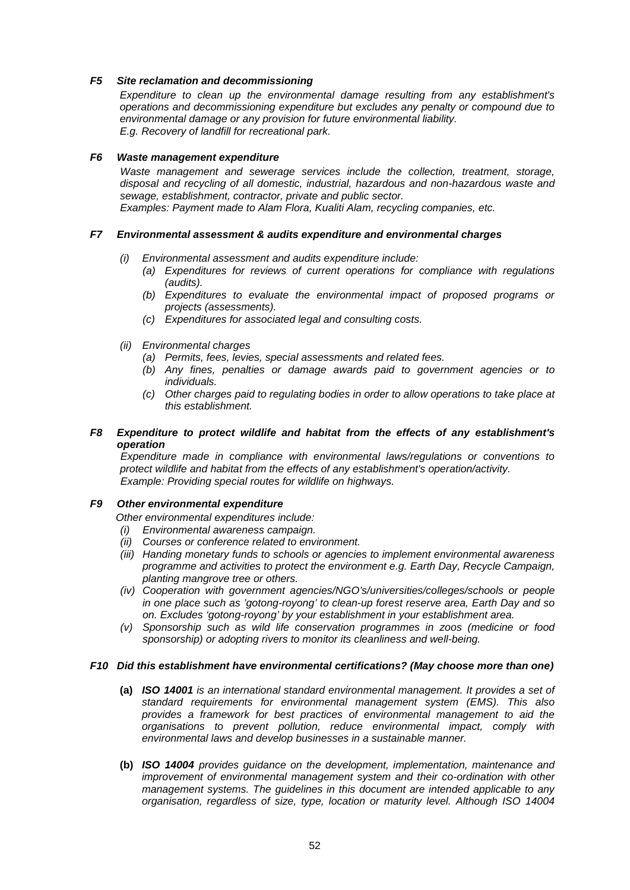### *F5 Site reclamation and decommissioning*

*Expenditure to clean up the environmental damage resulting from any establishment's operations and decommissioning expenditure but excludes any penalty or compound due to environmental damage or any provision for future environmental liability. E.g. Recovery of landfill for recreational park.*

#### *F6 Waste management expenditure*

*Waste management and sewerage services include the collection, treatment, storage, disposal and recycling of all domestic, industrial, hazardous and non-hazardous waste and sewage, establishment, contractor, private and public sector. Examples: Payment made to Alam Flora, Kualiti Alam, recycling companies, etc.*

### *F7 Environmental assessment & audits expenditure and environmental charges*

- *(i) Environmental assessment and audits expenditure include:*
	- *(a) Expenditures for reviews of current operations for compliance with regulations (audits).*
	- *(b) Expenditures to evaluate the environmental impact of proposed programs or projects (assessments).*
	- *(c) Expenditures for associated legal and consulting costs.*
- *(ii) Environmental charges*
	- *(a) Permits, fees, levies, special assessments and related fees.*
	- *(b) Any fines, penalties or damage awards paid to government agencies or to individuals.*
	- *(c) Other charges paid to regulating bodies in order to allow operations to take place at this establishment.*

### *F8 Expenditure to protect wildlife and habitat from the effects of any establishment's operation*

*Expenditure made in compliance with environmental laws/regulations or conventions to protect wildlife and habitat from the effects of any establishment's operation/activity. Example: Providing special routes for wildlife on highways.*

### *F9 Other environmental expenditure*

*Other environmental expenditures include:*

- *(i) Environmental awareness campaign.*
- *(ii) Courses or conference related to environment.*
- *(iii) Handing monetary funds to schools or agencies to implement environmental awareness programme and activities to protect the environment e.g. Earth Day, Recycle Campaign, planting mangrove tree or others.*
- *(iv) Cooperation with government agencies/NGO's/universities/colleges/schools or people in one place such as 'gotong-royong' to clean-up forest reserve area, Earth Day and so on. Excludes 'gotong-royong' by your establishment in your establishment area.*
- *(v) Sponsorship such as wild life conservation programmes in zoos (medicine or food sponsorship) or adopting rivers to monitor its cleanliness and well-being.*

### *F10 Did this establishment have environmental certifications? (May choose more than one)*

- **(a)** *ISO 14001 is an international standard environmental management. It provides a set of standard requirements for environmental management system (EMS). This also provides a framework for best practices of environmental management to aid the organisations to prevent pollution, reduce environmental impact, comply with environmental laws and develop businesses in a sustainable manner.*
- **(b)** *ISO 14004 provides guidance on the development, implementation, maintenance and improvement of environmental management system and their co-ordination with other management systems. The guidelines in this document are intended applicable to any organisation, regardless of size, type, location or maturity level. Although ISO 14004*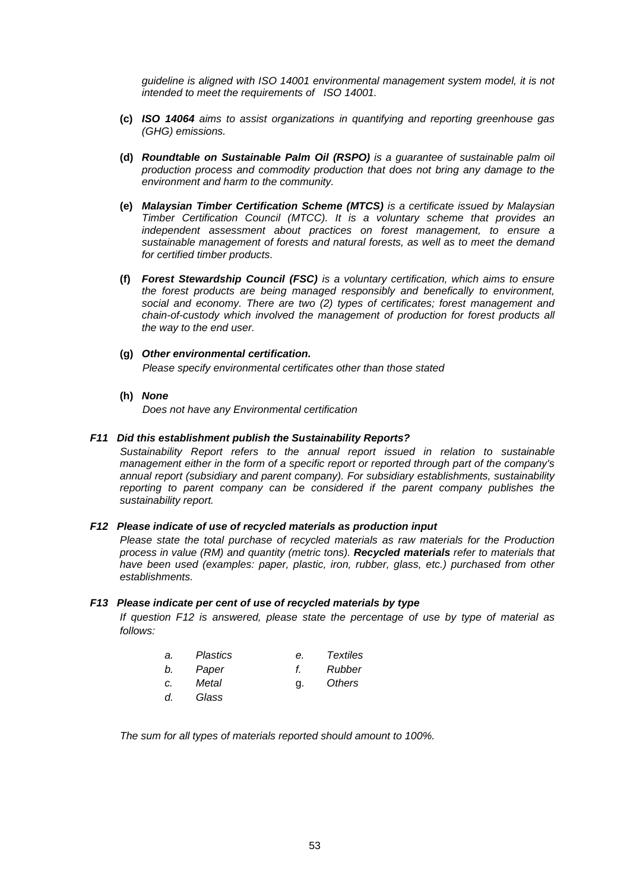*guideline is aligned with ISO 14001 environmental management system model, it is not intended to meet the requirements of ISO 14001.*

- **(c)** *ISO 14064 aims to assist organizations in quantifying and reporting greenhouse gas (GHG) emissions.*
- **(d)** *Roundtable on Sustainable Palm Oil (RSPO) is a guarantee of sustainable palm oil production process and commodity production that does not bring any damage to the environment and harm to the community.*
- **(e)** *Malaysian Timber Certification Scheme (MTCS) is a certificate issued by Malaysian Timber Certification Council (MTCC). It is a voluntary scheme that provides an independent assessment about practices on forest management, to ensure a sustainable management of forests and natural forests, as well as to meet the demand for certified timber products.*
- **(f)** *Forest Stewardship Council (FSC) is a voluntary certification, which aims to ensure the forest products are being managed responsibly and benefically to environment, social and economy. There are two (2) types of certificates; forest management and chain-of-custody which involved the management of production for forest products all the way to the end user.*
- **(g)** *Other environmental certification. Please specify environmental certificates other than those stated*
- **(h)** *None*

*Does not have any Environmental certification*

### *F11 Did this establishment publish the Sustainability Reports?*

*Sustainability Report refers to the annual report issued in relation to sustainable management either in the form of a specific report or reported through part of the company's annual report (subsidiary and parent company). For subsidiary establishments, sustainability reporting to parent company can be considered if the parent company publishes the sustainability report.*

#### *F12 Please indicate of use of recycled materials as production input*

*Please state the total purchase of recycled materials as raw materials for the Production process in value (RM) and quantity (metric tons). Recycled materials refer to materials that have been used (examples: paper, plastic, iron, rubber, glass, etc.) purchased from other establishments.*

#### *F13 Please indicate per cent of use of recycled materials by type*

*If question F12 is answered, please state the percentage of use by type of material as follows:*

| a. | <b>Plastics</b> | е.           | Textiles |
|----|-----------------|--------------|----------|
| b. | Paper           | $\mathbf{f}$ | Rubber   |
| C. | Metal           | q.           | Others   |
| d. | Glass           |              |          |

*The sum for all types of materials reported should amount to 100%.*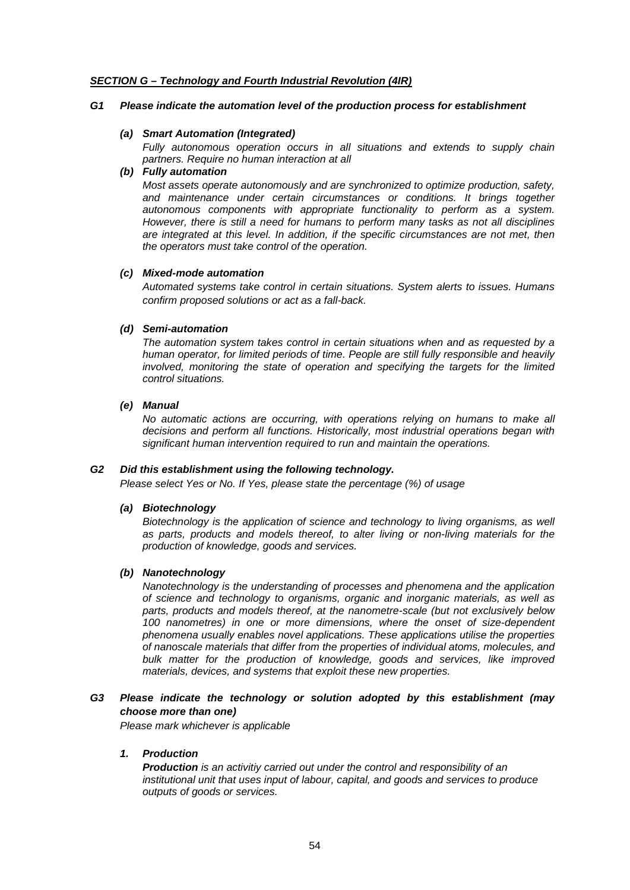### *SECTION G – Technology and Fourth Industrial Revolution (4IR)*

### *G1 Please indicate the automation level of the production process for establishment*

### *(a) Smart Automation (Integrated)*

*Fully autonomous operation occurs in all situations and extends to supply chain partners. Require no human interaction at all*

## *(b) Fully automation*

*Most assets operate autonomously and are synchronized to optimize production, safety,*  and maintenance under certain circumstances or conditions. It brings together *autonomous components with appropriate functionality to perform as a system. However, there is still a need for humans to perform many tasks as not all disciplines are integrated at this level. In addition, if the specific circumstances are not met, then the operators must take control of the operation.* 

### *(c) Mixed-mode automation*

*Automated systems take control in certain situations. System alerts to issues. Humans confirm proposed solutions or act as a fall-back.*

### *(d) Semi-automation*

*The automation system takes control in certain situations when and as requested by a human operator, for limited periods of time. People are still fully responsible and heavily involved, monitoring the state of operation and specifying the targets for the limited control situations.*

### *(e) Manual*

*No automatic actions are occurring, with operations relying on humans to make all decisions and perform all functions. Historically, most industrial operations began with significant human intervention required to run and maintain the operations.*

### *G2 Did this establishment using the following technology.*

*Please select Yes or No. If Yes, please state the percentage (%) of usage*

### *(a) Biotechnology*

*Biotechnology is the application of science and technology to living organisms, as well as parts, products and models thereof, to alter living or non-living materials for the production of knowledge, goods and services.*

### *(b) Nanotechnology*

*Nanotechnology is the understanding of processes and phenomena and the application of science and technology to organisms, organic and inorganic materials, as well as parts, products and models thereof, at the nanometre-scale (but not exclusively below 100 nanometres) in one or more dimensions, where the onset of size-dependent phenomena usually enables novel applications. These applications utilise the properties of nanoscale materials that differ from the properties of individual atoms, molecules, and bulk matter for the production of knowledge, goods and services, like improved materials, devices, and systems that exploit these new properties.*

### *G3 Please indicate the technology or solution adopted by this establishment (may choose more than one)*

*Please mark whichever is applicable*

### *1. Production*

*Production is an activitiy carried out under the control and responsibility of an institutional unit that uses input of labour, capital, and goods and services to produce outputs of goods or services.*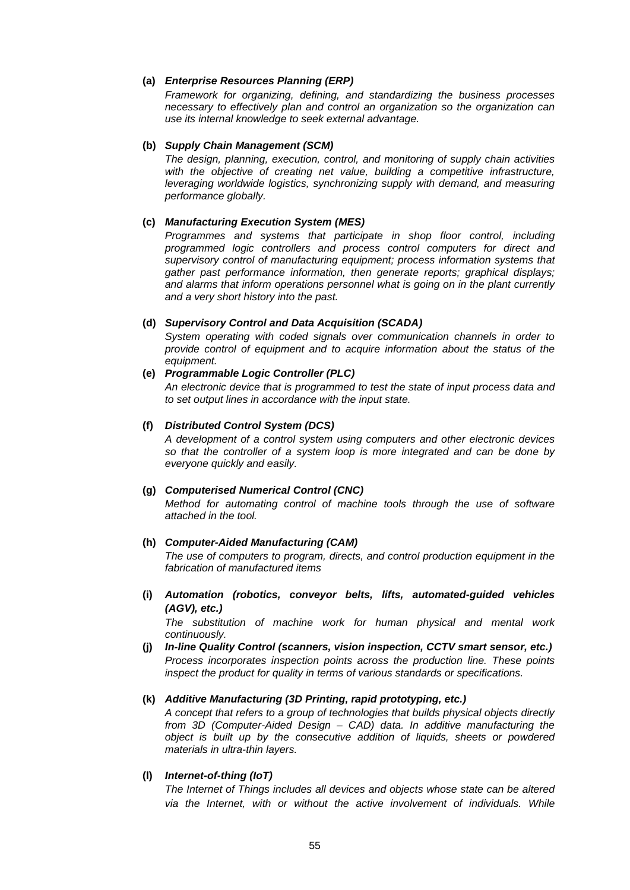### **(a)** *Enterprise Resources Planning (ERP)*

*Framework for organizing, defining, and standardizing the business processes necessary to effectively plan and control an organization so the organization can use its internal knowledge to seek external advantage.*

### **(b)** *Supply Chain Management (SCM)*

*The design, planning, execution, control, and monitoring of supply chain activities with the objective of creating net value, building a competitive infrastructure, leveraging worldwide logistics, synchronizing supply with demand, and measuring performance globally.* 

#### **(c)** *Manufacturing Execution System (MES)*

*Programmes and systems that participate in shop floor control, including programmed logic controllers and process control computers for direct and supervisory control of manufacturing equipment; process information systems that gather past performance information, then generate reports; graphical displays; and alarms that inform operations personnel what is going on in the plant currently and a very short history into the past.*

#### **(d)** *Supervisory Control and Data Acquisition (SCADA)*

*System operating with coded signals over communication channels in order to provide control of equipment and to acquire information about the status of the equipment.*

#### **(e)** *Programmable Logic Controller (PLC)*

*An electronic device that is programmed to test the state of input process data and to set output lines in accordance with the input state.*

#### **(f)** *Distributed Control System (DCS)*

*A development of a control system using computers and other electronic devices so that the controller of a system loop is more integrated and can be done by everyone quickly and easily.*

#### **(g)** *Computerised Numerical Control (CNC)*

*Method for automating control of machine tools through the use of software attached in the tool.*

### **(h)** *Computer-Aided Manufacturing (CAM)*

*The use of computers to program, directs, and control production equipment in the fabrication of manufactured items*

**(i)** *Automation (robotics, conveyor belts, lifts, automated-guided vehicles (AGV), etc.)*

*The substitution of machine work for human physical and mental work continuously.*

**(j)** *In-line Quality Control (scanners, vision inspection, CCTV smart sensor, etc.) Process incorporates inspection points across the production line. These points inspect the product for quality in terms of various standards or specifications.*

### **(k)** *Additive Manufacturing (3D Printing, rapid prototyping, etc.)*

*A concept that refers to a group of technologies that builds physical objects directly from 3D (Computer-Aided Design – CAD) data. In additive manufacturing the object is built up by the consecutive addition of liquids, sheets or powdered materials in ultra-thin layers.*

#### **(l)** *Internet-of-thing (IoT)*

*The Internet of Things includes all devices and objects whose state can be altered*  via the Internet, with or without the active involvement of individuals. While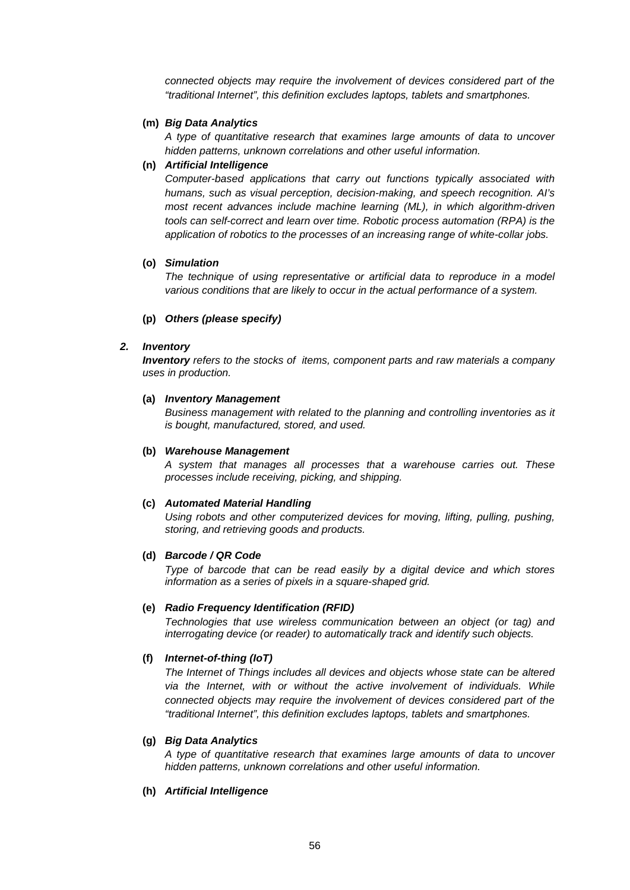*connected objects may require the involvement of devices considered part of the "traditional Internet", this definition excludes laptops, tablets and smartphones.*

#### **(m)** *Big Data Analytics*

*A type of quantitative research that examines large amounts of data to uncover hidden patterns, unknown correlations and other useful information.*

### **(n)** *Artificial Intelligence*

*Computer-based applications that carry out functions typically associated with humans, such as visual perception, decision-making, and speech recognition. AI's most recent advances include machine learning (ML), in which algorithm-driven tools can self-correct and learn over time. Robotic process automation (RPA) is the application of robotics to the processes of an increasing range of white-collar jobs.* 

#### **(o)** *Simulation*

*The technique of using representative or artificial data to reproduce in a model various conditions that are likely to occur in the actual performance of a system.*

### **(p)** *Others (please specify)*

#### *2. Inventory*

*Inventory refers to the stocks of items, component parts and raw materials a company uses in production.*

#### **(a)** *Inventory Management*

*Business management with related to the planning and controlling inventories as it is bought, manufactured, stored, and used.*

### **(b)** *Warehouse Management*

*A system that manages all processes that a warehouse carries out. These processes include receiving, picking, and shipping.*

#### **(c)** *Automated Material Handling*

*Using robots and other computerized devices for moving, lifting, pulling, pushing, storing, and retrieving goods and products.*

#### **(d)** *Barcode / QR Code*

*Type of barcode that can be read easily by a digital device and which stores information as a series of pixels in a square-shaped grid.*

#### **(e)** *Radio Frequency Identification (RFID)*

*Technologies that use wireless communication between an object (or tag) and interrogating device (or reader) to automatically track and identify such objects.*

#### **(f)** *Internet-of-thing (IoT)*

*The Internet of Things includes all devices and objects whose state can be altered via the Internet, with or without the active involvement of individuals. While connected objects may require the involvement of devices considered part of the "traditional Internet", this definition excludes laptops, tablets and smartphones.*

#### **(g)** *Big Data Analytics*

*A type of quantitative research that examines large amounts of data to uncover hidden patterns, unknown correlations and other useful information.*

### **(h)** *Artificial Intelligence*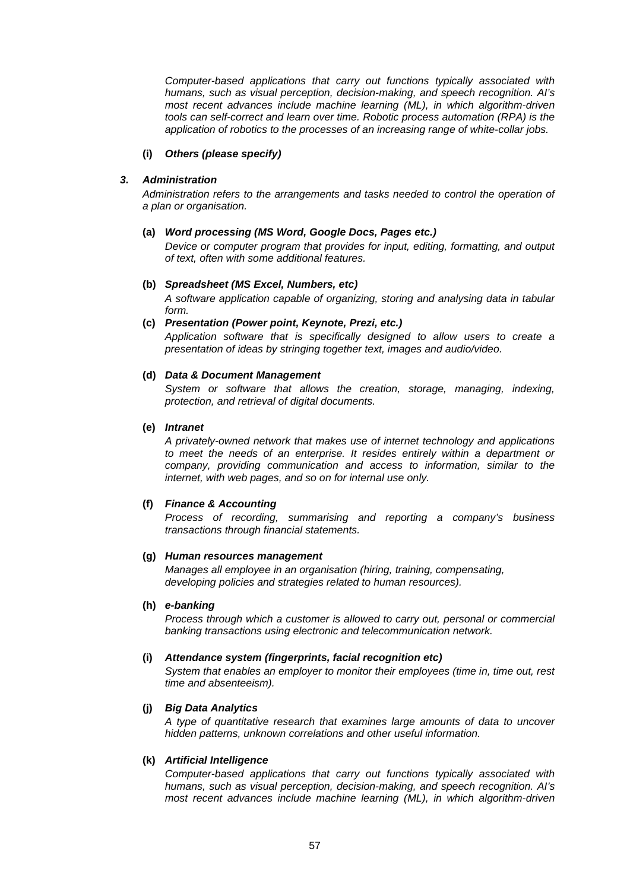*Computer-based applications that carry out functions typically associated with humans, such as visual perception, decision-making, and speech recognition. AI's most recent advances include machine learning (ML), in which algorithm-driven tools can self-correct and learn over time. Robotic process automation (RPA) is the application of robotics to the processes of an increasing range of white-collar jobs.* 

### **(i)** *Others (please specify)*

### *3. Administration*

*Administration refers to the arrangements and tasks needed to control the operation of a plan or organisation.*

### **(a)** *Word processing (MS Word, Google Docs, Pages etc.)*

*Device or computer program that provides for input, editing, formatting, and output of text, often with some additional features.*

### **(b)** *Spreadsheet (MS Excel, Numbers, etc)*

*A software application capable of organizing, storing and analysing data in tabular form.*

### **(c)** *Presentation (Power point, Keynote, Prezi, etc.)*

*Application software that is specifically designed to allow users to create a presentation of ideas by stringing together text, images and audio/video.*

### **(d)** *Data & Document Management*

System or software that allows the creation, storage, managing, indexing, *protection, and retrieval of digital documents.*

### **(e)** *Intranet*

*A privately-owned network that makes use of internet technology and applications to meet the needs of an enterprise. It resides entirely within a department or company, providing communication and access to information, similar to the internet, with web pages, and so on for internal use only.*

### **(f)** *Finance & Accounting*

*Process of recording, summarising and reporting a company's business transactions through financial statements.*

#### **(g)** *Human resources management*

*Manages all employee in an organisation (hiring, training, compensating, developing policies and strategies related to human resources).*

#### **(h)** *e-banking*

*Process through which a customer is allowed to carry out, personal or commercial banking transactions using electronic and telecommunication network.*

### **(i)** *Attendance system (fingerprints, facial recognition etc)*

*System that enables an employer to monitor their employees (time in, time out, rest time and absenteeism).*

#### **(j)** *Big Data Analytics*

*A type of quantitative research that examines large amounts of data to uncover hidden patterns, unknown correlations and other useful information.*

### **(k)** *Artificial Intelligence*

*Computer-based applications that carry out functions typically associated with humans, such as visual perception, decision-making, and speech recognition. AI's most recent advances include machine learning (ML), in which algorithm-driven*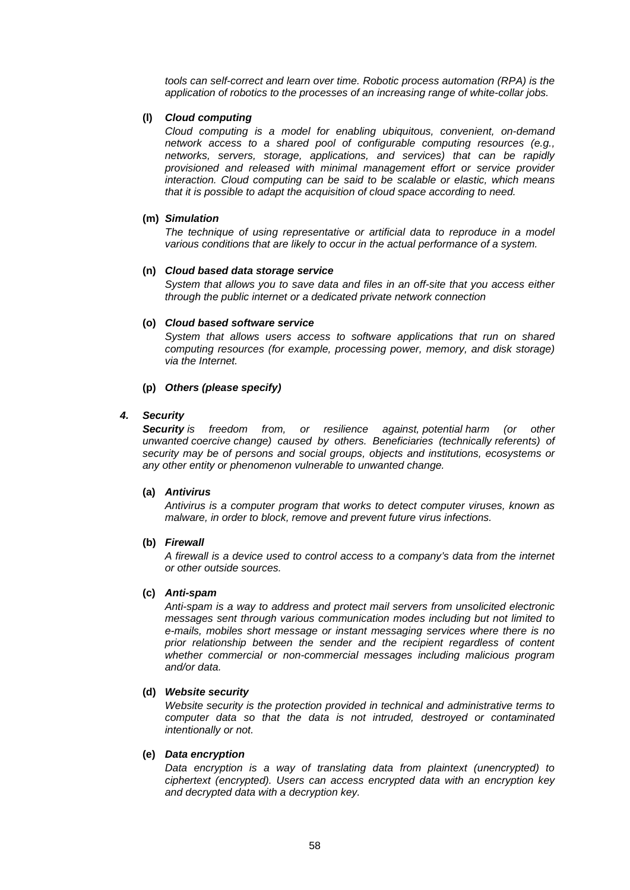*tools can self-correct and learn over time. Robotic process automation (RPA) is the application of robotics to the processes of an increasing range of white-collar jobs.* 

#### **(l)** *Cloud computing*

*Cloud computing is a model for enabling ubiquitous, convenient, on-demand network access to a shared pool of configurable computing resources (e.g., networks, servers, storage, applications, and services) that can be rapidly provisioned and released with minimal management effort or service provider interaction. Cloud computing can be said to be scalable or elastic, which means that it is possible to adapt the acquisition of cloud space according to need.* 

#### **(m)** *Simulation*

*The technique of using representative or artificial data to reproduce in a model various conditions that are likely to occur in the actual performance of a system.*

#### **(n)** *Cloud based data storage service*

*System that allows you to save data and files in an off-site that you access either through the public internet or a dedicated private network connection*

#### **(o)** *Cloud based software service*

*System that allows users access to software applications that run on shared computing resources (for example, processing power, memory, and disk storage) via the Internet.*

### **(p)** *Others (please specify)*

### *4. Security*

*Security is freedom from, or resilience against, [potential](https://en.wikipedia.org/wiki/Potential) harm (or other unwanted [coercive](https://en.wikipedia.org/wiki/Coercion) change) caused by others. Beneficiaries (technically [referents\)](https://en.wikipedia.org/wiki/Referent) of security may be of persons and social groups, objects and institutions, ecosystems or any other entity or phenomenon vulnerable to unwanted change.*

#### **(a)** *Antivirus*

*Antivirus is a computer program that works to detect computer viruses, known as malware, in order to block, remove and prevent future virus infections.*

#### **(b)** *Firewall*

*A firewall is a device used to control access to a company's data from the internet or other outside sources.*

#### **(c)** *Anti-spam*

*Anti-spam is a way to address and protect mail servers from unsolicited electronic messages sent through various communication modes including but not limited to e-mails, mobiles short message or instant messaging services where there is no prior relationship between the sender and the recipient regardless of content whether commercial or non-commercial messages including malicious program and/or data.*

### **(d)** *Website security*

*Website security is the protection provided in technical and administrative terms to computer data so that the data is not intruded, destroyed or contaminated intentionally or not.*

#### **(e)** *Data encryption*

*Data encryption is a way of translating data from plaintext (unencrypted) to ciphertext (encrypted). Users can access encrypted data with an encryption key and decrypted data with a decryption key.*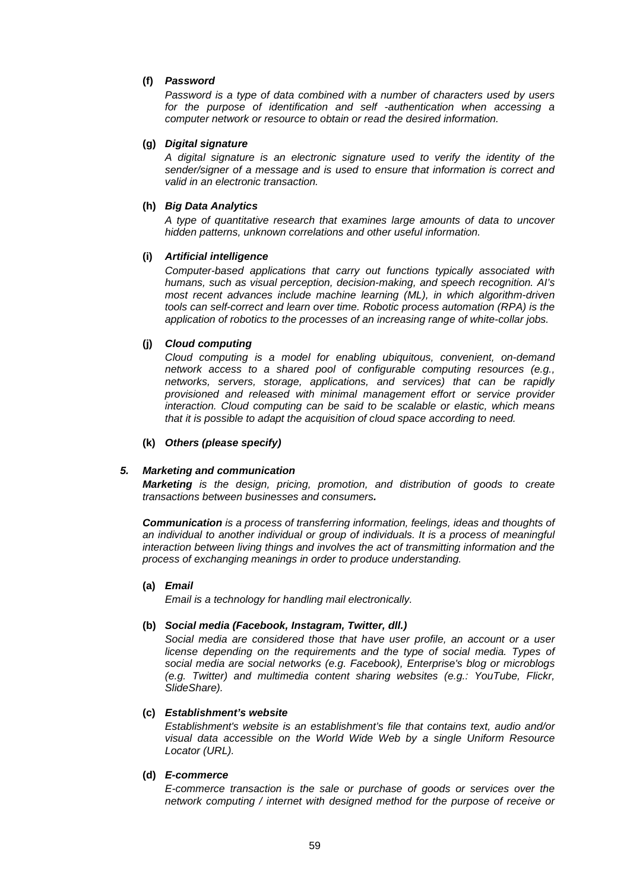### **(f)** *Password*

*Password is a type of data combined with a number of characters used by users for the purpose of identification and self -authentication when accessing a computer network or resource to obtain or read the desired information.*

### **(g)** *Digital signature*

*A digital signature is an electronic signature used to verify the identity of the sender/signer of a message and is used to ensure that information is correct and valid in an electronic transaction.*

### **(h)** *Big Data Analytics*

*A type of quantitative research that examines large amounts of data to uncover hidden patterns, unknown correlations and other useful information.*

### **(i)** *Artificial intelligence*

*Computer-based applications that carry out functions typically associated with humans, such as visual perception, decision-making, and speech recognition. AI's most recent advances include machine learning (ML), in which algorithm-driven tools can self-correct and learn over time. Robotic process automation (RPA) is the application of robotics to the processes of an increasing range of white-collar jobs.* 

### **(j)** *Cloud computing*

*Cloud computing is a model for enabling ubiquitous, convenient, on-demand network access to a shared pool of configurable computing resources (e.g., networks, servers, storage, applications, and services) that can be rapidly provisioned and released with minimal management effort or service provider interaction. Cloud computing can be said to be scalable or elastic, which means that it is possible to adapt the acquisition of cloud space according to need.* 

#### **(k)** *Others (please specify)*

#### *5. Marketing and communication*

*Marketing is the design, pricing, promotion, and distribution of goods to create transactions between businesses and consumers.*

*Communication is a process of transferring information, feelings, ideas and thoughts of an individual to another individual or group of individuals. It is a process of meaningful interaction between living things and involves the act of transmitting information and the process of exchanging meanings in order to produce understanding.*

#### **(a)** *Email*

*Email is a technology for handling mail electronically.*

#### **(b)** *Social media (Facebook, Instagram, Twitter, dll.)*

*Social media are considered those that have user profile, an account or a user license depending on the requirements and the type of social media. Types of social media are social networks (e.g. Facebook), Enterprise's blog or microblogs (e.g. Twitter) and multimedia content sharing websites (e.g.: YouTube, Flickr, SlideShare).*

#### **(c)** *Establishment's website*

*Establishment's website is an establishment's file that contains text, audio and/or visual data accessible on the World Wide Web by a single Uniform Resource Locator (URL).*

#### **(d)** *E-commerce*

*E-commerce transaction is the sale or purchase of goods or services over the network computing / internet with designed method for the purpose of receive or*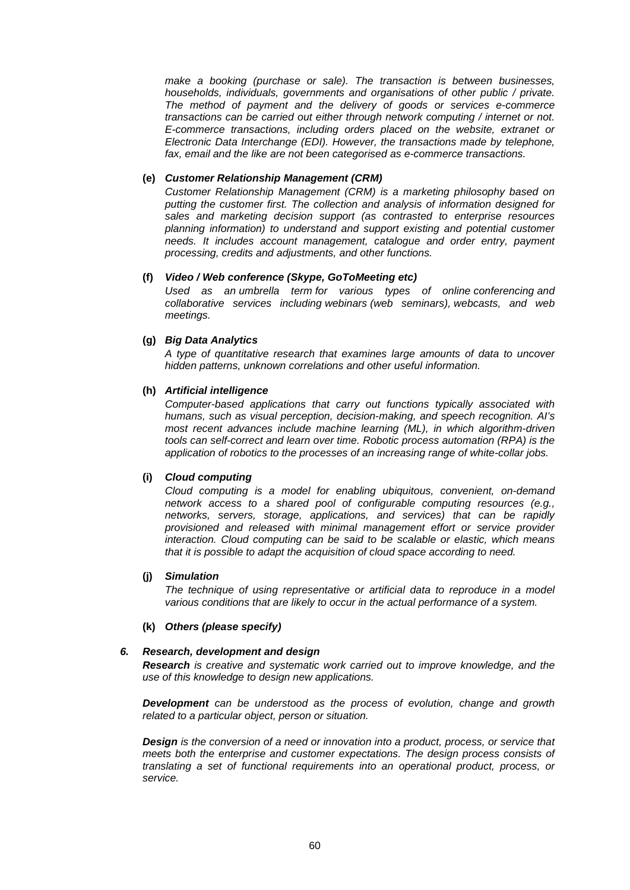*make a booking (purchase or sale). The transaction is between businesses, households, individuals, governments and organisations of other public / private. The method of payment and the delivery of goods or services e-commerce transactions can be carried out either through network computing / internet or not. E-commerce transactions, including orders placed on the website, extranet or Electronic Data Interchange (EDI). However, the transactions made by telephone, fax, email and the like are not been categorised as e-commerce transactions.*

### **(e)** *Customer Relationship Management (CRM)*

*Customer Relationship Management (CRM) is a marketing philosophy based on putting the customer first. The collection and analysis of information designed for sales and marketing decision support (as contrasted to enterprise resources planning information) to understand and support existing and potential customer needs. It includes account management, catalogue and order entry, payment processing, credits and adjustments, and other functions.* 

#### **(f)** *Video / Web conference (Skype, GoToMeeting etc)*

*Used as an [umbrella term](https://en.wikipedia.org/wiki/Umbrella_term) for various types of online [conferencing](https://en.wikipedia.org/wiki/Conference) and collaborative services including webinars (web seminars), [webcasts,](https://en.wikipedia.org/wiki/Webcasts) and web meetings.*

### **(g)** *Big Data Analytics*

*A type of quantitative research that examines large amounts of data to uncover hidden patterns, unknown correlations and other useful information.*

### **(h)** *Artificial intelligence*

*Computer-based applications that carry out functions typically associated with humans, such as visual perception, decision-making, and speech recognition. AI's most recent advances include machine learning (ML), in which algorithm-driven tools can self-correct and learn over time. Robotic process automation (RPA) is the application of robotics to the processes of an increasing range of white-collar jobs.* 

#### **(i)** *Cloud computing*

*Cloud computing is a model for enabling ubiquitous, convenient, on-demand network access to a shared pool of configurable computing resources (e.g., networks, servers, storage, applications, and services) that can be rapidly provisioned and released with minimal management effort or service provider interaction. Cloud computing can be said to be scalable or elastic, which means that it is possible to adapt the acquisition of cloud space according to need.* 

#### **(j)** *Simulation*

*The technique of using representative or artificial data to reproduce in a model various conditions that are likely to occur in the actual performance of a system.*

#### **(k)** *Others (please specify)*

#### *6. Research, development and design*

*Research is creative and systematic work carried out to improve knowledge, and the use of this knowledge to design new applications.*

*Development can be understood as the process of evolution, change and growth related to a particular object, person or situation.*

*Design is the conversion of a need or innovation into a product, process, or service that meets both the enterprise and customer expectations. The design process consists of translating a set of functional requirements into an operational product, process, or service.*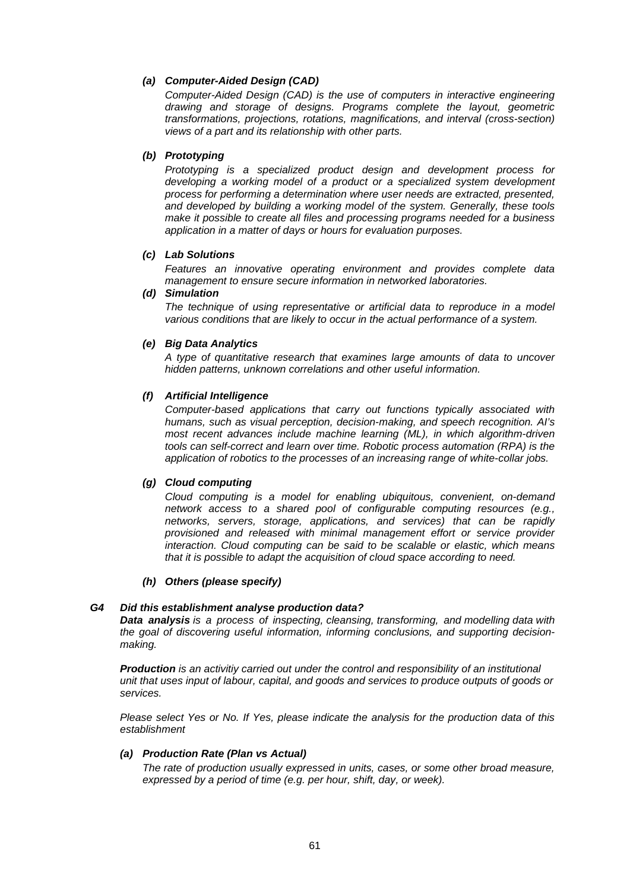### *(a) Computer-Aided Design (CAD)*

*Computer-Aided Design (CAD) is the use of computers in interactive engineering drawing and storage of designs. Programs complete the layout, geometric transformations, projections, rotations, magnifications, and interval (cross-section) views of a part and its relationship with other parts.*

### *(b) Prototyping*

*Prototyping is a specialized product design and development process for developing a working model of a product or a specialized system development process for performing a determination where user needs are extracted, presented, and developed by building a working model of the system. Generally, these tools make it possible to create all files and processing programs needed for a business application in a matter of days or hours for evaluation purposes.*

#### *(c) Lab Solutions*

*Features an innovative operating environment and provides complete data management to ensure secure information in networked laboratories.*

#### *(d) Simulation*

*The technique of using representative or artificial data to reproduce in a model various conditions that are likely to occur in the actual performance of a system.*

#### *(e) Big Data Analytics*

*A type of quantitative research that examines large amounts of data to uncover hidden patterns, unknown correlations and other useful information.*

### *(f) Artificial Intelligence*

*Computer-based applications that carry out functions typically associated with humans, such as visual perception, decision-making, and speech recognition. AI's most recent advances include machine learning (ML), in which algorithm-driven tools can self-correct and learn over time. Robotic process automation (RPA) is the application of robotics to the processes of an increasing range of white-collar jobs.* 

#### *(g) Cloud computing*

*Cloud computing is a model for enabling ubiquitous, convenient, on-demand network access to a shared pool of configurable computing resources (e.g., networks, servers, storage, applications, and services) that can be rapidly provisioned and released with minimal management effort or service provider interaction. Cloud computing can be said to be scalable or elastic, which means that it is possible to adapt the acquisition of cloud space according to need.* 

#### *(h) Others (please specify)*

#### *G4 Did this establishment analyse production data?*

*Data analysis is a process of inspecting, [cleansing,](https://en.wikipedia.org/wiki/Data_cleansing) [transforming,](https://en.wikipedia.org/wiki/Data_transformation) and [modelling](https://en.wikipedia.org/wiki/Data_modeling) [data](https://en.wikipedia.org/wiki/Data) with the goal of discovering useful information, informing conclusions, and supporting decisionmaking.*

*Production is an activitiy carried out under the control and responsibility of an institutional unit that uses input of labour, capital, and goods and services to produce outputs of goods or services.*

*Please select Yes or No. If Yes, please indicate the analysis for the production data of this establishment*

### *(a) Production Rate (Plan vs Actual)*

*The rate of production usually expressed in units, cases, or some other broad measure, expressed by a period of time (e.g. per hour, shift, day, or week).*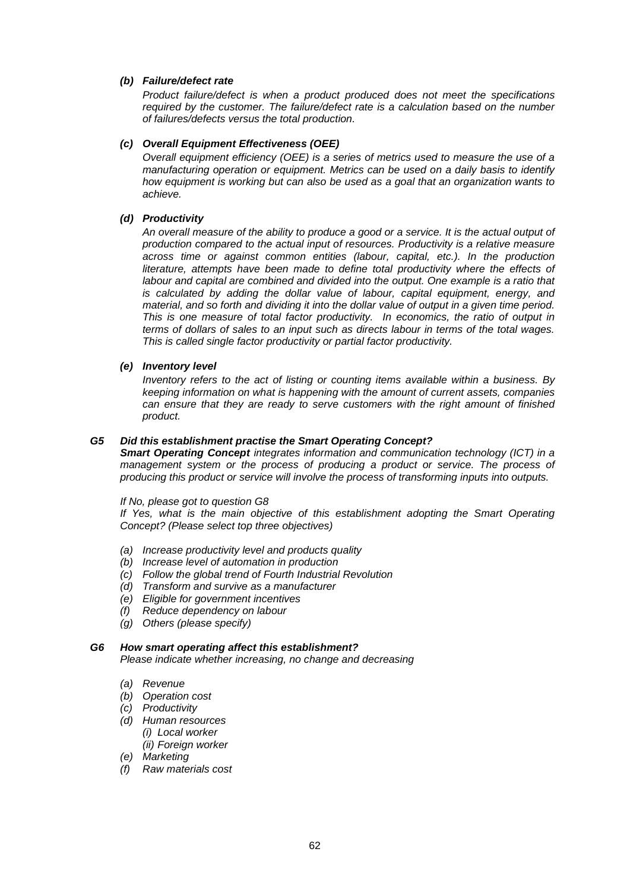### *(b) Failure/defect rate*

*Product failure/defect is when a product produced does not meet the specifications required by the customer. The failure/defect rate is a calculation based on the number of failures/defects versus the total production.*

### *(c) Overall Equipment Effectiveness (OEE)*

*Overall equipment efficiency (OEE) is a series of metrics used to measure the use of a manufacturing operation or equipment. Metrics can be used on a daily basis to identify how equipment is working but can also be used as a goal that an organization wants to achieve.*

### *(d) Productivity*

*An overall measure of the ability to produce a good or a service. It is the actual output of production compared to the actual input of resources. Productivity is a relative measure across time or against common entities (labour, capital, etc.). In the production*  literature, attempts have been made to define total productivity where the effects of labour and capital are combined and divided into the output. One example is a ratio that *is calculated by adding the dollar value of labour, capital equipment, energy, and material, and so forth and dividing it into the dollar value of output in a given time period. This is one measure of total factor productivity. In economics, the ratio of output in terms of dollars of sales to an input such as directs labour in terms of the total wages. This is called single factor productivity or partial factor productivity.*

### *(e) Inventory level*

*Inventory refers to the act of listing or counting items available within a business. By keeping information on what is happening with the amount of current assets, companies can ensure that they are ready to serve customers with the right amount of finished product.*

### *G5 Did this establishment practise the Smart Operating Concept?*

*Smart Operating Concept integrates information and communication technology (ICT) in a management system or the process of producing a product or service. The process of producing this product or service will involve the process of transforming inputs into outputs.*

#### *If No, please got to question G8*

*If Yes, what is the main objective of this establishment adopting the Smart Operating Concept? (Please select top three objectives)*

- *(a) Increase productivity level and products quality*
- *(b) Increase level of automation in production*
- *(c) Follow the global trend of Fourth Industrial Revolution*
- *(d) Transform and survive as a manufacturer*
- *(e) Eligible for government incentives*
- *(f) Reduce dependency on labour*
- *(g) Others (please specify)*

# *G6 How smart operating affect this establishment?*

*Please indicate whether increasing, no change and decreasing*

- *(a) Revenue*
- *(b) Operation cost*
- *(c) Productivity*
- *(d) Human resources (i) Local worker (ii) Foreign worker*
- *(e) Marketing*
- *(f) Raw materials cost*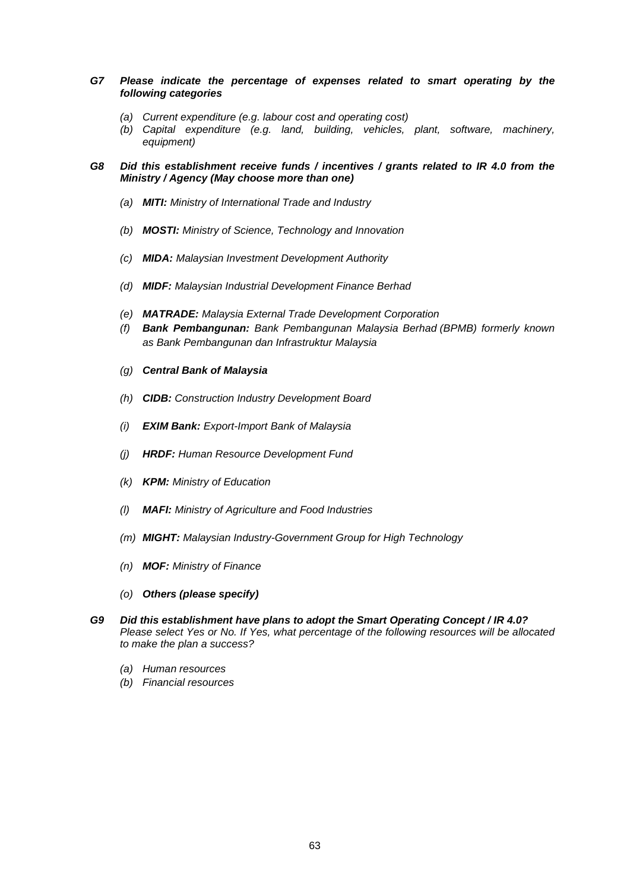- *G7 Please indicate the percentage of expenses related to smart operating by the following categories*
	- *(a) Current expenditure (e.g. labour cost and operating cost)*
	- *(b) Capital expenditure (e.g. land, building, vehicles, plant, software, machinery, equipment)*
- *G8 Did this establishment receive funds / incentives / grants related to IR 4.0 from the Ministry / Agency (May choose more than one)*
	- *(a) MITI: Ministry of International Trade and Industry*
	- *(b) MOSTI: Ministry of Science, Technology and Innovation*
	- *(c) MIDA: Malaysian Investment Development Authority*
	- *(d) MIDF: Malaysian Industrial Development Finance Berhad*
	- *(e) MATRADE: Malaysia External Trade Development Corporation*
	- *(f) Bank Pembangunan: Bank Pembangunan Malaysia Berhad (BPMB) formerly known as Bank Pembangunan dan Infrastruktur Malaysia*
	- *(g) Central Bank of Malaysia*
	- *(h) CIDB: Construction Industry Development Board*
	- *(i) EXIM Bank: Export-Import Bank of Malaysia*
	- *(j) HRDF: Human Resource Development Fund*
	- *(k) KPM: Ministry of Education*
	- *(l) MAFI: Ministry of Agriculture and Food Industries*
	- *(m) MIGHT: Malaysian Industry-Government Group for High Technology*
	- *(n) MOF: Ministry of Finance*
	- *(o) Others (please specify)*
- *G9 Did this establishment have plans to adopt the Smart Operating Concept / IR 4.0? Please select Yes or No. If Yes, what percentage of the following resources will be allocated to make the plan a success?*
	- *(a) Human resources*
	- *(b) Financial resources*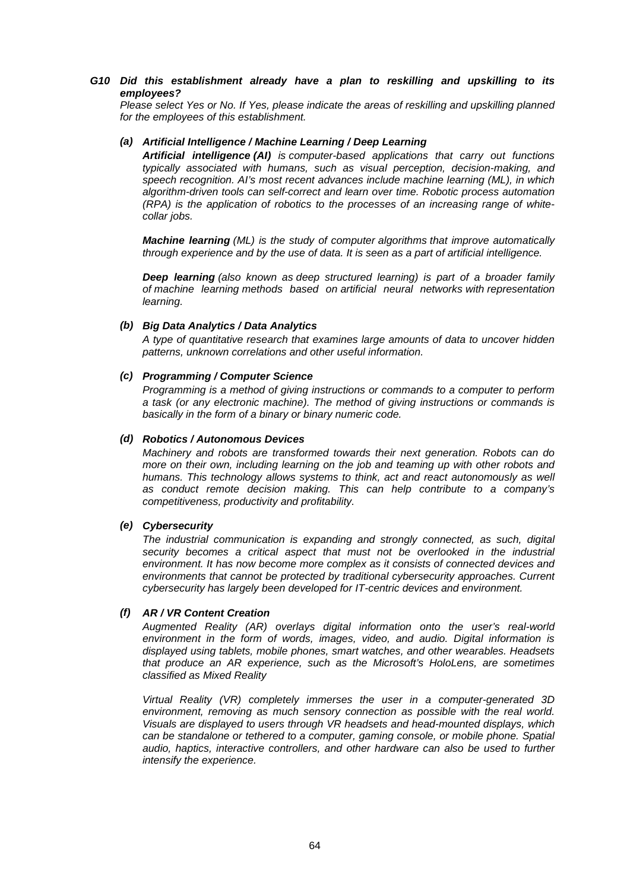### *G10 Did this establishment already have a plan to reskilling and upskilling to its employees?*

*Please select Yes or No. If Yes, please indicate the areas of reskilling and upskilling planned for the employees of this establishment.*

### *(a) Artificial Intelligence / Machine Learning / Deep Learning*

*Artificial intelligence (AI) is computer-based applications that carry out functions typically associated with humans, such as visual perception, decision-making, and speech recognition. AI's most recent advances include machine learning (ML), in which algorithm-driven tools can self-correct and learn over time. Robotic process automation (RPA) is the application of robotics to the processes of an increasing range of whitecollar jobs.* 

*Machine learning (ML) is the study of computer [algorithms](https://en.wikipedia.org/wiki/Algorithm) that improve automatically through experience and by the use of data. It is seen as a part of [artificial intelligence.](https://en.wikipedia.org/wiki/Artificial_intelligence)*

*Deep learning (also known as deep structured learning) is part of a broader family of [machine learning](https://en.wikipedia.org/wiki/Machine_learning) methods based on [artificial neural networks](https://en.wikipedia.org/wiki/Artificial_neural_networks) with [representation](https://en.wikipedia.org/wiki/Representation_learning)  [learning.](https://en.wikipedia.org/wiki/Representation_learning)*

#### *(b) Big Data Analytics / Data Analytics*

*A type of quantitative research that examines large amounts of data to uncover hidden patterns, unknown correlations and other useful information.*

### *(c) Programming / Computer Science*

*Programming is a method of giving instructions or commands to a computer to perform a task (or any electronic machine). The method of giving instructions or commands is basically in the form of a binary or binary numeric code.*

### *(d) Robotics / Autonomous Devices*

*Machinery and robots are transformed towards their next generation. Robots can do more on their own, including learning on the job and teaming up with other robots and humans. This technology allows systems to think, act and react autonomously as well as conduct remote decision making. This can help contribute to a company's competitiveness, productivity and profitability.*

### *(e) Cybersecurity*

*The industrial communication is expanding and strongly connected, as such, digital security becomes a critical aspect that must not be overlooked in the industrial environment. It has now become more complex as it consists of connected devices and environments that cannot be protected by traditional cybersecurity approaches. Current cybersecurity has largely been developed for IT-centric devices and environment.*

### *(f) AR / VR Content Creation*

*Augmented Reality (AR) overlays digital information onto the user's real-world environment in the form of words, images, video, and audio. Digital information is displayed using tablets, mobile phones, smart watches, and other wearables. Headsets that produce an AR experience, such as the Microsoft's HoloLens, are sometimes classified as Mixed Reality*

*Virtual Reality (VR) completely immerses the user in a computer-generated 3D environment, removing as much sensory connection as possible with the real world. Visuals are displayed to users through VR headsets and head-mounted displays, which can be standalone or tethered to a computer, gaming console, or mobile phone. Spatial audio, haptics, interactive controllers, and other hardware can also be used to further intensify the experience.*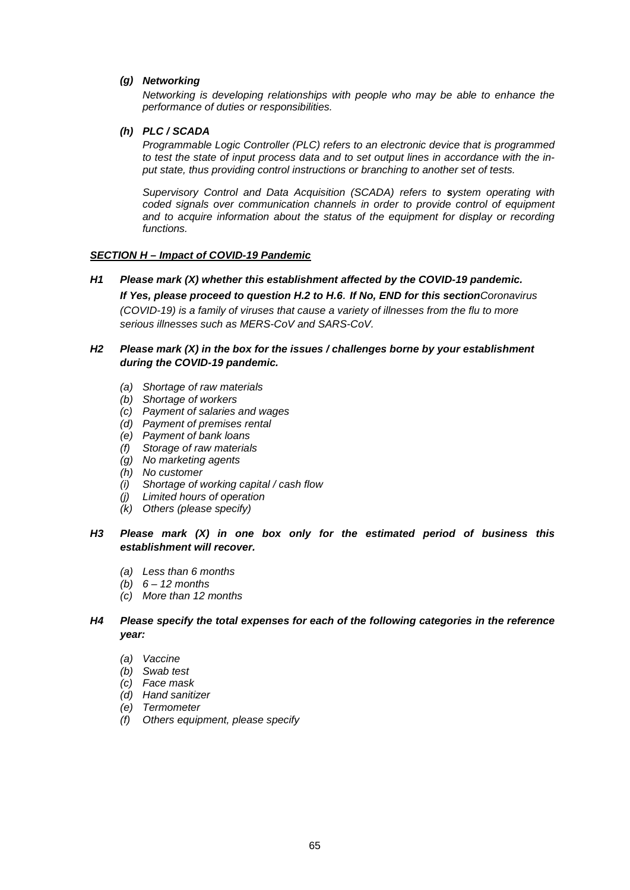### *(g) Networking*

*Networking is developing relationships with people who may be able to enhance the performance of duties or responsibilities.*

### *(h) PLC / SCADA*

*Programmable Logic Controller (PLC) refers to an electronic device that is programmed to test the state of input process data and to set output lines in accordance with the input state, thus providing control instructions or branching to another set of tests.*

*Supervisory Control and Data Acquisition (SCADA) refers to system operating with coded signals over communication channels in order to provide control of equipment*  and to acquire information about the status of the equipment for display or recording *functions.*

### *SECTION H – Impact of COVID-19 Pandemic*

*H1 Please mark (X) whether this establishment affected by the COVID-19 pandemic. If Yes, please proceed to question H.2 to H.6. If No, END for this sectionCoronavirus (COVID-19) is a family of viruses that cause a variety of illnesses from the flu to more serious illnesses such as MERS-CoV and SARS-CoV.*

### *H2 Please mark (X) in the box for the issues / challenges borne by your establishment during the COVID-19 pandemic.*

- *(a) Shortage of raw materials*
- *(b) Shortage of workers*
- *(c) Payment of salaries and wages*
- *(d) Payment of premises rental*
- *(e) Payment of bank loans*
- *(f) Storage of raw materials*
- *(g) No marketing agents*
- *(h) No customer*
- *(i) Shortage of working capital / cash flow*
- *(j) Limited hours of operation*
- *(k) Others (please specify)*

### *H3 Please mark (X) in one box only for the estimated period of business this establishment will recover.*

- *(a) Less than 6 months*
- *(b) 6 – 12 months*
- *(c) More than 12 months*

### *H4 Please specify the total expenses for each of the following categories in the reference year:*

- *(a) Vaccine*
- *(b) Swab test*
- *(c) Face mask*
- *(d) Hand sanitizer*
- *(e) Termometer*
- *(f) Others equipment, please specify*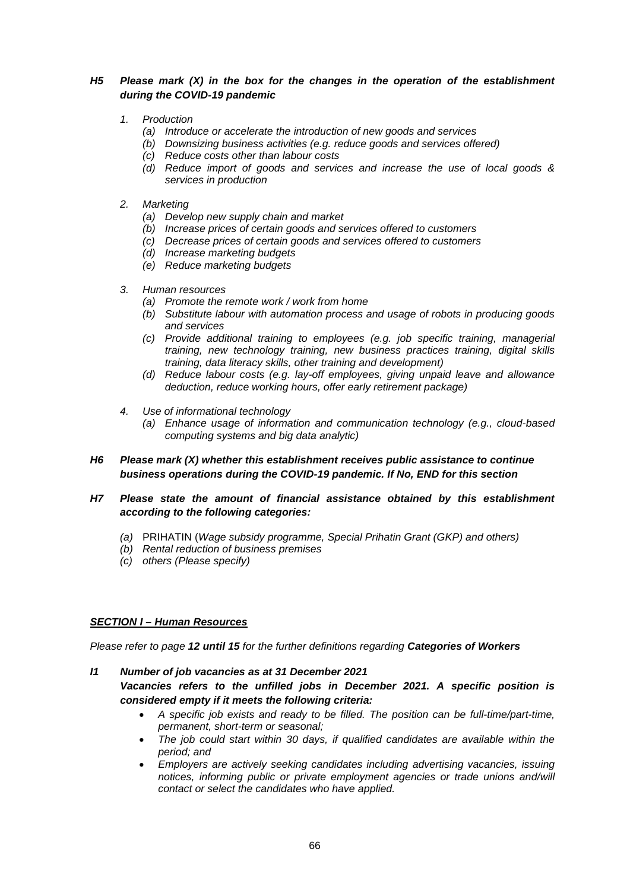### *H5 Please mark (X) in the box for the changes in the operation of the establishment during the COVID-19 pandemic*

### *1. Production*

- *(a) Introduce or accelerate the introduction of new goods and services*
- *(b) Downsizing business activities (e.g. reduce goods and services offered)*
- *(c) Reduce costs other than labour costs*
- *(d) Reduce import of goods and services and increase the use of local goods & services in production*
- *2. Marketing*
	- *(a) Develop new supply chain and market*
	- *(b) Increase prices of certain goods and services offered to customers*
	- *(c) Decrease prices of certain goods and services offered to customers*
	- *(d) Increase marketing budgets*
	- *(e) Reduce marketing budgets*

### *3. Human resources*

- *(a) Promote the remote work / work from home*
- *(b) Substitute labour with automation process and usage of robots in producing goods and services*
- *(c) Provide additional training to employees (e.g. job specific training, managerial training, new technology training, new business practices training, digital skills training, data literacy skills, other training and development)*
- *(d) Reduce labour costs (e.g. lay-off employees, giving unpaid leave and allowance deduction, reduce working hours, offer early retirement package)*
- *4. Use of informational technology*
	- *(a) Enhance usage of information and communication technology (e.g., cloud-based computing systems and big data analytic)*
- *H6 Please mark (X) whether this establishment receives public assistance to continue business operations during the COVID-19 pandemic. If No, END for this section*
- *H7 Please state the amount of financial assistance obtained by this establishment according to the following categories:*
	- *(a)* PRIHATIN (*Wage subsidy programme, Special Prihatin Grant (GKP) and others)*
	- *(b) Rental reduction of business premises*
	- *(c) others (Please specify)*

### *SECTION I – Human Resources*

*Please refer to page 12 until 15 for the further definitions regarding Categories of Workers*

- *I1 Number of job vacancies as at 31 December 2021 Vacancies refers to the unfilled jobs in December 2021. A specific position is considered empty if it meets the following criteria:* 
	- *A specific job exists and ready to be filled. The position can be full-time/part-time, permanent, short-term or seasonal;*
	- *The job could start within 30 days, if qualified candidates are available within the period; and*
	- *Employers are actively seeking candidates including advertising vacancies, issuing notices, informing public or private employment agencies or trade unions and/will contact or select the candidates who have applied.*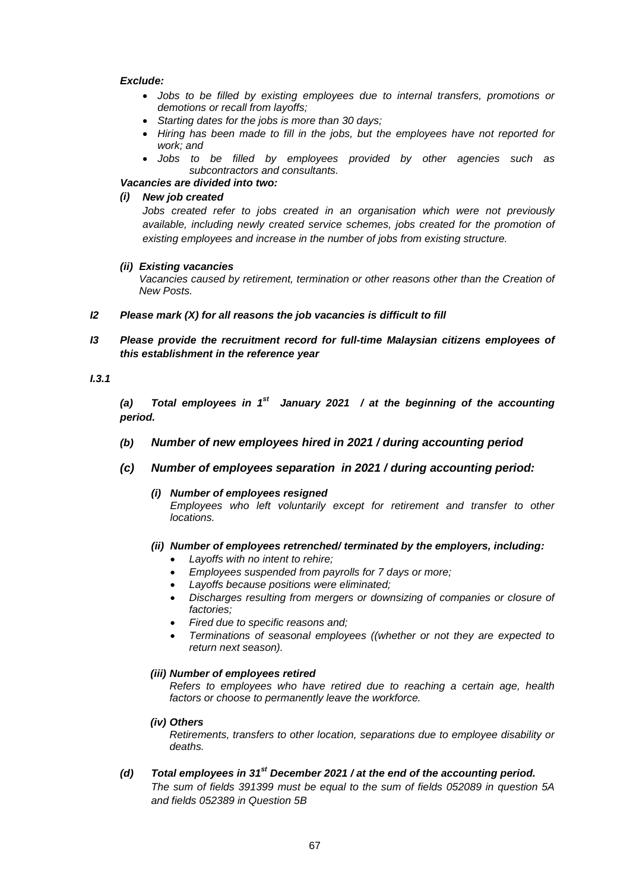### *Exclude:*

- *Jobs to be filled by existing employees due to internal transfers, promotions or demotions or recall from layoffs;*
- *Starting dates for the jobs is more than 30 days;*
- *Hiring has been made to fill in the jobs, but the employees have not reported for work; and*
- *Jobs to be filled by employees provided by other agencies such as subcontractors and consultants.*

## *Vacancies are divided into two:*

### *(i) New job created*

*Jobs created refer to jobs created in an organisation which were not previously available, including newly created service schemes, jobs created for the promotion of existing employees and increase in the number of jobs from existing structure.*

#### *(ii) Existing vacancies*

*Vacancies caused by retirement, termination or other reasons other than the Creation of New Posts.*

- *I2 Please mark (X) for all reasons the job vacancies is difficult to fill*
- *I3 Please provide the recruitment record for full-time Malaysian citizens employees of this establishment in the reference year*

### *I.3.1*

*(a) Total employees in 1st January 2021 / at the beginning of the accounting period.* 

- *(b) Number of new employees hired in 2021 / during accounting period*
- *(c) Number of employees separation in 2021 / during accounting period:* 
	- *(i) Number of employees resigned Employees who left voluntarily except for retirement and transfer to other locations.*
	- *(ii) Number of employees retrenched/ terminated by the employers, including:* 
		- *Layoffs with no intent to rehire;*
		- *Employees suspended from payrolls for 7 days or more;*
		- *Layoffs because positions were eliminated;*
		- *Discharges resulting from mergers or downsizing of companies or closure of factories;*
		- *Fired due to specific reasons and;*
		- *Terminations of seasonal employees ((whether or not they are expected to return next season).*

#### *(iii) Number of employees retired*

*Refers to employees who have retired due to reaching a certain age, health factors or choose to permanently leave the workforce.*

*(iv) Others*

*Retirements, transfers to other location, separations due to employee disability or deaths.*

*(d) Total employees in 31st December 2021 / at the end of the accounting period.* 

*The sum of fields 391399 must be equal to the sum of fields 052089 in question 5A and fields 052389 in Question 5B*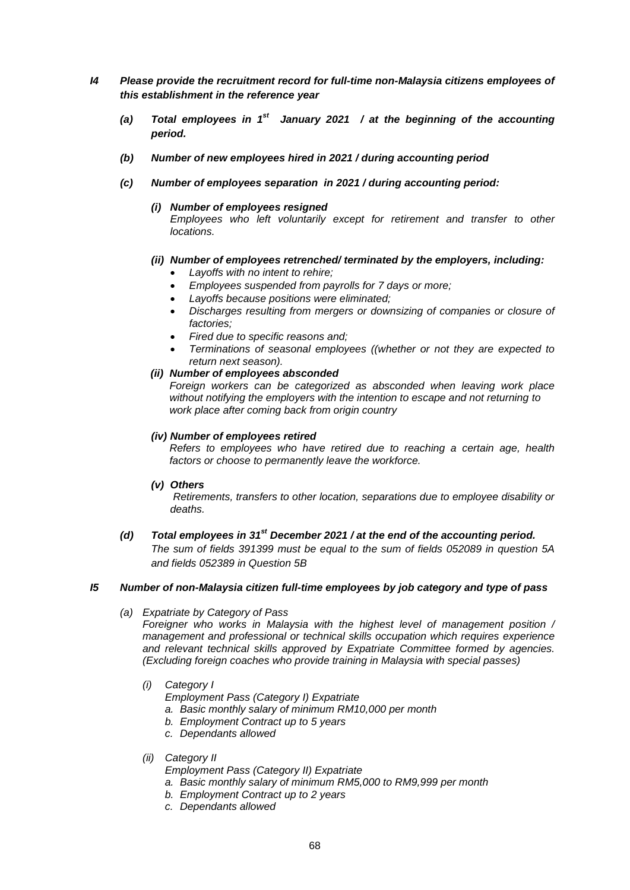- *I4 Please provide the recruitment record for full-time non-Malaysia citizens employees of this establishment in the reference year*
	- *(a) Total employees in 1st January 2021 / at the beginning of the accounting period.*
	- *(b) Number of new employees hired in 2021 / during accounting period*
	- *(c) Number of employees separation in 2021 / during accounting period:* 
		- *(i) Number of employees resigned*

*Employees who left voluntarily except for retirement and transfer to other locations.*

### *(ii) Number of employees retrenched/ terminated by the employers, including:*

- *Layoffs with no intent to rehire;*
- *Employees suspended from payrolls for 7 days or more;*
- *Layoffs because positions were eliminated;*
- *Discharges resulting from mergers or downsizing of companies or closure of factories;*
- *Fired due to specific reasons and;*
- *Terminations of seasonal employees ((whether or not they are expected to return next season).*

### *(ii) Number of employees absconded*

*Foreign workers can be categorized as absconded when leaving work place without notifying the employers with the intention to escape and not returning to work place after coming back from origin country*

### *(iv) Number of employees retired*

*Refers to employees who have retired due to reaching a certain age, health factors or choose to permanently leave the workforce.*

### *(v) Others*

*Retirements, transfers to other location, separations due to employee disability or deaths.*

*(d) Total employees in 31st December 2021 / at the end of the accounting period. The sum of fields 391399 must be equal to the sum of fields 052089 in question 5A and fields 052389 in Question 5B* 

### *I5 Number of non-Malaysia citizen full-time employees by job category and type of pass*

*(a) Expatriate by Category of Pass*

*Foreigner who works in Malaysia with the highest level of management position / management and professional or technical skills occupation which requires experience and relevant technical skills approved by Expatriate Committee formed by agencies. (Excluding foreign coaches who provide training in Malaysia with special passes)*

### *(i) Category I*

- *Employment Pass (Category I) Expatriate*
- *a. Basic monthly salary of minimum RM10,000 per month*
- *b. Employment Contract up to 5 years*
- *c. Dependants allowed*
- *(ii) Category II*
	- *Employment Pass (Category II) Expatriate*
	- *a. Basic monthly salary of minimum RM5,000 to RM9,999 per month*
	- *b. Employment Contract up to 2 years*
	- *c. Dependants allowed*